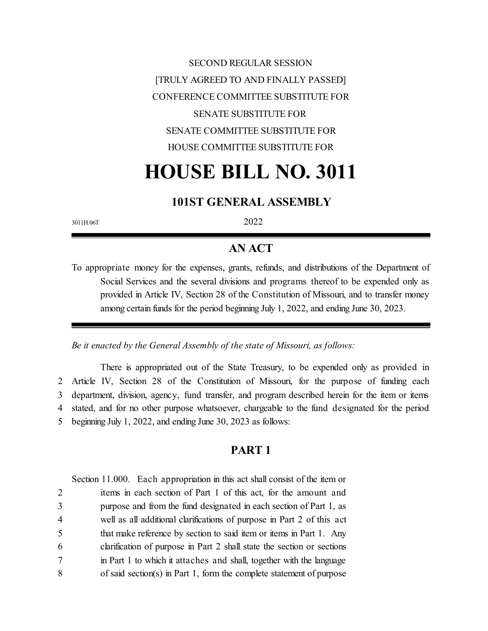SECOND REGULAR SESSION [TRULY AGREED TO AND FINALLY PASSED] CONFERENCE COMMITTEE SUBSTITUTE FOR SENATE SUBSTITUTE FOR SENATE COMMITTEE SUBSTITUTE FOR HOUSE COMMITTEE SUBSTITUTE FOR

# **HOUSE BILL NO. 3011**

## **101ST GENERAL ASSEMBLY**

3011H.06T 2022

# **AN ACT**

To appropriate money for the expenses, grants, refunds, and distributions of the Department of Social Services and the several divisions and programs thereof to be expended only as provided in Article IV, Section 28 of the Constitution of Missouri, and to transfer money among certain funds for the period beginning July 1, 2022, and ending June 30, 2023.

*Be it enacted by the General Assembly of the state of Missouri, as follows:*

There is appropriated out of the State Treasury, to be expended only as provided in Article IV, Section 28 of the Constitution of Missouri, for the purpose of funding each department, division, agency, fund transfer, and program described herein for the item or items stated, and for no other purpose whatsoever, chargeable to the fund designated for the period beginning July 1, 2022, and ending June 30, 2023 as follows:

# **PART 1**

Section 11.000. Each appropriation in this act shall consist of the item or

 items in each section of Part 1 of this act, for the amount and purpose and from the fund designated in each section of Part 1, as well as all additional clarifications of purpose in Part 2 of this act that make reference by section to said item or items in Part 1. Any clarification of purpose in Part 2 shall state the section or sections in Part 1 to which it attaches and shall, together with the language of said section(s) in Part 1, form the complete statement of purpose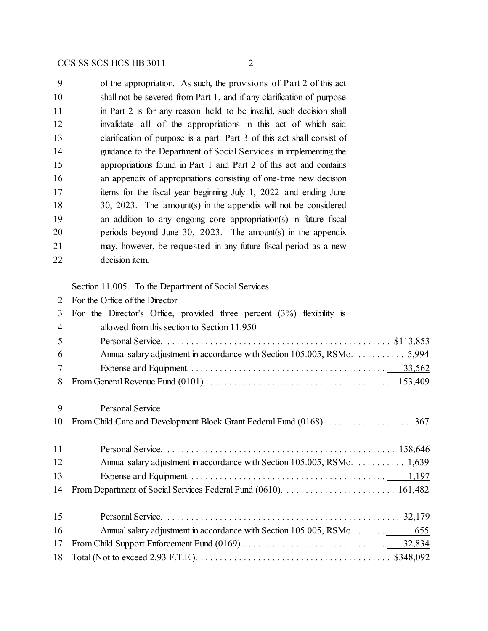of the appropriation. As such, the provisions of Part 2 of this act shall not be severed from Part 1, and if any clarification of purpose 11 in Part 2 is for any reason held to be invalid, such decision shall invalidate all of the appropriations in this act of which said 13 clarification of purpose is a part. Part 3 of this act shall consist of guidance to the Department of Social Services in implementing the appropriations found in Part 1 and Part 2 of this act and contains an appendix of appropriations consisting of one-time new decision items for the fiscal year beginning July 1, 2022 and ending June 30, 2023. The amount(s) in the appendix will not be considered an addition to any ongoing core appropriation(s) in future fiscal periods beyond June 30, 2023. The amount(s) in the appendix may, however, be requested in any future fiscal period as a new decision item.

Section 11.005. To the Department of Social Services

For the Office of the Director

| 3              | For the Director's Office, provided three percent $(3%)$ flexibility is   |  |  |  |  |  |  |  |
|----------------|---------------------------------------------------------------------------|--|--|--|--|--|--|--|
| $\overline{4}$ | allowed from this section to Section 11.950                               |  |  |  |  |  |  |  |
| 5              |                                                                           |  |  |  |  |  |  |  |
| 6              | Annual salary adjustment in accordance with Section 105.005, RSMo.  5,994 |  |  |  |  |  |  |  |
| 7              |                                                                           |  |  |  |  |  |  |  |
| 8              |                                                                           |  |  |  |  |  |  |  |
| 9              | <b>Personal Service</b>                                                   |  |  |  |  |  |  |  |
| 10             |                                                                           |  |  |  |  |  |  |  |
|                |                                                                           |  |  |  |  |  |  |  |
| 11             |                                                                           |  |  |  |  |  |  |  |
| 12             | Annual salary adjustment in accordance with Section 105.005, RSMo. 1,639  |  |  |  |  |  |  |  |
| 13             |                                                                           |  |  |  |  |  |  |  |
| 14             |                                                                           |  |  |  |  |  |  |  |
| 15             |                                                                           |  |  |  |  |  |  |  |
| 16             |                                                                           |  |  |  |  |  |  |  |
| 17             |                                                                           |  |  |  |  |  |  |  |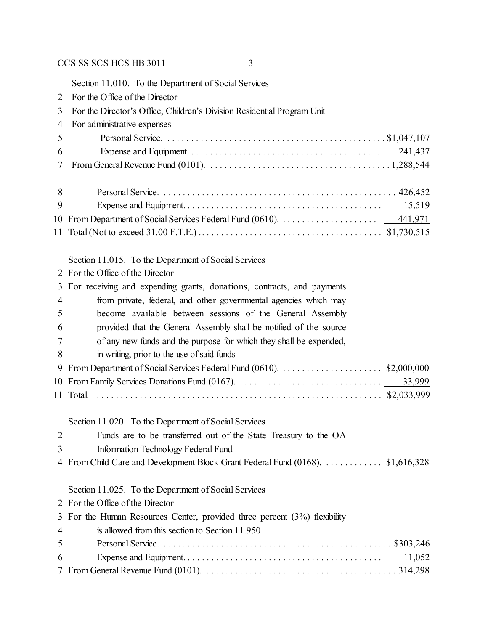Section 11.010. To the Department of Social Services For the Office of the Director For the Director's Office, Children's Division Residential Program Unit For administrative expenses Personal Service. . . . . . . . . . . . . . . . . . . . . . . . . . . . . . . . . . . . . . . . . . . . . . . \$1,047,107 Expense and Equipment. . . . . . . . . . . . . . . . . . . . . . . . . . . . . . . . . . . . . . . . . 241,437 From General Revenue Fund (0101). . . . . . . . . . . . . . . . . . . . . . . . . . . . . . . . . . . . . . . 1,288,544 Personal Service. . . . . . . . . . . . . . . . . . . . . . . . . . . . . . . . . . . . . . . . . . . . . . . . . . 426,452 Expense and Equipment. . . . . . . . . . . . . . . . . . . . . . . . . . . . . . . . . . . . . . . . . . 15,519 From Department of Social Services Federal Fund (0610). . . . . . . . . . . . . . . . . . . . . 441,971 Total (Not to exceed 31.00 F.T.E.) .. . . . . . . . . . . . . . . . . . . . . . . . . . . . . . . . . . . . . . \$1,730,515 Section 11.015. To the Department of Social Services For the Office of the Director For receiving and expending grants, donations, contracts, and payments from private, federal, and other governmental agencies which may become available between sessions of the General Assembly provided that the General Assembly shall be notified of the source of any new funds and the purpose for which they shall be expended, in writing, prior to the use of said funds From Department of Social Services Federal Fund (0610). . . . . . . . . . . . . . . . . . . . . . \$2,000,000 From Family Services Donations Fund (0167). . . . . . . . . . . . . . . . . . . . . . . . . . . . . . . 33,999 Total. . . . . . . . . . . . . . . . . . . . . . . . . . . . . . . . . . . . . . . . . . . . . . . . . . . . . . . . . . . . . \$2,033,999 Section 11.020. To the Department of Social Services Funds are to be transferred out of the State Treasury to the OA Information Technology Federal Fund From Child Care and Development Block Grant Federal Fund (0168). . . . . . . . . . . . . \$1,616,328 Section 11.025. To the Department of Social Services For the Office of the Director For the Human Resources Center, provided three percent (3%) flexibility is allowed from this section to Section 11.950 Personal Service. . . . . . . . . . . . . . . . . . . . . . . . . . . . . . . . . . . . . . . . . . . . . . . . . \$303,246 Expense and Equipment. . . . . . . . . . . . . . . . . . . . . . . . . . . . . . . . . . . . . . . . . . 11,052 From General Revenue Fund (0101). . . . . . . . . . . . . . . . . . . . . . . . . . . . . . . . . . . . . . . . . 314,298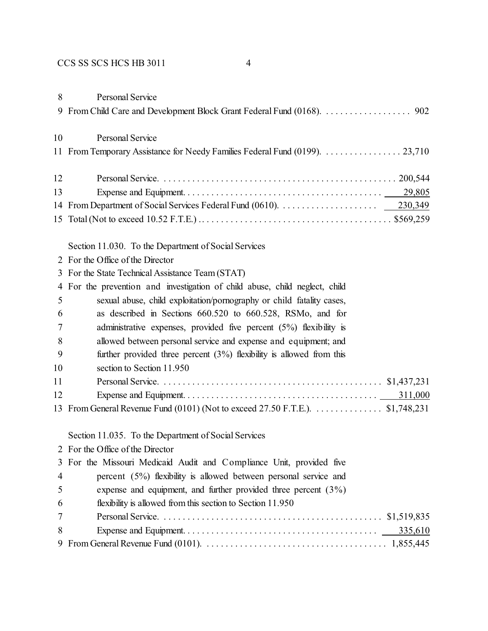| 8  | Personal Service                                                              |
|----|-------------------------------------------------------------------------------|
| 10 | Personal Service                                                              |
|    |                                                                               |
| 12 |                                                                               |
| 13 |                                                                               |
|    |                                                                               |
|    |                                                                               |
|    | Section 11.030. To the Department of Social Services                          |
|    | 2 For the Office of the Director                                              |
|    | 3 For the State Technical Assistance Team (STAT)                              |
| 4  | For the prevention and investigation of child abuse, child neglect, child     |
| 5  | sexual abuse, child exploitation/pornography or child fatality cases,         |
| 6  | as described in Sections 660.520 to 660.528, RSMo, and for                    |
| 7  | administrative expenses, provided five percent $(5%)$ flexibility is          |
| 8  | allowed between personal service and expense and equipment; and               |
| 9  | further provided three percent $(3%)$ flexibility is allowed from this        |
| 10 | section to Section 11.950                                                     |
| 11 |                                                                               |
| 12 |                                                                               |
|    | 13 From General Revenue Fund (0101) (Not to exceed 27.50 F.T.E.). \$1,748,231 |
|    | Section 11.035. To the Department of Social Services                          |
| 2  | For the Office of the Director                                                |
| 3  | For the Missouri Medicaid Audit and Compliance Unit, provided five            |
| 4  | percent $(5\%)$ flexibility is allowed between personal service and           |
| 5  | expense and equipment, and further provided three percent $(3\%)$             |
| 6  | flexibility is allowed from this section to Section 11.950                    |
| 7  |                                                                               |
| 8  | 335,610                                                                       |
| 9  |                                                                               |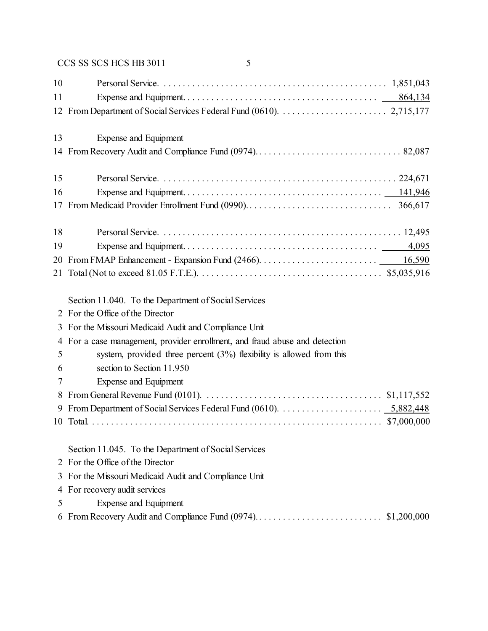| 10 |                                                                             |
|----|-----------------------------------------------------------------------------|
| 11 |                                                                             |
|    |                                                                             |
|    |                                                                             |
| 13 | Expense and Equipment                                                       |
|    |                                                                             |
|    |                                                                             |
| 15 |                                                                             |
| 16 |                                                                             |
|    |                                                                             |
|    |                                                                             |
| 18 |                                                                             |
| 19 |                                                                             |
|    |                                                                             |
|    |                                                                             |
|    |                                                                             |
|    | Section 11.040. To the Department of Social Services                        |
|    | 2 For the Office of the Director                                            |
|    | 3 For the Missouri Medicaid Audit and Compliance Unit                       |
|    | 4 For a case management, provider enrollment, and fraud abuse and detection |
| 5  | system, provided three percent $(3%)$ flexibility is allowed from this      |
| 6  | section to Section 11.950                                                   |
| 7  | Expense and Equipment                                                       |
| 8  |                                                                             |
| 9  |                                                                             |
|    |                                                                             |
|    |                                                                             |
|    | Section 11.045. To the Department of Social Services                        |
|    | 2 For the Office of the Director                                            |
|    | 3 For the Missouri Medicaid Audit and Compliance Unit                       |

- For recovery audit services
- Expense and Equipment
- From Recovery Audit and Compliance Fund (0974). . . . . . . . . . . . . . . . . . . . . . . . . . . \$1,200,000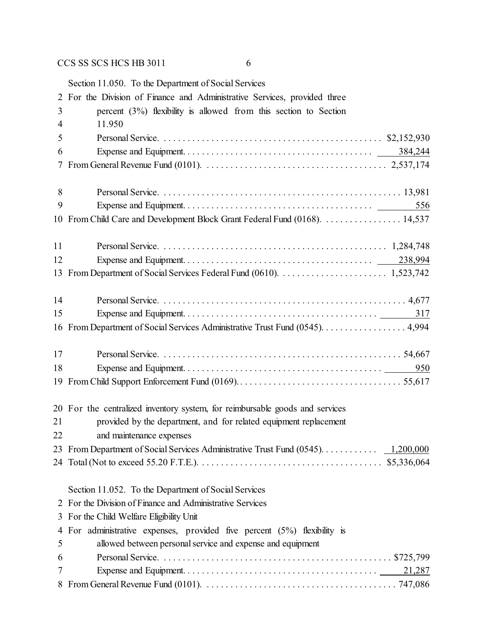|                | Section 11.050. To the Department of Social Services                          |
|----------------|-------------------------------------------------------------------------------|
| 2              | For the Division of Finance and Administrative Services, provided three       |
| 3              | percent $(3%)$ flexibility is allowed from this section to Section            |
| $\overline{4}$ | 11.950                                                                        |
| 5              |                                                                               |
| 6              | 384,244                                                                       |
| 7              |                                                                               |
| 8              |                                                                               |
| 9              | 556                                                                           |
| 10             | From Child Care and Development Block Grant Federal Fund (0168). 14,537       |
| 11             |                                                                               |
| 12             |                                                                               |
| 13             |                                                                               |
| 14             |                                                                               |
| 15             | 317                                                                           |
|                | 16 From Department of Social Services Administrative Trust Fund (0545). 4,994 |
| 17             |                                                                               |
| 18             | 950                                                                           |
| 19             |                                                                               |
|                | 20 For the centralized inventory system, for reimbursable goods and services  |
| 21             |                                                                               |
|                | provided by the department, and for related equipment replacement             |
| 22             | and maintenance expenses                                                      |
|                |                                                                               |
|                |                                                                               |
|                | Section 11.052. To the Department of Social Services                          |
| $\overline{2}$ | For the Division of Finance and Administrative Services                       |
| 3              | For the Child Welfare Eligibility Unit                                        |
| 4              | For administrative expenses, provided five percent $(5%)$ flexibility is      |
| 5              | allowed between personal service and expense and equipment                    |
| 6              |                                                                               |
| 7<br>8         | 21,287                                                                        |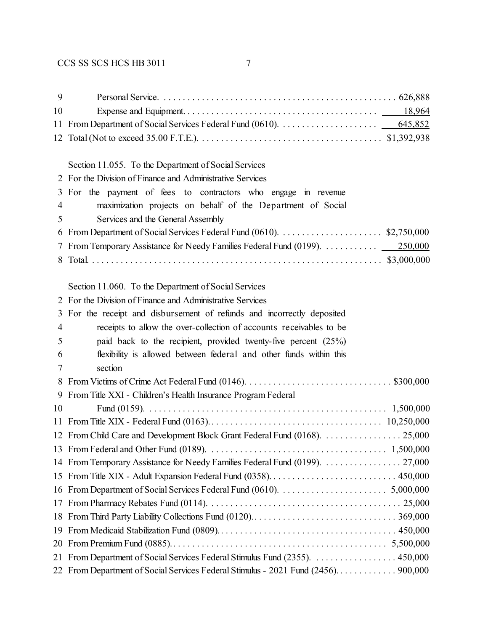| 9              |                                                                                    |  |  |  |  |  |  |
|----------------|------------------------------------------------------------------------------------|--|--|--|--|--|--|
| 10             |                                                                                    |  |  |  |  |  |  |
| 11             |                                                                                    |  |  |  |  |  |  |
| 12             |                                                                                    |  |  |  |  |  |  |
|                |                                                                                    |  |  |  |  |  |  |
|                | Section 11.055. To the Department of Social Services                               |  |  |  |  |  |  |
|                | 2 For the Division of Finance and Administrative Services                          |  |  |  |  |  |  |
| 3              | For the payment of fees to contractors who engage in revenue                       |  |  |  |  |  |  |
| $\overline{4}$ | maximization projects on behalf of the Department of Social                        |  |  |  |  |  |  |
| 5              | Services and the General Assembly                                                  |  |  |  |  |  |  |
| 6              |                                                                                    |  |  |  |  |  |  |
|                | 7 From Temporary Assistance for Needy Families Federal Fund (0199).<br>250,000     |  |  |  |  |  |  |
| 8              |                                                                                    |  |  |  |  |  |  |
|                |                                                                                    |  |  |  |  |  |  |
|                | Section 11.060. To the Department of Social Services                               |  |  |  |  |  |  |
| 2              | For the Division of Finance and Administrative Services                            |  |  |  |  |  |  |
| 3              | For the receipt and disbursement of refunds and incorrectly deposited              |  |  |  |  |  |  |
| $\overline{4}$ | receipts to allow the over-collection of accounts receivables to be                |  |  |  |  |  |  |
| 5              | paid back to the recipient, provided twenty-five percent $(25%)$                   |  |  |  |  |  |  |
| 6              | flexibility is allowed between federal and other funds within this                 |  |  |  |  |  |  |
| 7              | section                                                                            |  |  |  |  |  |  |
| 8              |                                                                                    |  |  |  |  |  |  |
| 9              | From Title XXI - Children's Health Insurance Program Federal                       |  |  |  |  |  |  |
| 10             |                                                                                    |  |  |  |  |  |  |
|                |                                                                                    |  |  |  |  |  |  |
|                | 12 From Child Care and Development Block Grant Federal Fund (0168). 25,000         |  |  |  |  |  |  |
|                |                                                                                    |  |  |  |  |  |  |
|                |                                                                                    |  |  |  |  |  |  |
|                |                                                                                    |  |  |  |  |  |  |
| 16             |                                                                                    |  |  |  |  |  |  |
| 17             |                                                                                    |  |  |  |  |  |  |
| 18             |                                                                                    |  |  |  |  |  |  |
| 19             |                                                                                    |  |  |  |  |  |  |
|                |                                                                                    |  |  |  |  |  |  |
| 21             | From Department of Social Services Federal Stimulus Fund (2355). 450,000           |  |  |  |  |  |  |
|                | 22 From Department of Social Services Federal Stimulus - 2021 Fund (2456). 900,000 |  |  |  |  |  |  |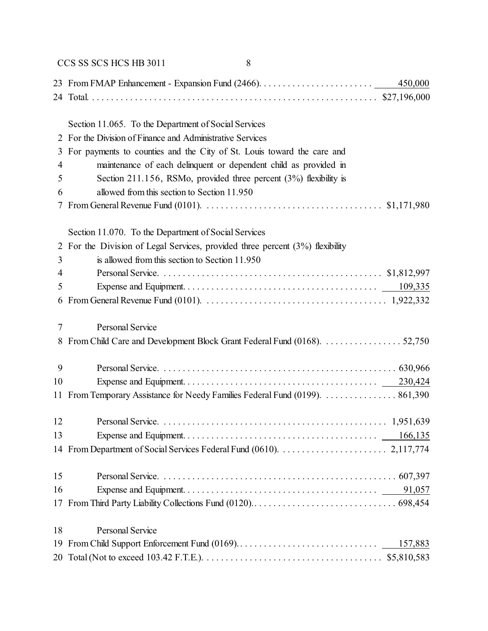|    | CCS SS SCS HCS HB 3011<br>8                                                                                                              |
|----|------------------------------------------------------------------------------------------------------------------------------------------|
|    | 450,000                                                                                                                                  |
|    |                                                                                                                                          |
|    |                                                                                                                                          |
|    | Section 11.065. To the Department of Social Services                                                                                     |
| 2  | For the Division of Finance and Administrative Services                                                                                  |
| 3  | For payments to counties and the City of St. Louis toward the care and                                                                   |
| 4  | maintenance of each delinquent or dependent child as provided in                                                                         |
| 5  | Section 211.156, RSMo, provided three percent $(3%)$ flexibility is                                                                      |
| 6  | allowed from this section to Section 11.950                                                                                              |
| 7  |                                                                                                                                          |
|    | Section 11.070. To the Department of Social Services                                                                                     |
| 2  | For the Division of Legal Services, provided three percent $(3%)$ flexibility                                                            |
| 3  | is allowed from this section to Section 11.950                                                                                           |
| 4  |                                                                                                                                          |
| 5  |                                                                                                                                          |
| 6  | From General Revenue Fund (0101). $\ldots \ldots \ldots \ldots \ldots \ldots \ldots \ldots \ldots \ldots \ldots \ldots \ldots 1,922,332$ |
| 7  | Personal Service                                                                                                                         |
| 8  | From Child Care and Development Block Grant Federal Fund (0168). 52,750                                                                  |
| 9  |                                                                                                                                          |
| 10 |                                                                                                                                          |
| 11 | From Temporary Assistance for Needy Families Federal Fund (0199). 861,390                                                                |
| 12 |                                                                                                                                          |
| 13 |                                                                                                                                          |
| 14 |                                                                                                                                          |
| 15 |                                                                                                                                          |
| 16 |                                                                                                                                          |
| 17 |                                                                                                                                          |
| 18 | Personal Service                                                                                                                         |
| 19 | 157,883                                                                                                                                  |
|    |                                                                                                                                          |
|    |                                                                                                                                          |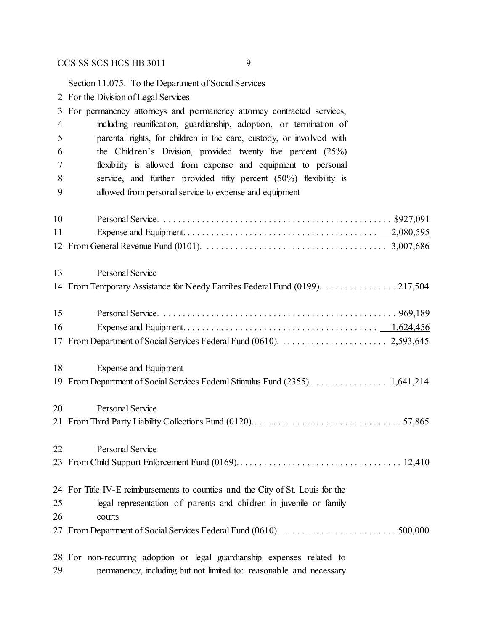Section 11.075. To the Department of Social Services

- For the Division of Legal Services For permanency attorneys and permanency attorney contracted services, including reunification, guardianship, adoption, or termination of parental rights, for children in the care, custody, or involved with the Children's Division, provided twenty five percent (25%) flexibility is allowed from expense and equipment to personal service, and further provided fifty percent (50%) flexibility is allowed from personal service to expense and equipment Personal Service. . . . . . . . . . . . . . . . . . . . . . . . . . . . . . . . . . . . . . . . . . . . . . . . . \$927,091 Expense and Equipment. . . . . . . . . . . . . . . . . . . . . . . . . . . . . . . . . . . . . . . . . 2,080,595 From General Revenue Fund (0101). . . . . . . . . . . . . . . . . . . . . . . . . . . . . . . . . . . . . . . 3,007,686 Personal Service 14 From Temporary Assistance for Needy Families Federal Fund (0199). . . . . . . . . . . . . . . 217,504 Personal Service. . . . . . . . . . . . . . . . . . . . . . . . . . . . . . . . . . . . . . . . . . . . . . . . . . 969,189 Expense and Equipment. . . . . . . . . . . . . . . . . . . . . . . . . . . . . . . . . . . . . . . . . 1,624,456 From Department of Social Services Federal Fund (0610). . . . . . . . . . . . . . . . . . . . . . . 2,593,645 Expense and Equipment From Department of Social Services Federal Stimulus Fund (2355). . . . . . . . . . . . . . . . 1,641,214 Personal Service From Third Party Liability Collections Fund (0120).. . . . . . . . . . . . . . . . . . . . . . . . . . . . . . . 57,865 Personal Service From Child Support Enforcement Fund (0169).. . . . . . . . . . . . . . . . . . . . . . . . . . . . . . . . . . 12,410 For Title IV-E reimbursements to counties and the City of St. Louis for the legal representation of parents and children in juvenile or family courts From Department of Social Services Federal Fund (0610). . . . . . . . . . . . . . . . . . . . . . . . . 500,000 For non-recurring adoption or legal guardianship expenses related to
- permanency, including but not limited to: reasonable and necessary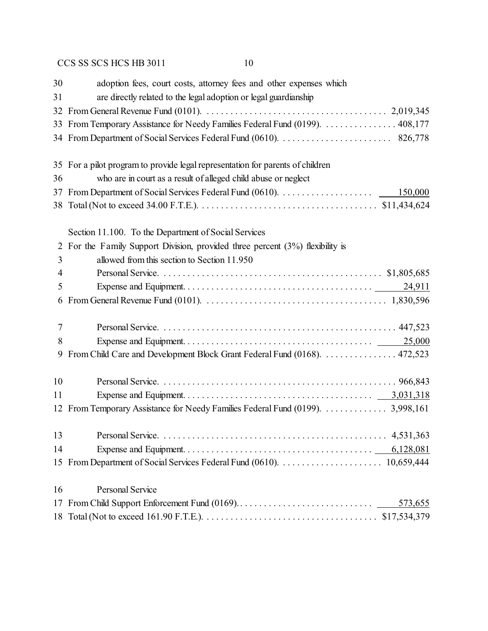| 30 | adoption fees, court costs, attorney fees and other expenses which              |
|----|---------------------------------------------------------------------------------|
| 31 | are directly related to the legal adoption or legal guardianship                |
| 32 |                                                                                 |
|    | 33 From Temporary Assistance for Needy Families Federal Fund (0199).  408,177   |
|    |                                                                                 |
|    | 35 For a pilot program to provide legal representation for parents of children  |
| 36 | who are in court as a result of alleged child abuse or neglect                  |
|    | 150,000                                                                         |
|    |                                                                                 |
|    | Section 11.100. To the Department of Social Services                            |
| 2  | For the Family Support Division, provided three percent $(3%)$ flexibility is   |
| 3  | allowed from this section to Section 11.950                                     |
| 4  |                                                                                 |
| 5  |                                                                                 |
| 6  |                                                                                 |
| 7  |                                                                                 |
| 8  |                                                                                 |
| 9  | From Child Care and Development Block Grant Federal Fund (0168). 472,523        |
| 10 |                                                                                 |
| 11 |                                                                                 |
|    | 12 From Temporary Assistance for Needy Families Federal Fund (0199).  3,998,161 |
| 13 |                                                                                 |
| 14 |                                                                                 |
|    |                                                                                 |
| 16 | <b>Personal Service</b>                                                         |
|    | 573,655                                                                         |
|    |                                                                                 |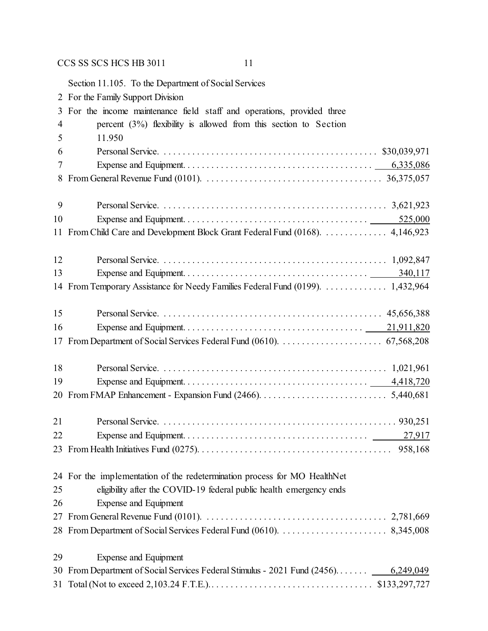Section 11.105. To the Department of Social Services For the Family Support Division For the income maintenance field staff and operations, provided three percent (3%) flexibility is allowed from this section to Section 11.950 Personal Service. . . . . . . . . . . . . . . . . . . . . . . . . . . . . . . . . . . . . . . . . . . . . . \$30,039,971 Expense and Equipment. . . . . . . . . . . . . . . . . . . . . . . . . . . . . . . . . . . . . . . . 6,335,086 From General Revenue Fund (0101). . . . . . . . . . . . . . . . . . . . . . . . . . . . . . . . . . . . . . 36,375,057 Personal Service. . . . . . . . . . . . . . . . . . . . . . . . . . . . . . . . . . . . . . . . . . . . . . . . 3,621,923 Expense and Equipment. . . . . . . . . . . . . . . . . . . . . . . . . . . . . . . . . . . . . . . 525,000 11 From Child Care and Development Block Grant Federal Fund (0168). . . . . . . . . . . . . . 4,146,923 Personal Service. . . . . . . . . . . . . . . . . . . . . . . . . . . . . . . . . . . . . . . . . . . . . . . . 1,092,847 Expense and Equipment. . . . . . . . . . . . . . . . . . . . . . . . . . . . . . . . . . . . . . . 340,117 From Temporary Assistance for Needy Families Federal Fund (0199). . . . . . . . . . . . . . 1,432,964 Personal Service. . . . . . . . . . . . . . . . . . . . . . . . . . . . . . . . . . . . . . . . . . . . . . . 45,656,388 Expense and Equipment. . . . . . . . . . . . . . . . . . . . . . . . . . . . . . . . . . . . . . 21,911,820 From Department of Social Services Federal Fund (0610). . . . . . . . . . . . . . . . . . . . . . 67,568,208 Personal Service. . . . . . . . . . . . . . . . . . . . . . . . . . . . . . . . . . . . . . . . . . . . . . . . 1,021,961 Expense and Equipment. . . . . . . . . . . . . . . . . . . . . . . . . . . . . . . . . . . . . . . 4,418,720 From FMAP Enhancement - Expansion Fund (2466). . . . . . . . . . . . . . . . . . . . . . . . . . . 5,440,681 Personal Service. . . . . . . . . . . . . . . . . . . . . . . . . . . . . . . . . . . . . . . . . . . . . . . . . . 930,251 Expense and Equipment. . . . . . . . . . . . . . . . . . . . . . . . . . . . . . . . . . . . . . . 27,917 From Health Initiatives Fund (0275). . . . . . . . . . . . . . . . . . . . . . . . . . . . . . . . . . . . . . . . . 958,168 For the implementation of the redetermination process for MO HealthNet eligibility after the COVID-19 federal public health emergency ends Expense and Equipment From General Revenue Fund (0101). . . . . . . . . . . . . . . . . . . . . . . . . . . . . . . . . . . . . . . 2,781,669 From Department of Social Services Federal Fund (0610). . . . . . . . . . . . . . . . . . . . . . . 8,345,008 Expense and Equipment From Department of Social Services Federal Stimulus - 2021 Fund (2456). . . . . . . 6,249,049 Total (Not to exceed 2,103.24 F.T.E.).. . . . . . . . . . . . . . . . . . . . . . . . . . . . . . . . . . \$133,297,727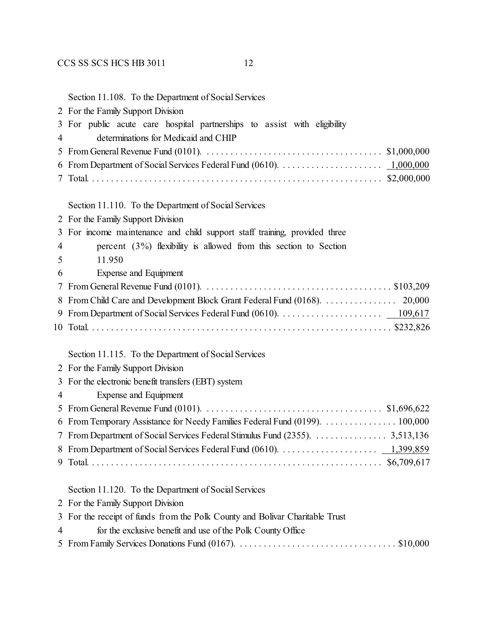|   | Section 11.108. To the Department of Social Services                                                                              |
|---|-----------------------------------------------------------------------------------------------------------------------------------|
|   | 2 For the Family Support Division                                                                                                 |
|   | 3 For public acute care hospital partnerships to assist with eligibility                                                          |
| 4 | determinations for Medicaid and CHIP                                                                                              |
|   |                                                                                                                                   |
|   |                                                                                                                                   |
| 7 |                                                                                                                                   |
|   | Section 11.110. To the Department of Social Services                                                                              |
|   | 2 For the Family Support Division                                                                                                 |
|   | 3 For income maintenance and child support staff training, provided three                                                         |
| 4 | percent $(3\%)$ flexibility is allowed from this section to Section                                                               |
| 5 | 11.950                                                                                                                            |
| 6 | Expense and Equipment                                                                                                             |
| 7 | From General Revenue Fund (0101). $\ldots \ldots \ldots \ldots \ldots \ldots \ldots \ldots \ldots \ldots \ldots \ldots$ \$103,209 |
|   |                                                                                                                                   |
|   |                                                                                                                                   |
|   |                                                                                                                                   |
|   | Section 11.115. To the Department of Social Services                                                                              |
|   | 2 For the Family Support Division                                                                                                 |
|   | 3 For the electronic benefit transfers (EBT) system                                                                               |
| 4 | <b>Expense and Equipment</b>                                                                                                      |
|   |                                                                                                                                   |
|   | 6 From Temporary Assistance for Needy Families Federal Fund (0199).  100,000                                                      |
|   |                                                                                                                                   |
|   |                                                                                                                                   |

Section 11.120. To the Department of Social Services

For the Family Support Division

|  |  |  |  | 3 For the receipt of funds from the Polk County and Bolivar Charitable Trust |  |
|--|--|--|--|------------------------------------------------------------------------------|--|
|  |  |  |  |                                                                              |  |

for the exclusive benefit and use of the Polk County Office

|--|--|--|

Total. . . . . . . . . . . . . . . . . . . . . . . . . . . . . . . . . . . . . . . . . . . . . . . . . . . . . . . . . . . . . . \$6,709,617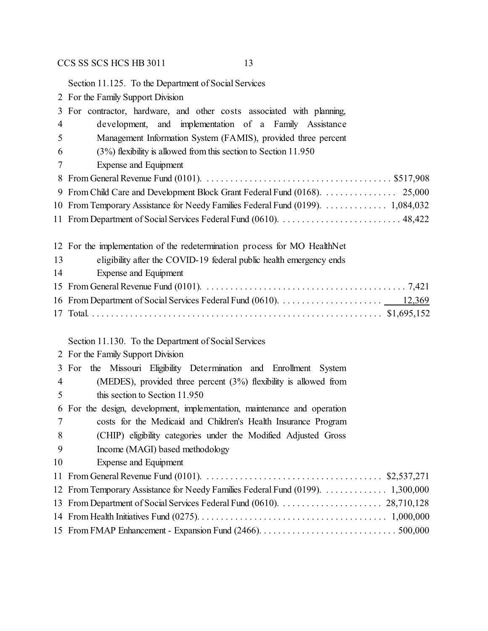Section 11.125. To the Department of Social Services

For the Family Support Division

|                | 3 For contractor, hardware, and other costs associated with planning,           |  |  |  |  |  |
|----------------|---------------------------------------------------------------------------------|--|--|--|--|--|
| 4              | development, and implementation of a Family Assistance                          |  |  |  |  |  |
| 5              | Management Information System (FAMIS), provided three percent                   |  |  |  |  |  |
| 6              | $(3%)$ flexibility is allowed from this section to Section 11.950               |  |  |  |  |  |
| 7              | Expense and Equipment                                                           |  |  |  |  |  |
| 8              |                                                                                 |  |  |  |  |  |
| 9              |                                                                                 |  |  |  |  |  |
|                | 10 From Temporary Assistance for Needy Families Federal Fund (0199).  1,084,032 |  |  |  |  |  |
|                |                                                                                 |  |  |  |  |  |
|                |                                                                                 |  |  |  |  |  |
|                | 12 For the implementation of the redetermination process for MO HealthNet       |  |  |  |  |  |
| 13             | eligibility after the COVID-19 federal public health emergency ends             |  |  |  |  |  |
| 14             | <b>Expense and Equipment</b>                                                    |  |  |  |  |  |
|                |                                                                                 |  |  |  |  |  |
|                |                                                                                 |  |  |  |  |  |
|                |                                                                                 |  |  |  |  |  |
|                |                                                                                 |  |  |  |  |  |
|                | Section 11.130. To the Department of Social Services                            |  |  |  |  |  |
|                | 2 For the Family Support Division                                               |  |  |  |  |  |
|                | 3 For the Missouri Eligibility Determination and Enrollment System              |  |  |  |  |  |
| $\overline{4}$ | (MEDES), provided three percent $(3%)$ flexibility is allowed from              |  |  |  |  |  |
| 5              | this section to Section 11.950                                                  |  |  |  |  |  |
| 6              | For the design, development, implementation, maintenance and operation          |  |  |  |  |  |
| 7              | costs for the Medicaid and Children's Health Insurance Program                  |  |  |  |  |  |
| 8              | (CHIP) eligibility categories under the Modified Adjusted Gross                 |  |  |  |  |  |
| 9              | Income (MAGI) based methodology                                                 |  |  |  |  |  |
| 10             | Expense and Equipment                                                           |  |  |  |  |  |
|                |                                                                                 |  |  |  |  |  |
|                | 12 From Temporary Assistance for Needy Families Federal Fund (0199).  1,300,000 |  |  |  |  |  |

 From Department of Social Services Federal Fund (0610). . . . . . . . . . . . . . . . . . . . . . 28,710,128 From Health Initiatives Fund (0275). . . . . . . . . . . . . . . . . . . . . . . . . . . . . . . . . . . . . . . . 1,000,000 From FMAP Enhancement - Expansion Fund (2466). . . . . . . . . . . . . . . . . . . . . . . . . . . . . 500,000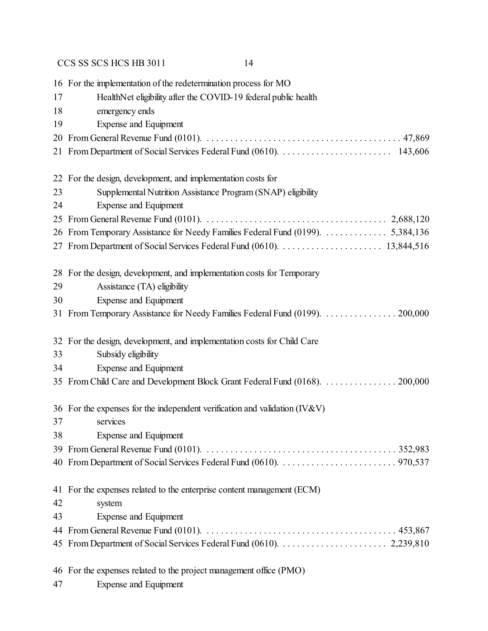|    | 16 For the implementation of the redetermination process for MO                                                                          |  |  |  |  |  |  |
|----|------------------------------------------------------------------------------------------------------------------------------------------|--|--|--|--|--|--|
| 17 | HealthNet eligibility after the COVID-19 federal public health                                                                           |  |  |  |  |  |  |
| 18 | emergency ends                                                                                                                           |  |  |  |  |  |  |
| 19 | Expense and Equipment                                                                                                                    |  |  |  |  |  |  |
| 20 |                                                                                                                                          |  |  |  |  |  |  |
|    |                                                                                                                                          |  |  |  |  |  |  |
|    | 22 For the design, development, and implementation costs for                                                                             |  |  |  |  |  |  |
| 23 | Supplemental Nutrition Assistance Program (SNAP) eligibility                                                                             |  |  |  |  |  |  |
| 24 | <b>Expense and Equipment</b>                                                                                                             |  |  |  |  |  |  |
| 25 | From General Revenue Fund (0101). $\ldots \ldots \ldots \ldots \ldots \ldots \ldots \ldots \ldots \ldots \ldots \ldots \ldots$ 2,688,120 |  |  |  |  |  |  |
|    |                                                                                                                                          |  |  |  |  |  |  |
|    |                                                                                                                                          |  |  |  |  |  |  |
| 28 | For the design, development, and implementation costs for Temporary                                                                      |  |  |  |  |  |  |
| 29 | Assistance (TA) eligibility                                                                                                              |  |  |  |  |  |  |
| 30 | <b>Expense and Equipment</b>                                                                                                             |  |  |  |  |  |  |
|    | 31 From Temporary Assistance for Needy Families Federal Fund (0199).  200,000                                                            |  |  |  |  |  |  |
|    | 32 For the design, development, and implementation costs for Child Care                                                                  |  |  |  |  |  |  |
| 33 | Subsidy eligibility                                                                                                                      |  |  |  |  |  |  |
| 34 | Expense and Equipment                                                                                                                    |  |  |  |  |  |  |
| 35 | From Child Care and Development Block Grant Federal Fund (0168). 200,000                                                                 |  |  |  |  |  |  |
|    | 36 For the expenses for the independent verification and validation (IV&V)                                                               |  |  |  |  |  |  |
| 37 | services                                                                                                                                 |  |  |  |  |  |  |
| 38 | Expense and Equipment                                                                                                                    |  |  |  |  |  |  |
|    |                                                                                                                                          |  |  |  |  |  |  |
|    |                                                                                                                                          |  |  |  |  |  |  |
|    | 41 For the expenses related to the enterprise content management (ECM)                                                                   |  |  |  |  |  |  |
| 42 | system                                                                                                                                   |  |  |  |  |  |  |
| 43 | <b>Expense and Equipment</b>                                                                                                             |  |  |  |  |  |  |
|    |                                                                                                                                          |  |  |  |  |  |  |
|    |                                                                                                                                          |  |  |  |  |  |  |
|    | 46 For the expenses related to the project management office (PMO)                                                                       |  |  |  |  |  |  |

Expense and Equipment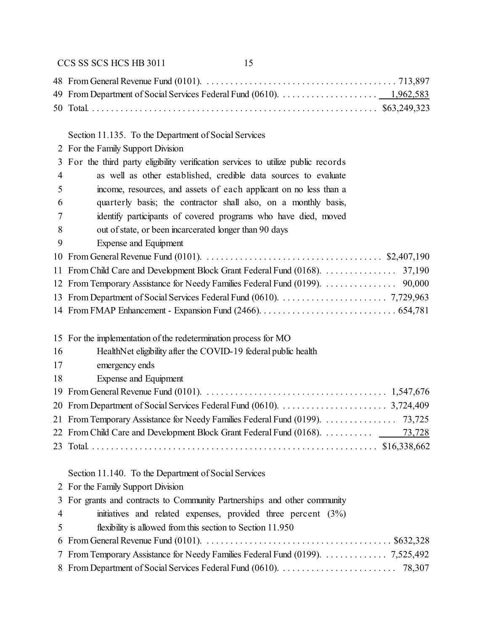## Section 11.135. To the Department of Social Services

For the Family Support Division

|   | 3 For the third party eligibility verification services to utilize public records |
|---|-----------------------------------------------------------------------------------|
| 4 | as well as other established, credible data sources to evaluate                   |
| 5 | income, resources, and assets of each applicant on no less than a                 |
| 6 | quarterly basis; the contractor shall also, on a monthly basis,                   |
| 7 | identify participants of covered programs who have died, moved                    |
| 8 | out of state, or been incarcerated longer than 90 days                            |
| 9 | Expense and Equipment                                                             |
|   |                                                                                   |
|   | 11 From Child Care and Development Block Grant Federal Fund (0168). 37,190        |

| 12 From Temporary Assistance for Needy Families Federal Fund (0199). 90,000 |  |
|-----------------------------------------------------------------------------|--|
|                                                                             |  |
|                                                                             |  |

15 For the implementation of the redetermination process for MO

| 16 | HealthNet eligibility after the COVID-19 federal public health                                                     |
|----|--------------------------------------------------------------------------------------------------------------------|
| 17 | emergency ends                                                                                                     |
| 18 | Expense and Equipment                                                                                              |
|    | 19 From General Revenue Fund (0101). $\ldots$ . $\ldots$ . $\ldots$ . $\ldots$ . $\ldots$ . $\ldots$ . $1,547,676$ |
|    |                                                                                                                    |
|    |                                                                                                                    |
|    | 22 From Child Care and Development Block Grant Federal Fund (0168). 73,728                                         |
|    |                                                                                                                    |

## Section 11.140. To the Department of Social Services

| 2 For the Family Support Division                                                  |
|------------------------------------------------------------------------------------|
| 3 For grants and contracts to Community Partnerships and other community           |
| $\overline{4}$<br>initiatives and related expenses, provided three percent $(3\%)$ |
| 5 <sup>5</sup><br>flexibility is allowed from this section to Section 11.950       |
|                                                                                    |
| 7 From Temporary Assistance for Needy Families Federal Fund (0199). 7,525,492      |
|                                                                                    |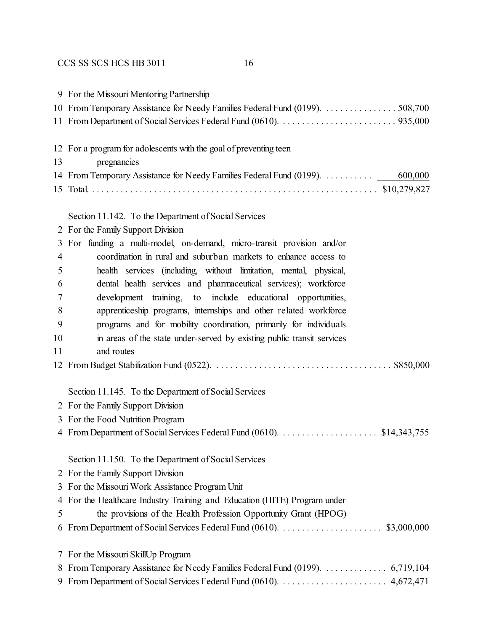|                | 9 For the Missouri Mentoring Partnership                                        |  |  |
|----------------|---------------------------------------------------------------------------------|--|--|
|                |                                                                                 |  |  |
|                |                                                                                 |  |  |
|                | 12 For a program for adolescents with the goal of preventing teen               |  |  |
| 13             | pregnancies                                                                     |  |  |
|                | 14 From Temporary Assistance for Needy Families Federal Fund (0199).<br>600,000 |  |  |
|                |                                                                                 |  |  |
|                | Section 11.142. To the Department of Social Services                            |  |  |
|                | 2 For the Family Support Division                                               |  |  |
| 3              | For funding a multi-model, on-demand, micro-transit provision and/or            |  |  |
| $\overline{4}$ | coordination in rural and suburban markets to enhance access to                 |  |  |
| 5              | health services (including, without limitation, mental, physical,               |  |  |
| 6              | dental health services and pharmaceutical services); workforce                  |  |  |
| 7              | development training, to include educational opportunities,                     |  |  |
| 8              | apprenticeship programs, internships and other related workforce                |  |  |
| 9              | programs and for mobility coordination, primarily for individuals               |  |  |
| 10             | in areas of the state under-served by existing public transit services          |  |  |
| 11             | and routes                                                                      |  |  |
|                |                                                                                 |  |  |
|                | Section 11.145. To the Department of Social Services                            |  |  |
|                | 2 For the Family Support Division                                               |  |  |
|                | 3 For the Food Nutrition Program                                                |  |  |
|                | 4 From Department of Social Services Federal Fund (0610). \$14,343,755          |  |  |
|                | Section 11.150. To the Department of Social Services                            |  |  |
| $\overline{2}$ | For the Family Support Division                                                 |  |  |
| 3              | For the Missouri Work Assistance Program Unit                                   |  |  |
| 4              | For the Healthcare Industry Training and Education (HITE) Program under         |  |  |
| 5              | the provisions of the Health Profession Opportunity Grant (HPOG)                |  |  |
| 6              |                                                                                 |  |  |
| $\mathcal{L}$  | For the Missouri SkillUp Program                                                |  |  |
| 8              |                                                                                 |  |  |
| 9              |                                                                                 |  |  |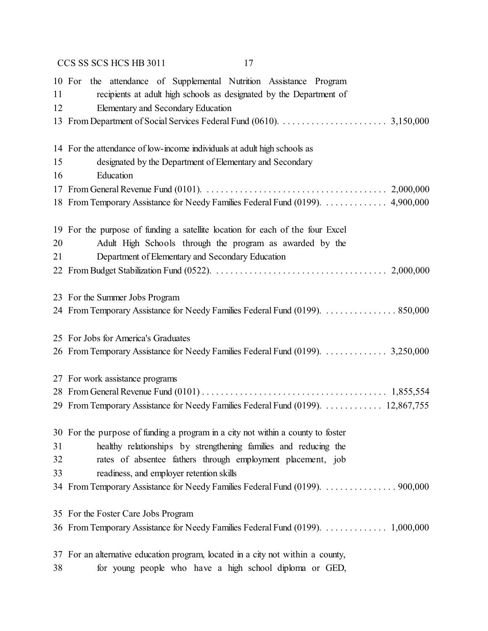|          | CCS SS SCS HCS HB 3011<br>17                                                                                                                                                    |
|----------|---------------------------------------------------------------------------------------------------------------------------------------------------------------------------------|
| 11<br>12 | 10 For the attendance of Supplemental Nutrition Assistance Program<br>recipients at adult high schools as designated by the Department of<br>Elementary and Secondary Education |
|          |                                                                                                                                                                                 |
|          |                                                                                                                                                                                 |
|          | 14 For the attendance of low-income individuals at adult high schools as                                                                                                        |
| 15       | designated by the Department of Elementary and Secondary                                                                                                                        |
| 16       | Education                                                                                                                                                                       |
|          |                                                                                                                                                                                 |
|          | 18 From Temporary Assistance for Needy Families Federal Fund (0199).  4,900,000                                                                                                 |
|          |                                                                                                                                                                                 |
| 20       | 19 For the purpose of funding a satellite location for each of the four Excel<br>Adult High Schools through the program as awarded by the                                       |
| 21       |                                                                                                                                                                                 |
|          | Department of Elementary and Secondary Education                                                                                                                                |
|          |                                                                                                                                                                                 |
|          | 23 For the Summer Jobs Program                                                                                                                                                  |
|          | 24 From Temporary Assistance for Needy Families Federal Fund (0199). 850,000                                                                                                    |
|          |                                                                                                                                                                                 |
|          | 25 For Jobs for America's Graduates                                                                                                                                             |
|          | 26 From Temporary Assistance for Needy Families Federal Fund (0199).  3,250,000                                                                                                 |
|          |                                                                                                                                                                                 |
|          | 27 For work assistance programs                                                                                                                                                 |
|          |                                                                                                                                                                                 |
|          | 29 From Temporary Assistance for Needy Families Federal Fund (0199).  12,867,755                                                                                                |
|          |                                                                                                                                                                                 |
|          | 30 For the purpose of funding a program in a city not within a county to foster                                                                                                 |
| 31       | healthy relationships by strengthening families and reducing the                                                                                                                |
| 32       | rates of absentee fathers through employment placement, job                                                                                                                     |
| 33       | readiness, and employer retention skills                                                                                                                                        |
|          | 34 From Temporary Assistance for Needy Families Federal Fund (0199). 900,000                                                                                                    |
|          | 35 For the Foster Care Jobs Program                                                                                                                                             |
|          |                                                                                                                                                                                 |
|          |                                                                                                                                                                                 |
|          | 37 For an alternative education program, located in a city not within a county,                                                                                                 |
| 38       | for young people who have a high school diploma or GED,                                                                                                                         |
|          |                                                                                                                                                                                 |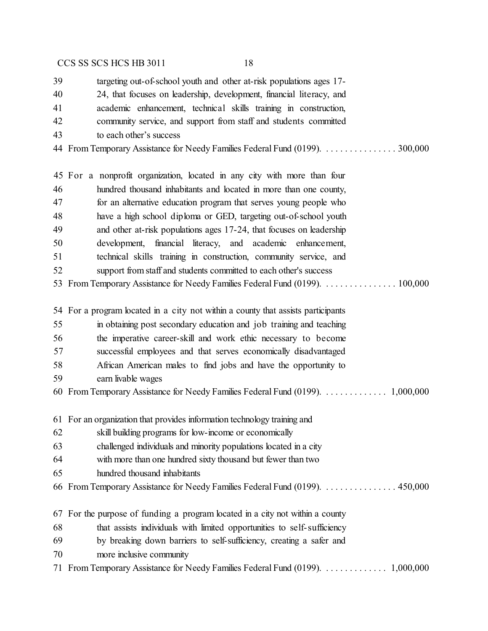| 39 | targeting out-of-school youth and other at-risk populations ages 17-             |
|----|----------------------------------------------------------------------------------|
| 40 | 24, that focuses on leadership, development, financial literacy, and             |
| 41 | academic enhancement, technical skills training in construction,                 |
| 42 | community service, and support from staff and students committed                 |
| 43 | to each other's success                                                          |
|    |                                                                                  |
|    | 45 For a nonprofit organization, located in any city with more than four         |
| 46 | hundred thousand inhabitants and located in more than one county,                |
| 47 | for an alternative education program that serves young people who                |
| 48 | have a high school diploma or GED, targeting out-of-school youth                 |
| 49 | and other at-risk populations ages 17-24, that focuses on leadership             |
| 50 | development, financial literacy, and academic enhancement,                       |
| 51 | technical skills training in construction, community service, and                |
| 52 | support from staff and students committed to each other's success                |
|    | 53 From Temporary Assistance for Needy Families Federal Fund (0199). 100,000     |
|    | 54 For a program located in a city not within a county that assists participants |
| 55 | in obtaining post secondary education and job training and teaching              |
| 56 | the imperative career-skill and work ethic necessary to become                   |
| 57 | successful employees and that serves economically disadvantaged                  |
| 58 | African American males to find jobs and have the opportunity to                  |
| 59 | earn livable wages                                                               |
|    |                                                                                  |
|    | 61 For an organization that provides information technology training and         |
| 62 | skill building programs for low-income or economically                           |
| 63 | challenged individuals and minority populations located in a city                |
| 64 | with more than one hundred sixty thousand but fewer than two                     |
| 65 | hundred thousand inhabitants                                                     |
|    | 66 From Temporary Assistance for Needy Families Federal Fund (0199).  450,000    |
| 67 | For the purpose of funding a program located in a city not within a county       |
| 68 | that assists individuals with limited opportunities to self-sufficiency          |
| 69 | by breaking down barriers to self-sufficiency, creating a safer and              |
| 70 | more inclusive community                                                         |
|    |                                                                                  |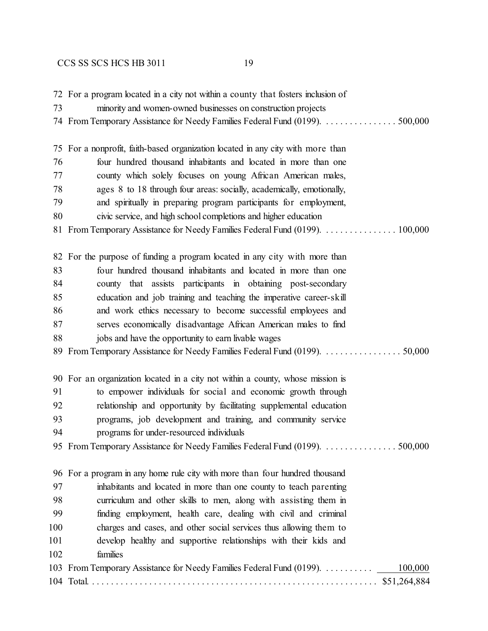|     | 72 For a program located in a city not within a county that fosters inclusion of |
|-----|----------------------------------------------------------------------------------|
| 73  | minority and women-owned businesses on construction projects                     |
|     |                                                                                  |
|     |                                                                                  |
| 75  | For a nonprofit, faith-based organization located in any city with more than     |
| 76  | four hundred thousand inhabitants and located in more than one                   |
| 77  | county which solely focuses on young African American males,                     |
| 78  | ages 8 to 18 through four areas: socially, academically, emotionally,            |
| 79  | and spiritually in preparing program participants for employment,                |
| 80  | civic service, and high school completions and higher education                  |
|     | 81 From Temporary Assistance for Needy Families Federal Fund (0199).  100,000    |
|     | 82 For the purpose of funding a program located in any city with more than       |
| 83  | four hundred thousand inhabitants and located in more than one                   |
| 84  | county that assists participants in obtaining post-secondary                     |
| 85  | education and job training and teaching the imperative career-skill              |
| 86  | and work ethics necessary to become successful employees and                     |
| 87  | serves economically disadvantage African American males to find                  |
| 88  | jobs and have the opportunity to earn livable wages                              |
| 89  | From Temporary Assistance for Needy Families Federal Fund (0199). 50,000         |
|     | 90 For an organization located in a city not within a county, whose mission is   |
| 91  | to empower individuals for social and economic growth through                    |
| 92  | relationship and opportunity by facilitating supplemental education              |
| 93  | programs, job development and training, and community service                    |
| 94  | programs for under-resourced individuals                                         |
|     |                                                                                  |
|     |                                                                                  |
|     | 96 For a program in any home rule city with more than four hundred thousand      |
| 97  | inhabitants and located in more than one county to teach parenting               |
| 98  | curriculum and other skills to men, along with assisting them in                 |
| 99  | finding employment, health care, dealing with civil and criminal                 |
| 100 | charges and cases, and other social services thus allowing them to               |
| 101 | develop healthy and supportive relationships with their kids and                 |
| 102 | families                                                                         |
|     | 103 From Temporary Assistance for Needy Families Federal Fund (0199).<br>100,000 |
|     |                                                                                  |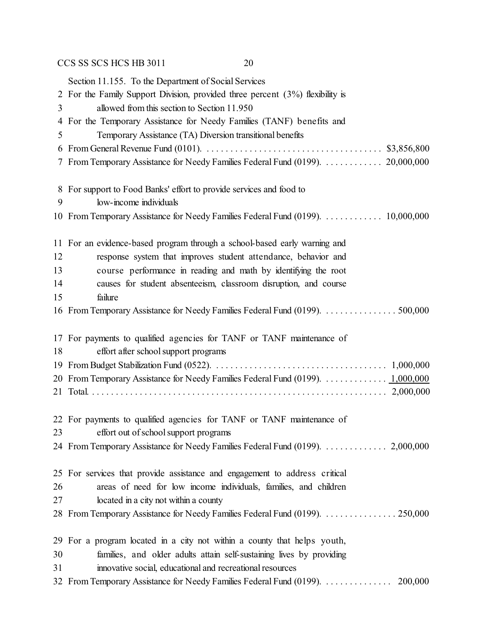Section 11.155. To the Department of Social Services For the Family Support Division, provided three percent (3%) flexibility is allowed from this section to Section 11.950 For the Temporary Assistance for Needy Families (TANF) benefits and Temporary Assistance (TA) Diversion transitional benefits From General Revenue Fund (0101). . . . . . . . . . . . . . . . . . . . . . . . . . . . . . . . . . . . . . \$3,856,800 From Temporary Assistance for Needy Families Federal Fund (0199). . . . . . . . . . . . . 20,000,000 For support to Food Banks' effort to provide services and food to low-income individuals From Temporary Assistance for Needy Families Federal Fund (0199). . . . . . . . . . . . . 10,000,000 For an evidence-based program through a school-based early warning and response system that improves student attendance, behavior and course performance in reading and math by identifying the root causes for student absenteeism, classroom disruption, and course failure 16 From Temporary Assistance for Needy Families Federal Fund (0199). . . . . . . . . . . . . . . . 500,000 For payments to qualified agencies for TANF or TANF maintenance of effort after school support programs From Budget Stabilization Fund (0522). . . . . . . . . . . . . . . . . . . . . . . . . . . . . . . . . . . . . 1,000,000 From Temporary Assistance for Needy Families Federal Fund (0199). . . . . . . . . . . . . . 1,000,000 Total. . . . . . . . . . . . . . . . . . . . . . . . . . . . . . . . . . . . . . . . . . . . . . . . . . . . . . . . . . . . . . . 2,000,000 For payments to qualified agencies for TANF or TANF maintenance of effort out of school support programs From Temporary Assistance for Needy Families Federal Fund (0199). . . . . . . . . . . . . . 2,000,000 For services that provide assistance and engagement to address critical areas of need for low income individuals, families, and children located in a city not within a county From Temporary Assistance for Needy Families Federal Fund (0199). . . . . . . . . . . . . . . . 250,000 For a program located in a city not within a county that helps youth,

- families, and older adults attain self-sustaining lives by providing
- innovative social, educational and recreational resources
- From Temporary Assistance for Needy Families Federal Fund (0199). . . . . . . . . . . . . . . 200,000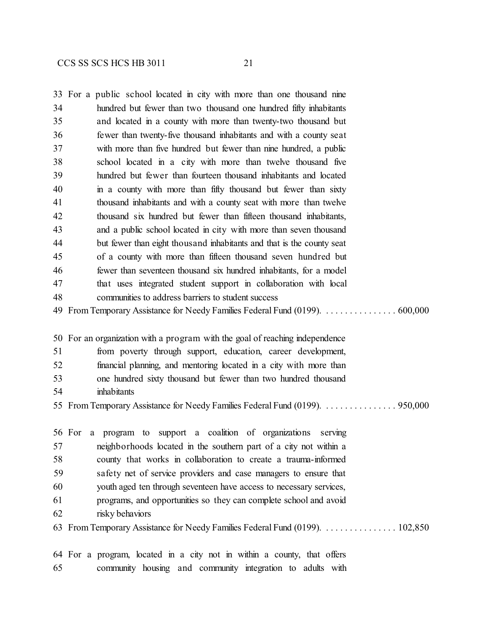|    | 33 For a public school located in city with more than one thousand nine       |
|----|-------------------------------------------------------------------------------|
| 34 | hundred but fewer than two thousand one hundred fifty inhabitants             |
| 35 | and located in a county with more than twenty-two thousand but                |
| 36 | fewer than twenty-five thousand inhabitants and with a county seat            |
| 37 | with more than five hundred but fewer than nine hundred, a public             |
| 38 | school located in a city with more than twelve thousand five                  |
| 39 | hundred but fewer than fourteen thousand inhabitants and located              |
| 40 | in a county with more than fifty thousand but fewer than sixty                |
| 41 | thousand inhabitants and with a county seat with more than twelve             |
| 42 | thousand six hundred but fewer than fifteen thousand inhabitants,             |
| 43 | and a public school located in city with more than seven thousand             |
| 44 | but fewer than eight thousand inhabitants and that is the county seat         |
| 45 | of a county with more than fifteen thousand seven hundred but                 |
| 46 | fewer than seventeen thousand six hundred inhabitants, for a model            |
| 47 | that uses integrated student support in collaboration with local              |
| 48 | communities to address barriers to student success                            |
|    | 49 From Temporary Assistance for Needy Families Federal Fund (0199).  600,000 |
|    | 50 For an organization with a program with the goal of reaching independence  |
| 51 | from poverty through support, education, career development,                  |
| 52 | financial planning, and mentoring located in a city with more than            |
| 53 | one hundred sixty thousand but fewer than two hundred thousand                |
| 54 | inhabitants                                                                   |
|    | 55 From Temporary Assistance for Needy Families Federal Fund (0199).  950,000 |
|    | a program to support a coalition of organizations<br>56 For<br>serving        |
| 57 | neighborhoods located in the southern part of a city not within a             |
| 58 | county that works in collaboration to create a trauma-informed                |
| 59 | safety net of service providers and case managers to ensure that              |
| 60 | youth aged ten through seventeen have access to necessary services,           |
| 61 | programs, and opportunities so they can complete school and avoid             |
| 62 | risky behaviors                                                               |
|    | 63 From Temporary Assistance for Needy Families Federal Fund (0199).  102,850 |
|    |                                                                               |

 For a program, located in a city not in within a county, that offers community housing and community integration to adults with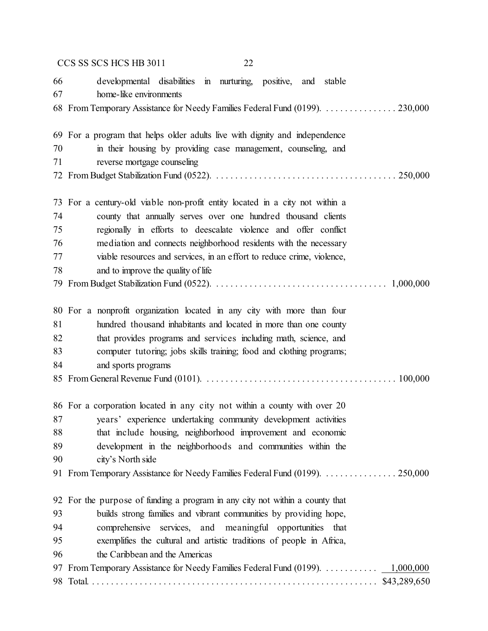|    | CCS SS SCS HCS HB 3011<br>22                                                 |
|----|------------------------------------------------------------------------------|
| 66 | developmental disabilities in nurturing, positive, and stable                |
| 67 | home-like environments                                                       |
|    | 68 From Temporary Assistance for Needy Families Federal Fund (0199). 230,000 |
|    | 69 For a program that helps older adults live with dignity and independence  |
| 70 | in their housing by providing case management, counseling, and               |
| 71 | reverse mortgage counseling                                                  |
|    |                                                                              |
|    | 73 For a century-old viable non-profit entity located in a city not within a |
| 74 | county that annually serves over one hundred thousand clients                |
| 75 | regionally in efforts to deescalate violence and offer conflict              |
| 76 | mediation and connects neighborhood residents with the necessary             |
| 77 | viable resources and services, in an effort to reduce crime, violence,       |
| 78 | and to improve the quality of life                                           |
|    |                                                                              |
|    | 80 For a nonprofit organization located in any city with more than four      |
| 81 | hundred thousand inhabitants and located in more than one county             |
| 82 | that provides programs and services including math, science, and             |
| 83 | computer tutoring; jobs skills training; food and clothing programs;         |
| 84 | and sports programs                                                          |
|    |                                                                              |
|    | 86 For a corporation located in any city not within a county with over 20    |
| 87 | years' experience undertaking community development activities               |
| 88 | that include housing, neighborhood improvement and economic                  |
| 89 | development in the neighborhoods and communities within the                  |
| 90 | city's North side                                                            |
|    | 91 From Temporary Assistance for Needy Families Federal Fund (0199). 250,000 |
|    | 92 For the purpose of funding a program in any city not within a county that |
| 93 | builds strong families and vibrant communities by providing hope,            |
| 94 | comprehensive services, and meaningful opportunities that                    |
| 95 | exemplifies the cultural and artistic traditions of people in Africa,        |
| 96 | the Caribbean and the Americas                                               |
| 97 | From Temporary Assistance for Needy Families Federal Fund (0199). 1,000,000  |
|    |                                                                              |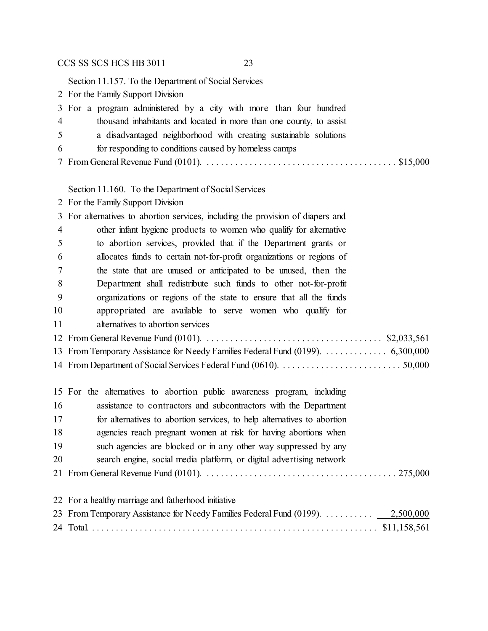Section 11.157. To the Department of Social Services

For the Family Support Division

|                | 3 For a program administered by a city with more than four hundred                                                                                                    |  |
|----------------|-----------------------------------------------------------------------------------------------------------------------------------------------------------------------|--|
| $\overline{4}$ | thousand inhabitants and located in more than one county, to assist                                                                                                   |  |
| 5 <sup>5</sup> | a disadvantaged neighborhood with creating sustainable solutions                                                                                                      |  |
| 6              | for responding to conditions caused by homeless camps                                                                                                                 |  |
|                | 7 From General Revenue Fund (0101). $\ldots$ . $\ldots$ . $\ldots$ . $\ldots$ . $\ldots$ . $\ldots$ . $\ldots$ . $\ldots$ . $\ldots$ . $\ldots$ . $\ldots$ . $\ldots$ |  |

Section 11.160. To the Department of Social Services

For the Family Support Division

|    | 3 For alternatives to abortion services, including the provision of diapers and |
|----|---------------------------------------------------------------------------------|
| 4  | other infant hygiene products to women who qualify for alternative              |
| 5  | to abortion services, provided that if the Department grants or                 |
| 6  | allocates funds to certain not-for-profit organizations or regions of           |
| 7  | the state that are unused or anticipated to be unused, then the                 |
| 8  | Department shall redistribute such funds to other not-for-profit                |
| 9  | organizations or regions of the state to ensure that all the funds              |
| 10 | appropriated are available to serve women who qualify for                       |
| 11 | alternatives to abortion services                                               |
|    |                                                                                 |
|    | 13 From Temporary Assistance for Needy Families Federal Fund (0199). 6,300,000  |
|    |                                                                                 |
|    |                                                                                 |
|    |                                                                                 |

|    | 15 For the alternatives to abortion public awareness program, including |
|----|-------------------------------------------------------------------------|
| 16 | assistance to contractors and subcontractors with the Department        |
| 17 | for alternatives to abortion services, to help alternatives to abortion |
| 18 | agencies reach pregnant women at risk for having abortions when         |
| 19 | such agencies are blocked or in any other way suppressed by any         |
| 20 | search engine, social media platform, or digital advertising network    |
|    |                                                                         |
|    |                                                                         |
|    | 22 For a healthy marriage and fatherhood initiative                     |
|    |                                                                         |
|    |                                                                         |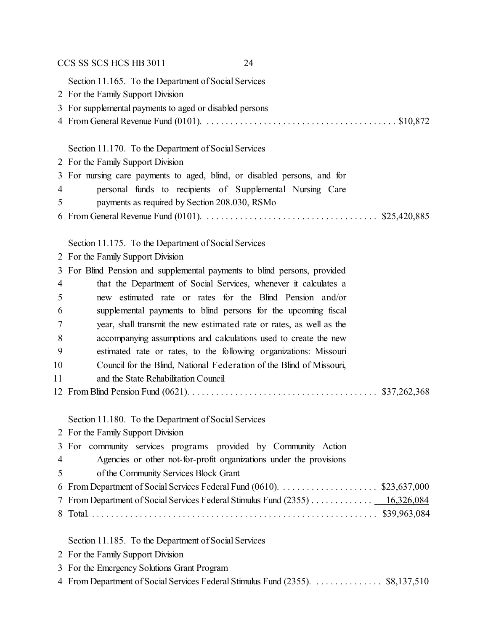|               | CCS SS SCS HCS HB 3011<br>24                                                      |
|---------------|-----------------------------------------------------------------------------------|
|               | Section 11.165. To the Department of Social Services                              |
|               | 2 For the Family Support Division                                                 |
|               | 3 For supplemental payments to aged or disabled persons                           |
|               |                                                                                   |
|               |                                                                                   |
|               | Section 11.170. To the Department of Social Services                              |
|               | 2 For the Family Support Division                                                 |
|               | 3 For nursing care payments to aged, blind, or disabled persons, and for          |
| 4             | personal funds to recipients of Supplemental Nursing Care                         |
| 5             | payments as required by Section 208.030, RSMo                                     |
| 6             |                                                                                   |
|               |                                                                                   |
|               | Section 11.175. To the Department of Social Services                              |
|               | 2 For the Family Support Division                                                 |
| 3             | For Blind Pension and supplemental payments to blind persons, provided            |
| 4             | that the Department of Social Services, whenever it calculates a                  |
| 5             | new estimated rate or rates for the Blind Pension and/or                          |
| 6             | supplemental payments to blind persons for the upcoming fiscal                    |
| 7             | year, shall transmit the new estimated rate or rates, as well as the              |
| 8             | accompanying assumptions and calculations used to create the new                  |
| 9             | estimated rate or rates, to the following organizations: Missouri                 |
| 10            | Council for the Blind, National Federation of the Blind of Missouri,              |
| 11            | and the State Rehabilitation Council                                              |
|               |                                                                                   |
|               |                                                                                   |
|               | Section 11.180. To the Department of Social Services                              |
| 2             | For the Family Support Division                                                   |
| 3             | For community services programs provided by Community Action                      |
| 4             | Agencies or other not-for-profit organizations under the provisions               |
| 5             | of the Community Services Block Grant                                             |
| 6             | From Department of Social Services Federal Fund (0610). \$23,637,000              |
| $\frac{1}{2}$ | From Department of Social Services Federal Stimulus Fund (2355) <u>16,326,084</u> |
| 8             |                                                                                   |
|               | Section 11.185. To the Department of Social Services                              |
|               | 2 For the Family Support Division                                                 |
| 3             | For the Emergency Solutions Grant Program                                         |
|               | 4 From Department of Social Services Federal Stimulus Fund (2355).  \$8,137,510   |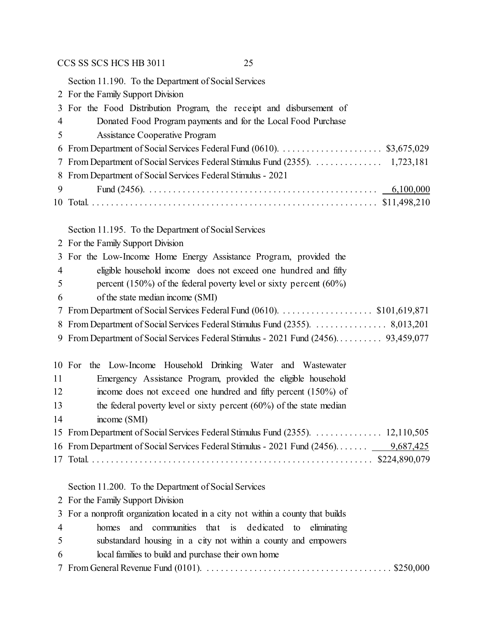Section 11.190. To the Department of Social Services

|    | 2 For the Family Support Division                                                      |
|----|----------------------------------------------------------------------------------------|
|    | 3 For the Food Distribution Program, the receipt and disbursement of                   |
| 4  | Donated Food Program payments and for the Local Food Purchase                          |
| 5  | <b>Assistance Cooperative Program</b>                                                  |
| 6  |                                                                                        |
| 7  |                                                                                        |
| 8  | From Department of Social Services Federal Stimulus - 2021                             |
| 9  |                                                                                        |
|    |                                                                                        |
|    |                                                                                        |
|    | Section 11.195. To the Department of Social Services                                   |
|    | 2 For the Family Support Division                                                      |
|    | 3 For the Low-Income Home Energy Assistance Program, provided the                      |
| 4  | eligible household income does not exceed one hundred and fifty                        |
| 5  | percent (150%) of the federal poverty level or sixty percent (60%)                     |
| 6  | of the state median income (SMI)                                                       |
| 7  | From Department of Social Services Federal Fund (0610). \$101,619,871                  |
|    | 8 From Department of Social Services Federal Stimulus Fund (2355).  8,013,201          |
|    | 9 From Department of Social Services Federal Stimulus - 2021 Fund (2456) 93,459,077    |
|    |                                                                                        |
|    | the Low-Income Household Drinking Water and Wastewater<br>10 For                       |
| 11 | Emergency Assistance Program, provided the eligible household                          |
| 12 | income does not exceed one hundred and fifty percent (150%) of                         |
| 13 | the federal poverty level or sixty percent $(60\%)$ of the state median                |
| 14 | income (SMI)                                                                           |
|    | 15 From Department of Social Services Federal Stimulus Fund (2355).  12,110,505        |
|    | 16 From Department of Social Services Federal Stimulus - 2021 Fund (2456)<br>9,687,425 |
|    | \$224,890,079                                                                          |
|    |                                                                                        |
|    | Section 11.200. To the Department of Social Services                                   |
|    | 2 For the Family Support Division                                                      |
| 3  | For a nonprofit organization located in a city not within a county that builds         |
| 4  | dedicated<br>homes<br>and<br>communities that is<br>eliminating<br>to                  |
| 5  | substandard housing in a city not within a county and empowers                         |
| 6  | local families to build and purchase their own home                                    |
| 7  |                                                                                        |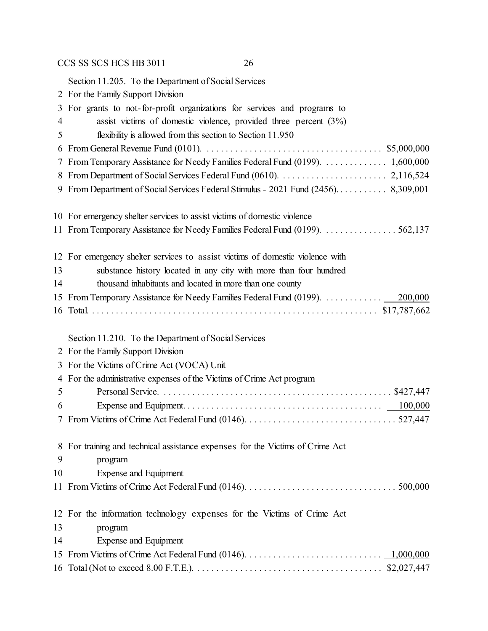Section 11.205. To the Department of Social Services

- For the Family Support Division For grants to not-for-profit organizations for services and programs to assist victims of domestic violence, provided three percent (3%) flexibility is allowed from this section to Section 11.950 From General Revenue Fund (0101). . . . . . . . . . . . . . . . . . . . . . . . . . . . . . . . . . . . . . \$5,000,000 From Temporary Assistance for Needy Families Federal Fund (0199). . . . . . . . . . . . . . 1,600,000 From Department of Social Services Federal Fund (0610). . . . . . . . . . . . . . . . . . . . . . . 2,116,524 From Department of Social Services Federal Stimulus - 2021 Fund (2456). . . . . . . . . . . 8,309,001 For emergency shelter services to assist victims of domestic violence From Temporary Assistance for Needy Families Federal Fund (0199). . . . . . . . . . . . . . . . 562,137 For emergency shelter services to assist victims of domestic violence with substance history located in any city with more than four hundred thousand inhabitants and located in more than one county From Temporary Assistance for Needy Families Federal Fund (0199). . . . . . . . . . . . . 200,000 Total. . . . . . . . . . . . . . . . . . . . . . . . . . . . . . . . . . . . . . . . . . . . . . . . . . . . . . . . . . . . . \$17,787,662 Section 11.210. To the Department of Social Services For the Family Support Division For the Victims of Crime Act (VOCA) Unit For the administrative expenses of the Victims of Crime Act program Personal Service. . . . . . . . . . . . . . . . . . . . . . . . . . . . . . . . . . . . . . . . . . . . . . . . . \$427,447 Expense and Equipment. . . . . . . . . . . . . . . . . . . . . . . . . . . . . . . . . . . . . . . . . . 100,000 From Victims of Crime Act Federal Fund (0146). . . . . . . . . . . . . . . . . . . . . . . . . . . . . . . . 527,447 For training and technical assistance expenses for the Victims of Crime Act program Expense and Equipment From Victims of Crime Act Federal Fund (0146). . . . . . . . . . . . . . . . . . . . . . . . . . . . . . . . 500,000 For the information technology expenses for the Victims of Crime Act program
- Expense and Equipment From Victims of Crime Act Federal Fund (0146). . . . . . . . . . . . . . . . . . . . . . . . . . . . . 1,000,000 Total (Not to exceed 8.00 F.T.E.). . . . . . . . . . . . . . . . . . . . . . . . . . . . . . . . . . . . . . . . \$2,027,447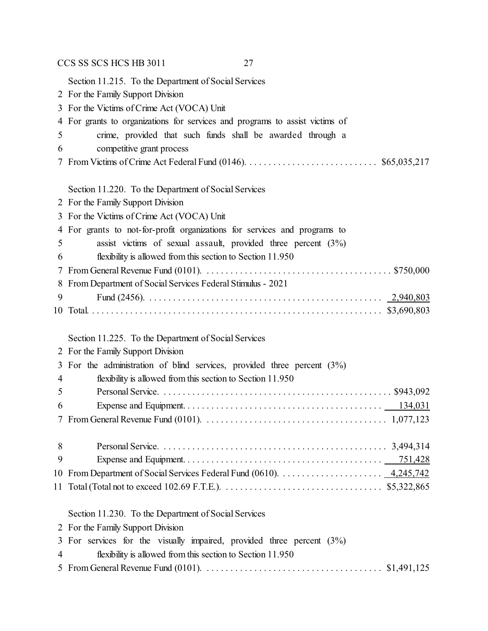|    | CCS SS SCS HCS HB 3011<br>27                                                                                                                                          |
|----|-----------------------------------------------------------------------------------------------------------------------------------------------------------------------|
|    | Section 11.215. To the Department of Social Services                                                                                                                  |
|    | 2 For the Family Support Division                                                                                                                                     |
|    | 3 For the Victims of Crime Act (VOCA) Unit                                                                                                                            |
|    | 4 For grants to organizations for services and programs to assist victims of                                                                                          |
| 5  | crime, provided that such funds shall be awarded through a                                                                                                            |
| 6  | competitive grant process                                                                                                                                             |
| 7  |                                                                                                                                                                       |
|    |                                                                                                                                                                       |
|    | Section 11.220. To the Department of Social Services                                                                                                                  |
|    | 2 For the Family Support Division<br>3 For the Victims of Crime Act (VOCA) Unit                                                                                       |
|    | 4 For grants to not-for-profit organizations for services and programs to                                                                                             |
| 5  | assist victims of sexual assault, provided three percent $(3%)$                                                                                                       |
| 6  | flexibility is allowed from this section to Section 11.950                                                                                                            |
| 7  |                                                                                                                                                                       |
| 8  | From Department of Social Services Federal Stimulus - 2021                                                                                                            |
| 9  |                                                                                                                                                                       |
|    |                                                                                                                                                                       |
|    |                                                                                                                                                                       |
|    | Section 11.225. To the Department of Social Services                                                                                                                  |
|    | 2 For the Family Support Division                                                                                                                                     |
|    | 3 For the administration of blind services, provided three percent (3%)                                                                                               |
| 4  | flexibility is allowed from this section to Section 11.950                                                                                                            |
| 5  |                                                                                                                                                                       |
| 6  |                                                                                                                                                                       |
|    |                                                                                                                                                                       |
| 8  |                                                                                                                                                                       |
| 9  |                                                                                                                                                                       |
| 10 | From Department of Social Services Federal Fund (0610). $\dots \dots \dots \dots \dots \dots \dots \dots \dots \dots \dots \dots \dots \dots \dots \dots \dots \dots$ |
|    |                                                                                                                                                                       |
|    | Section 11.230. To the Department of Social Services                                                                                                                  |
|    | 2 For the Family Support Division                                                                                                                                     |
| 3  | For services for the visually impaired, provided three percent $(3%)$                                                                                                 |
| 4  | flexibility is allowed from this section to Section 11.950                                                                                                            |
| 5  |                                                                                                                                                                       |
|    |                                                                                                                                                                       |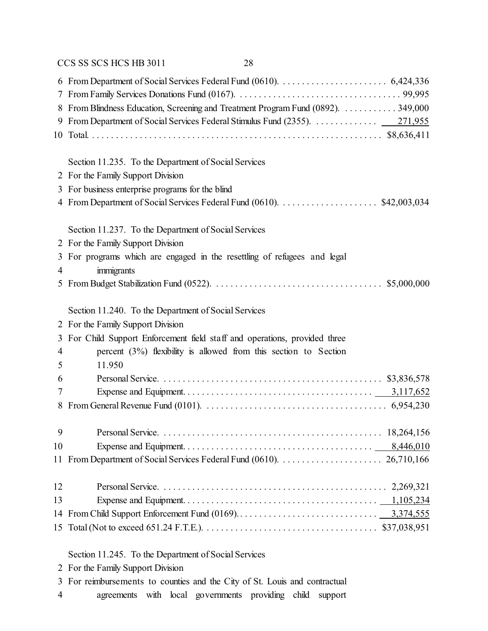| 8  | From Blindness Education, Screening and Treatment Program Fund (0892).  349,000                                                   |
|----|-----------------------------------------------------------------------------------------------------------------------------------|
|    | 9 From Department of Social Services Federal Stimulus Fund (2355).  271,955                                                       |
|    |                                                                                                                                   |
|    |                                                                                                                                   |
|    | Section 11.235. To the Department of Social Services                                                                              |
|    | 2 For the Family Support Division                                                                                                 |
| 3  | For business enterprise programs for the blind                                                                                    |
|    | 4 From Department of Social Services Federal Fund (0610). \$42,003,034                                                            |
|    |                                                                                                                                   |
|    | Section 11.237. To the Department of Social Services                                                                              |
|    | 2 For the Family Support Division                                                                                                 |
| 3  | For programs which are engaged in the resettling of refugees and legal                                                            |
| 4  | immigrants                                                                                                                        |
| 5  |                                                                                                                                   |
|    | Section 11.240. To the Department of Social Services                                                                              |
| 2  | For the Family Support Division                                                                                                   |
| 3  | For Child Support Enforcement field staff and operations, provided three                                                          |
| 4  | percent $(3%)$ flexibility is allowed from this section to Section                                                                |
| 5  | 11.950                                                                                                                            |
|    |                                                                                                                                   |
| 6  |                                                                                                                                   |
| 7  |                                                                                                                                   |
| 8  | From General Revenue Fund (0101). $\ldots \ldots \ldots \ldots \ldots \ldots \ldots \ldots \ldots \ldots \ldots \ldots$ 6,954,230 |
| 9  |                                                                                                                                   |
| 10 |                                                                                                                                   |
|    |                                                                                                                                   |
|    |                                                                                                                                   |
| 12 |                                                                                                                                   |
| 13 |                                                                                                                                   |
|    |                                                                                                                                   |
|    |                                                                                                                                   |
|    | Section 11.245. To the Department of Social Services                                                                              |

- For the Family Support Division
- For reimbursements to counties and the City of St. Louis and contractual
- agreements with local governments providing child support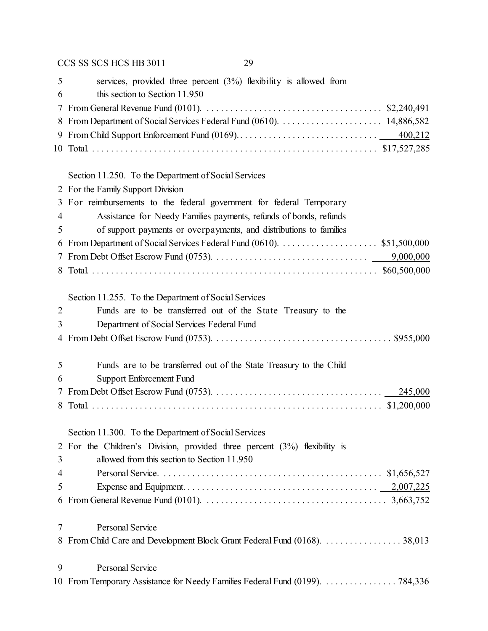| 5              | services, provided three percent $(3%)$ flexibility is allowed from<br>this section to Section 11.950                             |
|----------------|-----------------------------------------------------------------------------------------------------------------------------------|
| 6              |                                                                                                                                   |
| 7              |                                                                                                                                   |
| 8              |                                                                                                                                   |
| 9              |                                                                                                                                   |
|                |                                                                                                                                   |
|                | Section 11.250. To the Department of Social Services                                                                              |
| 2              | For the Family Support Division                                                                                                   |
| 3              | For reimbursements to the federal government for federal Temporary                                                                |
| $\overline{4}$ | Assistance for Needy Families payments, refunds of bonds, refunds                                                                 |
| 5              | of support payments or overpayments, and distributions to families                                                                |
| 6              | From Department of Social Services Federal Fund (0610). \$51,500,000                                                              |
| 7              | 9,000,000                                                                                                                         |
| 8              |                                                                                                                                   |
|                | Section 11.255. To the Department of Social Services                                                                              |
| $\overline{2}$ | Funds are to be transferred out of the State Treasury to the                                                                      |
| 3              | Department of Social Services Federal Fund                                                                                        |
| $\overline{4}$ |                                                                                                                                   |
| 5              | Funds are to be transferred out of the State Treasury to the Child                                                                |
| 6              |                                                                                                                                   |
|                | Support Enforcement Fund                                                                                                          |
| 7<br>8         |                                                                                                                                   |
|                |                                                                                                                                   |
|                | Section 11.300. To the Department of Social Services                                                                              |
| $\overline{2}$ | For the Children's Division, provided three percent $(3%)$ flexibility is                                                         |
| 3              | allowed from this section to Section 11.950                                                                                       |
| $\overline{4}$ |                                                                                                                                   |
| 5              |                                                                                                                                   |
| 6              | From General Revenue Fund (0101). $\ldots \ldots \ldots \ldots \ldots \ldots \ldots \ldots \ldots \ldots \ldots \ldots$ 3,663,752 |
| 7              | Personal Service                                                                                                                  |
| 8              | From Child Care and Development Block Grant Federal Fund (0168). 38,013                                                           |
| 9              | Personal Service                                                                                                                  |
| 10             | From Temporary Assistance for Needy Families Federal Fund (0199). 784,336                                                         |
|                |                                                                                                                                   |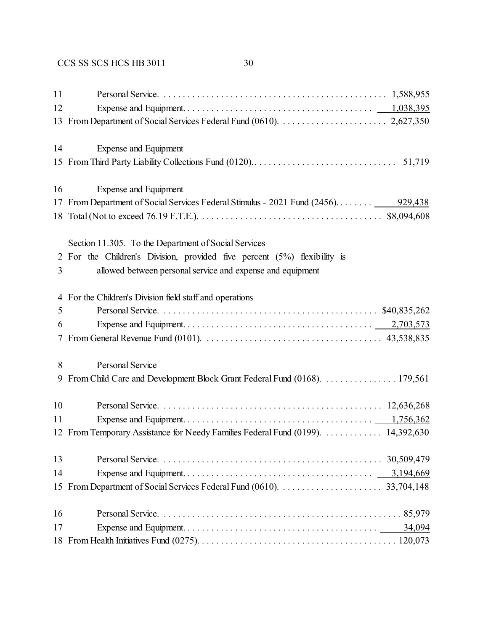| 11 |                                                                                  |
|----|----------------------------------------------------------------------------------|
| 12 |                                                                                  |
| 13 |                                                                                  |
| 14 | Expense and Equipment                                                            |
|    |                                                                                  |
| 16 | <b>Expense and Equipment</b>                                                     |
|    |                                                                                  |
|    |                                                                                  |
|    | Section 11.305. To the Department of Social Services                             |
|    | 2 For the Children's Division, provided five percent (5%) flexibility is         |
| 3  | allowed between personal service and expense and equipment                       |
|    | 4 For the Children's Division field staff and operations                         |
| 5  |                                                                                  |
| 6  |                                                                                  |
| 7  |                                                                                  |
| 8  | Personal Service                                                                 |
| 9  | From Child Care and Development Block Grant Federal Fund (0168). 179,561         |
| 10 |                                                                                  |
| 11 |                                                                                  |
|    | 12 From Temporary Assistance for Needy Families Federal Fund (0199).  14,392,630 |
| 13 |                                                                                  |
| 14 |                                                                                  |
| 15 |                                                                                  |
| 16 |                                                                                  |
| 17 |                                                                                  |
|    |                                                                                  |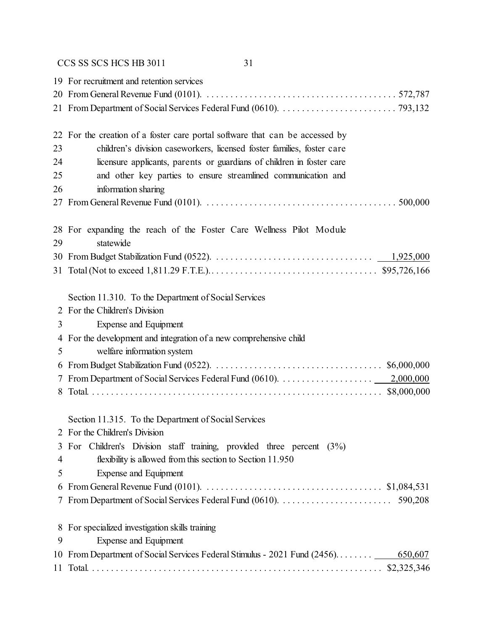|    | 19 For recruitment and retention services                                                                             |
|----|-----------------------------------------------------------------------------------------------------------------------|
|    | 22 For the creation of a foster care portal software that can be accessed by                                          |
| 23 | children's division caseworkers, licensed foster families, foster care                                                |
| 24 | licensure applicants, parents or guardians of children in foster care                                                 |
| 25 | and other key parties to ensure streamlined communication and                                                         |
| 26 | information sharing                                                                                                   |
|    |                                                                                                                       |
| 29 | 28 For expanding the reach of the Foster Care Wellness Pilot Module<br>statewide                                      |
|    |                                                                                                                       |
|    |                                                                                                                       |
|    | Section 11.310. To the Department of Social Services                                                                  |
|    | 2 For the Children's Division                                                                                         |
| 3  | Expense and Equipment                                                                                                 |
| 4  | For the development and integration of a new comprehensive child                                                      |
| 5  | welfare information system                                                                                            |
| 6  |                                                                                                                       |
|    |                                                                                                                       |
| 8  |                                                                                                                       |
|    | Section 11.315. To the Department of Social Services                                                                  |
|    | For the Children's Division                                                                                           |
| 3  | For Children's Division staff training, provided three percent (3%)                                                   |
| 4  | flexibility is allowed from this section to Section 11.950                                                            |
| 5  | Expense and Equipment                                                                                                 |
| 6  | From General Revenue Fund (0101). $\ldots \ldots \ldots \ldots \ldots \ldots \ldots \ldots \ldots \ldots$ \$1,084,531 |
|    |                                                                                                                       |
|    | 8 For specialized investigation skills training                                                                       |
| 9  | Expense and Equipment                                                                                                 |
|    | 10 From Department of Social Services Federal Stimulus - 2021 Fund (2456)<br>650,607                                  |
|    |                                                                                                                       |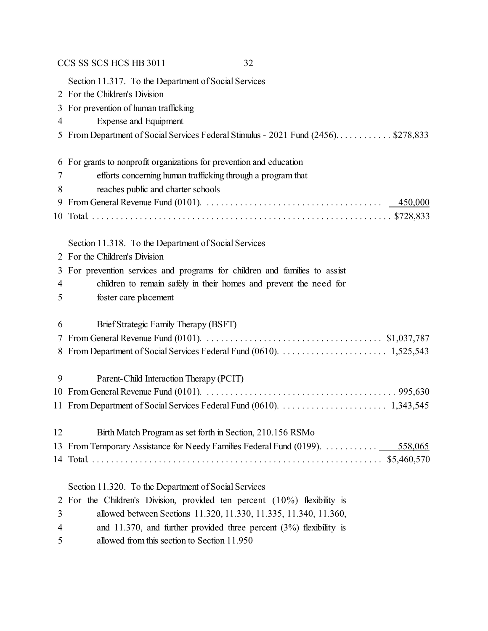|    | CCS SS SCS HCS HB 3011<br>32                                                                                                           |
|----|----------------------------------------------------------------------------------------------------------------------------------------|
|    | Section 11.317. To the Department of Social Services                                                                                   |
|    | 2 For the Children's Division                                                                                                          |
| 3  | For prevention of human trafficking                                                                                                    |
| 4  | Expense and Equipment                                                                                                                  |
|    | 5 From Department of Social Services Federal Stimulus - 2021 Fund (2456)\$278,833                                                      |
| 6  | For grants to nonprofit organizations for prevention and education                                                                     |
| 7  | efforts concerning human trafficking through a program that                                                                            |
| 8  | reaches public and charter schools                                                                                                     |
| 9  | From General Revenue Fund (0101). $\ldots \ldots \ldots \ldots \ldots \ldots \ldots \ldots \ldots \ldots \ldots \ldots \qquad 450,000$ |
| 10 |                                                                                                                                        |
|    | Section 11.318. To the Department of Social Services                                                                                   |
| 2  | For the Children's Division                                                                                                            |
| 3  | For prevention services and programs for children and families to assist                                                               |
| 4  | children to remain safely in their homes and prevent the need for                                                                      |
| 5  | foster care placement                                                                                                                  |
| 6  | Brief Strategic Family Therapy (BSFT)                                                                                                  |
|    |                                                                                                                                        |
|    |                                                                                                                                        |
| 9  | Parent-Child Interaction Therapy (PCIT)                                                                                                |
|    |                                                                                                                                        |
|    |                                                                                                                                        |
| 12 | Birth Match Program as set forth in Section, 210.156 RSMo                                                                              |
| 13 | From Temporary Assistance for Needy Families Federal Fund (0199). 558,065                                                              |
|    |                                                                                                                                        |
|    | Section 11.320. To the Department of Social Services                                                                                   |
| 2  | For the Children's Division, provided ten percent $(10\%)$ flexibility is                                                              |
| 3  | allowed between Sections 11.320, 11.330, 11.335, 11.340, 11.360,                                                                       |
| 4  | and 11.370, and further provided three percent $(3%)$ flexibility is                                                                   |
| 5  | allowed from this section to Section 11.950                                                                                            |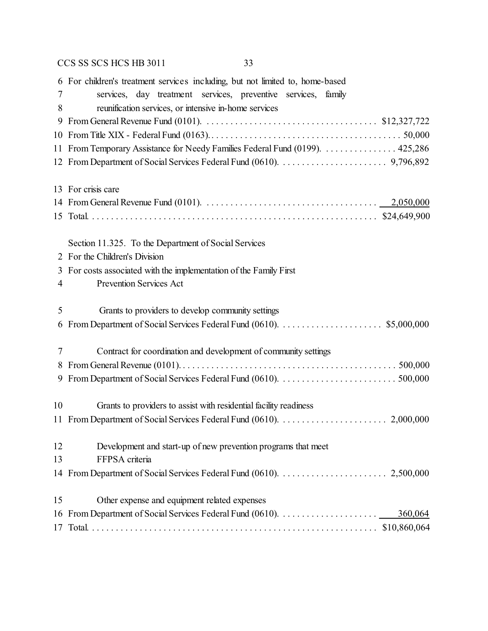|    | 6 For children's treatment services including, but not limited to, home-based                                          |
|----|------------------------------------------------------------------------------------------------------------------------|
| 7  | services, day treatment services, preventive services, family                                                          |
| 8  | reunification services, or intensive in-home services                                                                  |
| 9  | From General Revenue Fund (0101). $\ldots \ldots \ldots \ldots \ldots \ldots \ldots \ldots \ldots \ldots$ \$12,327,722 |
|    |                                                                                                                        |
|    | 11 From Temporary Assistance for Needy Families Federal Fund (0199).  425,286                                          |
|    |                                                                                                                        |
|    | 13 For crisis care                                                                                                     |
|    |                                                                                                                        |
|    |                                                                                                                        |
|    | Section 11.325. To the Department of Social Services                                                                   |
|    | 2 For the Children's Division                                                                                          |
|    | 3 For costs associated with the implementation of the Family First                                                     |
| 4  | Prevention Services Act                                                                                                |
| 5  | Grants to providers to develop community settings                                                                      |
| 6  |                                                                                                                        |
| 7  | Contract for coordination and development of community settings                                                        |
| 8  |                                                                                                                        |
| 9  |                                                                                                                        |
| 10 | Grants to providers to assist with residential facility readiness                                                      |
|    |                                                                                                                        |
| 12 | Development and start-up of new prevention programs that meet                                                          |
| 13 | FFPSA criteria                                                                                                         |
|    |                                                                                                                        |
| 15 | Other expense and equipment related expenses                                                                           |
| 16 | 360,064                                                                                                                |
| 17 |                                                                                                                        |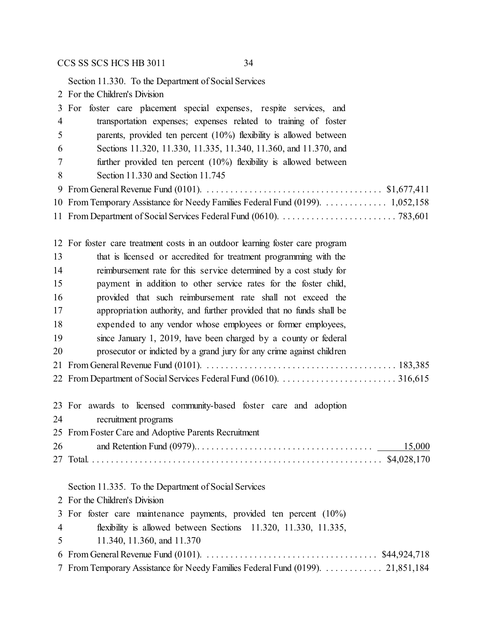Section 11.330. To the Department of Social Services

For the Children's Division

|                | 3 For foster care placement special expenses, respite services, and                                                |
|----------------|--------------------------------------------------------------------------------------------------------------------|
| 4              | transportation expenses; expenses related to training of foster                                                    |
| 5              | parents, provided ten percent $(10\%)$ flexibility is allowed between                                              |
| 6              | Sections 11.320, 11.330, 11.335, 11.340, 11.360, and 11.370, and                                                   |
| 7              | further provided ten percent $(10\%)$ flexibility is allowed between                                               |
| 8              | Section 11.330 and Section 11.745                                                                                  |
| 9              |                                                                                                                    |
|                | 10 From Temporary Assistance for Needy Families Federal Fund (0199).  1,052,158                                    |
|                |                                                                                                                    |
|                | 12 For foster care treatment costs in an outdoor learning foster care program                                      |
| 13             | that is licensed or accredited for treatment programming with the                                                  |
| 14             | reimbursement rate for this service determined by a cost study for                                                 |
| 15             | payment in addition to other service rates for the foster child,                                                   |
| 16             | provided that such reimbursement rate shall not exceed the                                                         |
| 17             | appropriation authority, and further provided that no funds shall be                                               |
| 18             | expended to any vendor whose employees or former employees,                                                        |
| 19             | since January 1, 2019, have been charged by a county or federal                                                    |
| 20             | prosecutor or indicted by a grand jury for any crime against children                                              |
|                |                                                                                                                    |
|                |                                                                                                                    |
|                | 23 For awards to licensed community-based foster care and adoption                                                 |
| 24             | recruitment programs                                                                                               |
|                | 25 From Foster Care and Adoptive Parents Recruitment                                                               |
| 26             | 15,000                                                                                                             |
|                |                                                                                                                    |
|                | Section 11.335. To the Department of Social Services                                                               |
|                | 2 For the Children's Division                                                                                      |
| 3              | For foster care maintenance payments, provided ten percent $(10\%)$                                                |
| $\overline{4}$ | flexibility is allowed between Sections 11.320, 11.330, 11.335,                                                    |
| 5              | 11.340, 11.360, and 11.370                                                                                         |
| 6              | From General Revenue Fund (0101). $\dots \dots \dots \dots \dots \dots \dots \dots \dots \dots \dots$ \$44,924,718 |
|                | From Temporary Assistance for Needy Families Federal Fund (0199). 21,851,184                                       |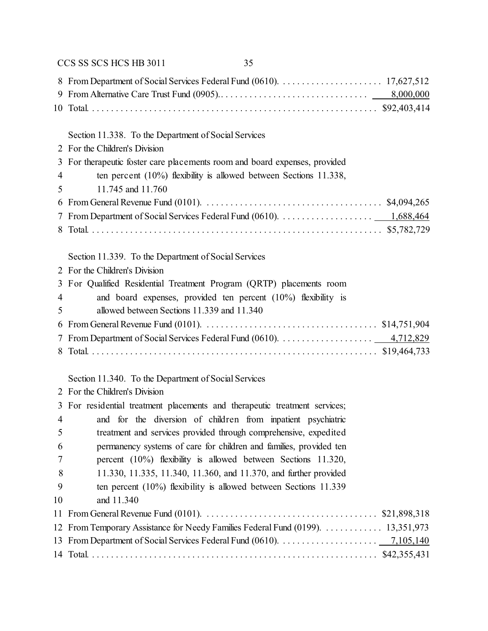|    | CCS SS SCS HCS HB 3011<br>35                                                     |
|----|----------------------------------------------------------------------------------|
|    |                                                                                  |
|    |                                                                                  |
|    |                                                                                  |
|    |                                                                                  |
|    | Section 11.338. To the Department of Social Services                             |
|    | 2 For the Children's Division                                                    |
|    | 3 For therapeutic foster care placements room and board expenses, provided       |
| 4  | ten percent $(10\%)$ flexibility is allowed between Sections 11.338,             |
| 5  | 11.745 and 11.760                                                                |
|    |                                                                                  |
| 7  |                                                                                  |
| 8  |                                                                                  |
|    | Section 11.339. To the Department of Social Services                             |
|    | 2 For the Children's Division                                                    |
|    | 3 For Qualified Residential Treatment Program (QRTP) placements room             |
| 4  | and board expenses, provided ten percent $(10\%)$ flexibility is                 |
| 5  | allowed between Sections 11.339 and 11.340                                       |
| 6  |                                                                                  |
| 7  |                                                                                  |
|    |                                                                                  |
|    | Section 11.340. To the Department of Social Services                             |
|    | 2 For the Children's Division                                                    |
|    | 3 For residential treatment placements and therapeutic treatment services;       |
| 4  | and for the diversion of children from inpatient psychiatric                     |
| 5  | treatment and services provided through comprehensive, expedited                 |
| 6  | permanency systems of care for children and families, provided ten               |
| 7  | percent $(10\%)$ flexibility is allowed between Sections 11.320,                 |
| 8  | 11.330, 11.335, 11.340, 11.360, and 11.370, and further provided                 |
| 9  | ten percent $(10\%)$ flexibility is allowed between Sections 11.339              |
| 10 | and 11.340                                                                       |
|    |                                                                                  |
|    | 12 From Temporary Assistance for Needy Families Federal Fund (0199).  13,351,973 |
|    |                                                                                  |
|    |                                                                                  |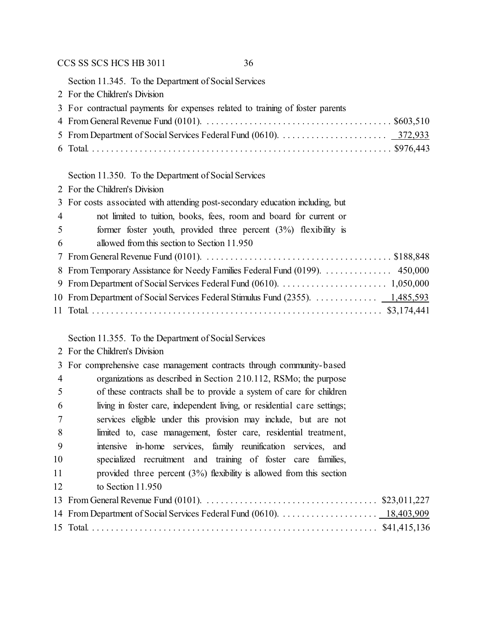Section 11.345. To the Department of Social Services

For the Children's Division

| 3 For contractual payments for expenses related to training of foster parents |  |
|-------------------------------------------------------------------------------|--|
|                                                                               |  |
|                                                                               |  |

Total. . . . . . . . . . . . . . . . . . . . . . . . . . . . . . . . . . . . . . . . . . . . . . . . . . . . . . . . . . . . . . . . \$976,443

## Section 11.350. To the Department of Social Services

| 2 For the Children's Division                   |
|-------------------------------------------------|
| 3 For costs associated with attending post-seco |

|                | 3 For costs associated with attending post-secondary education including, but |
|----------------|-------------------------------------------------------------------------------|
| $\overline{4}$ | not limited to tuition, books, fees, room and board for current or            |
| 5              | former foster youth, provided three percent $(3%)$ flexibility is             |
| 6              | allowed from this section to Section 11.950                                   |
|                |                                                                               |
|                | 8 From Temporary Assistance for Needy Families Federal Fund (0199). 450,000   |
|                |                                                                               |
|                | 10 From Department of Social Services Federal Stimulus Fund (2355). 1,485,593 |
|                |                                                                               |

Section 11.355. To the Department of Social Services

For the Children's Division

|                | 3 For comprehensive case management contracts through community-based    |
|----------------|--------------------------------------------------------------------------|
| $\overline{4}$ | organizations as described in Section 210.112, RSMo; the purpose         |
| 5              | of these contracts shall be to provide a system of care for children     |
| 6              | living in foster care, independent living, or residential care settings; |
| 7              | services eligible under this provision may include, but are not          |
| 8              | limited to, case management, foster care, residential treatment,         |
| -9             | intensive in-home services, family reunification services, and           |
| 10             | specialized recruitment and training of foster care families,            |
| 11             | provided three percent $(3\%)$ flexibility is allowed from this section  |
| 12             | to Section $11.950$                                                      |
|                |                                                                          |
|                |                                                                          |
|                |                                                                          |
|                |                                                                          |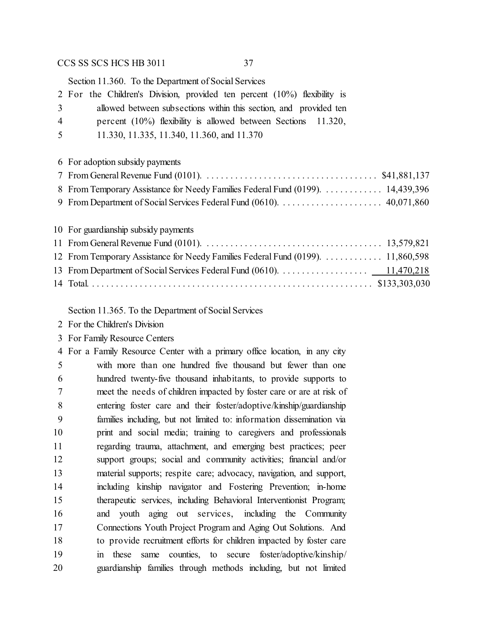Section 11.360. To the Department of Social Services

|   | 2 For the Children's Division, provided ten percent (10%) flexibility is |  |
|---|--------------------------------------------------------------------------|--|
| 3 | allowed between subsections within this section, and provided ten        |  |
| 4 | percent $(10\%)$ flexibility is allowed between Sections 11.320,         |  |
| 5 | 11.330, 11.335, 11.340, 11.360, and 11.370                               |  |

|  |  |  |  | 6 For adoption subsidy payments |
|--|--|--|--|---------------------------------|
|--|--|--|--|---------------------------------|

| 8 From Temporary Assistance for Needy Families Federal Fund (0199). 14,439,396 |  |
|--------------------------------------------------------------------------------|--|
|                                                                                |  |

For guardianship subsidy payments

| 12 From Temporary Assistance for Needy Families Federal Fund (0199). 11,860,598 |  |
|---------------------------------------------------------------------------------|--|
|                                                                                 |  |
|                                                                                 |  |

Section 11.365. To the Department of Social Services

For the Children's Division

For Family Resource Centers

 For a Family Resource Center with a primary office location, in any city with more than one hundred five thousand but fewer than one hundred twenty-five thousand inhabitants, to provide supports to meet the needs of children impacted by foster care or are at risk of entering foster care and their foster/adoptive/kinship/guardianship families including, but not limited to: information dissemination via print and social media; training to caregivers and professionals regarding trauma, attachment, and emerging best practices; peer support groups; social and community activities; financial and/or material supports; respite care; advocacy, navigation, and support, including kinship navigator and Fostering Prevention; in-home therapeutic services, including Behavioral Interventionist Program; and youth aging out services, including the Community Connections Youth Project Program and Aging Out Solutions. And to provide recruitment efforts for children impacted by foster care in these same counties, to secure foster/adoptive/kinship/ guardianship families through methods including, but not limited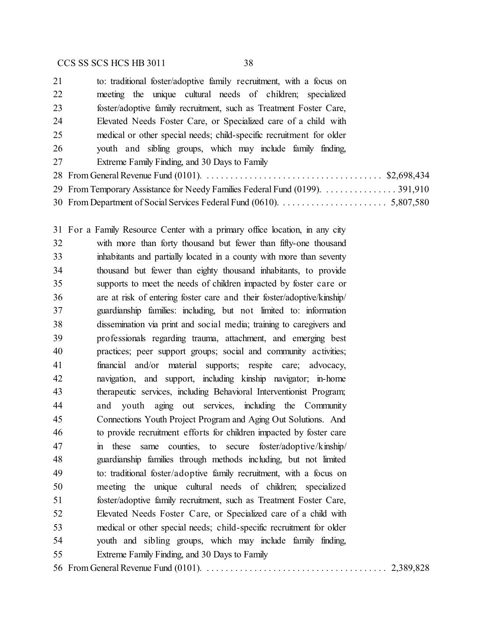| 21 | to: traditional foster/adoptive family recruitment, with a focus on          |
|----|------------------------------------------------------------------------------|
| 22 | meeting the unique cultural needs of children; specialized                   |
| 23 | foster/adoptive family recruitment, such as Treatment Foster Care,           |
| 24 | Elevated Needs Foster Care, or Specialized care of a child with              |
| 25 | medical or other special needs; child-specific recruitment for older         |
| 26 | youth and sibling groups, which may include family finding,                  |
| 27 | Extreme Family Finding, and 30 Days to Family                                |
|    |                                                                              |
|    | 29 From Temporary Assistance for Needy Families Federal Fund (0199). 391,910 |
|    |                                                                              |

 For a Family Resource Center with a primary office location, in any city with more than forty thousand but fewer than fifty-one thousand inhabitants and partially located in a county with more than seventy thousand but fewer than eighty thousand inhabitants, to provide supports to meet the needs of children impacted by foster care or are at risk of entering foster care and their foster/adoptive/kinship/ guardianship families: including, but not limited to: information dissemination via print and social media; training to caregivers and professionals regarding trauma, attachment, and emerging best practices; peer support groups; social and community activities; financial and/or material supports; respite care; advocacy, navigation, and support, including kinship navigator; in-home therapeutic services, including Behavioral Interventionist Program; and youth aging out services, including the Community Connections Youth Project Program and Aging Out Solutions. And to provide recruitment efforts for children impacted by foster care in these same counties, to secure foster/adoptive/kinship/ guardianship families through methods including, but not limited to: traditional foster/adoptive family recruitment, with a focus on meeting the unique cultural needs of children; specialized foster/adoptive family recruitment, such as Treatment Foster Care, Elevated Needs Foster Care, or Specialized care of a child with medical or other special needs; child-specific recruitment for older youth and sibling groups, which may include family finding, Extreme Family Finding, and 30 Days to Family From General Revenue Fund (0101). . . . . . . . . . . . . . . . . . . . . . . . . . . . . . . . . . . . . . . 2,389,828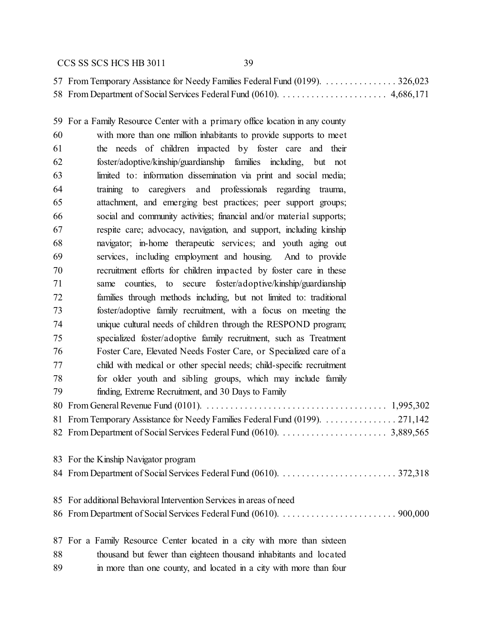| 57 From Temporary Assistance for Needy Families Federal Fund (0199). 326,023 |  |
|------------------------------------------------------------------------------|--|
|                                                                              |  |

 For a Family Resource Center with a primary office location in any county with more than one million inhabitants to provide supports to meet the needs of children impacted by foster care and their foster/adoptive/kinship/guardianship families including, but not limited to: information dissemination via print and social media; training to caregivers and professionals regarding trauma, attachment, and emerging best practices; peer support groups; social and community activities; financial and/or material supports; respite care; advocacy, navigation, and support, including kinship navigator; in-home therapeutic services; and youth aging out services, including employment and housing. And to provide recruitment efforts for children impacted by foster care in these same counties, to secure foster/adoptive/kinship/guardianship families through methods including, but not limited to: traditional foster/adoptive family recruitment, with a focus on meeting the unique cultural needs of children through the RESPOND program; specialized foster/adoptive family recruitment, such as Treatment Foster Care, Elevated Needs Foster Care, or Specialized care of a child with medical or other special needs; child-specific recruitment for older youth and sibling groups, which may include family finding, Extreme Recruitment, and 30 Days to Family From General Revenue Fund (0101). . . . . . . . . . . . . . . . . . . . . . . . . . . . . . . . . . . . . . . 1,995,302 81 From Temporary Assistance for Needy Families Federal Fund (0199). . . . . . . . . . . . . . . . 271,142 From Department of Social Services Federal Fund (0610). . . . . . . . . . . . . . . . . . . . . . . 3,889,565 For the Kinship Navigator program From Department of Social Services Federal Fund (0610). . . . . . . . . . . . . . . . . . . . . . . . . 372,318 For additional Behavioral Intervention Services in areas of need From Department of Social Services Federal Fund (0610). . . . . . . . . . . . . . . . . . . . . . . . . 900,000 For a Family Resource Center located in a city with more than sixteen thousand but fewer than eighteen thousand inhabitants and located in more than one county, and located in a city with more than four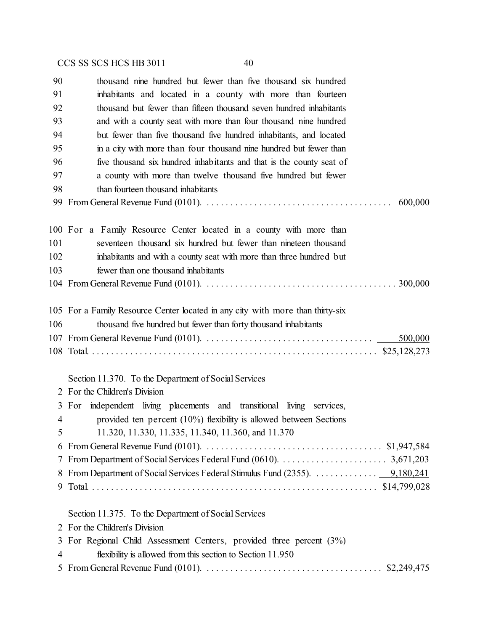thousand nine hundred but fewer than five thousand six hundred inhabitants and located in a county with more than fourteen thousand but fewer than fifteen thousand seven hundred inhabitants and with a county seat with more than four thousand nine hundred but fewer than five thousand five hundred inhabitants, and located in a city with more than four thousand nine hundred but fewer than five thousand six hundred inhabitants and that is the county seat of a county with more than twelve thousand five hundred but fewer than fourteen thousand inhabitants From General Revenue Fund (0101). . . . . . . . . . . . . . . . . . . . . . . . . . . . . . . . . . . . . . . . 600,000 For a Family Resource Center located in a county with more than seventeen thousand six hundred but fewer than nineteen thousand inhabitants and with a county seat with more than three hundred but fewer than one thousand inhabitants From General Revenue Fund (0101). . . . . . . . . . . . . . . . . . . . . . . . . . . . . . . . . . . . . . . . . 300,000 For a Family Resource Center located in any city with more than thirty-six thousand five hundred but fewer than forty thousand inhabitants From General Revenue Fund (0101). . . . . . . . . . . . . . . . . . . . . . . . . . . . . . . . . . . . 500,000 Total. . . . . . . . . . . . . . . . . . . . . . . . . . . . . . . . . . . . . . . . . . . . . . . . . . . . . . . . . . . . . \$25,128,273 Section 11.370. To the Department of Social Services For the Children's Division For independent living placements and transitional living services, provided ten percent (10%) flexibility is allowed between Sections 11.320, 11.330, 11.335, 11.340, 11.360, and 11.370 From General Revenue Fund (0101). . . . . . . . . . . . . . . . . . . . . . . . . . . . . . . . . . . . . . \$1,947,584 From Department of Social Services Federal Fund (0610). . . . . . . . . . . . . . . . . . . . . . . 3,671,203 From Department of Social Services Federal Stimulus Fund (2355). . . . . . . . . . . . . . 9,180,241 Total. . . . . . . . . . . . . . . . . . . . . . . . . . . . . . . . . . . . . . . . . . . . . . . . . . . . . . . . . . . . . \$14,799,028 Section 11.375. To the Department of Social Services For the Children's Division For Regional Child Assessment Centers, provided three percent (3%) flexibility is allowed from this section to Section 11.950 From General Revenue Fund (0101). . . . . . . . . . . . . . . . . . . . . . . . . . . . . . . . . . . . . . \$2,249,475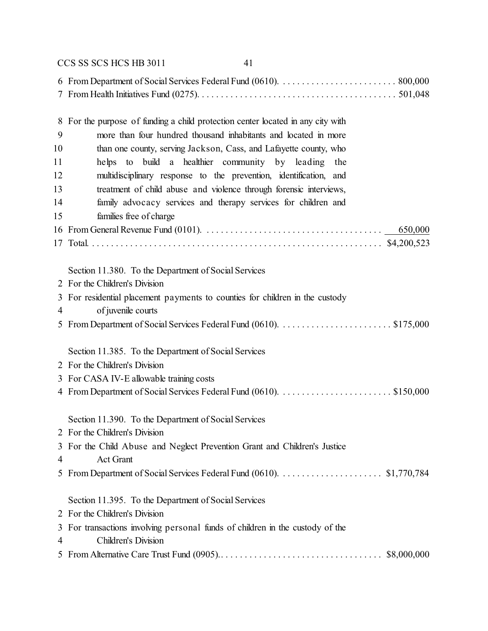|    | CCS SS SCS HCS HB 3011<br>41                                                  |
|----|-------------------------------------------------------------------------------|
|    |                                                                               |
| 8  | For the purpose of funding a child protection center located in any city with |
| 9  | more than four hundred thousand inhabitants and located in more               |
| 10 | than one county, serving Jackson, Cass, and Lafayette county, who             |
| 11 | helps to build a healthier community by leading the                           |
| 12 | multidisciplinary response to the prevention, identification, and             |
| 13 | treatment of child abuse and violence through forensic interviews,            |
| 14 | family advocacy services and therapy services for children and                |
| 15 | families free of charge                                                       |
|    | 650,000                                                                       |
|    |                                                                               |
|    | Section 11.380. To the Department of Social Services                          |
|    | 2 For the Children's Division                                                 |
|    | 3 For residential placement payments to counties for children in the custody  |
| 4  | of juvenile courts                                                            |
|    |                                                                               |
|    | Section 11.385. To the Department of Social Services                          |
|    | 2 For the Children's Division                                                 |
|    | 3 For CASA IV-E allowable training costs                                      |
|    |                                                                               |
|    | Section 11.390. To the Department of Social Services                          |
|    | 2 For the Children's Division                                                 |
| 3  | For the Child Abuse and Neglect Prevention Grant and Children's Justice       |
| 4  | <b>Act Grant</b>                                                              |
|    | 5 From Department of Social Services Federal Fund (0610). \$1,770,784         |
|    | Section 11.395. To the Department of Social Services                          |
|    | 2 For the Children's Division                                                 |
| 3  | For transactions involving personal funds of children in the custody of the   |
| 4  | Children's Division                                                           |
|    |                                                                               |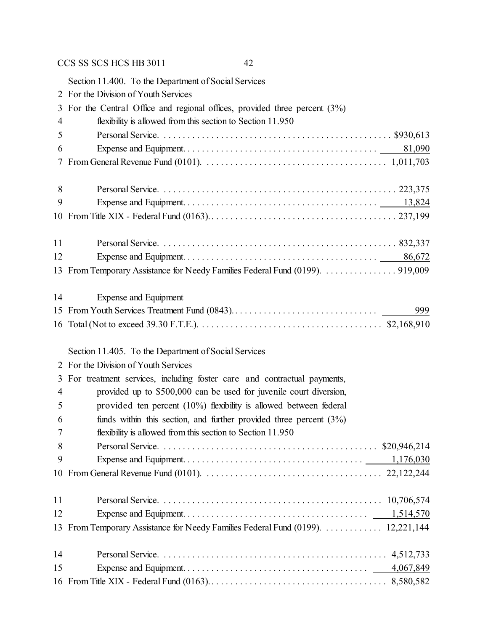|                | Section 11.400. To the Department of Social Services                             |
|----------------|----------------------------------------------------------------------------------|
|                | 2 For the Division of Youth Services                                             |
| 3              | For the Central Office and regional offices, provided three percent $(3%)$       |
| 4              | flexibility is allowed from this section to Section 11.950                       |
| 5              |                                                                                  |
| 6              |                                                                                  |
| 7              |                                                                                  |
| 8              |                                                                                  |
| 9              |                                                                                  |
|                |                                                                                  |
| 11             |                                                                                  |
| 12             |                                                                                  |
|                |                                                                                  |
| 14             | Expense and Equipment                                                            |
|                | 999                                                                              |
|                |                                                                                  |
|                | Section 11.405. To the Department of Social Services                             |
|                | 2 For the Division of Youth Services                                             |
| 3              | For treatment services, including foster care and contractual payments,          |
| $\overline{4}$ | provided up to \$500,000 can be used for juvenile court diversion,               |
| 5              | provided ten percent $(10\%)$ flexibility is allowed between federal             |
| 6              | funds within this section, and further provided three percent $(3\%)$            |
| 7              | flexibility is allowed from this section to Section 11.950                       |
| 8              |                                                                                  |
| 9              |                                                                                  |
|                |                                                                                  |
| 11             |                                                                                  |
| 12             |                                                                                  |
|                | 13 From Temporary Assistance for Needy Families Federal Fund (0199).  12,221,144 |
| 14             |                                                                                  |
| 15             |                                                                                  |
|                |                                                                                  |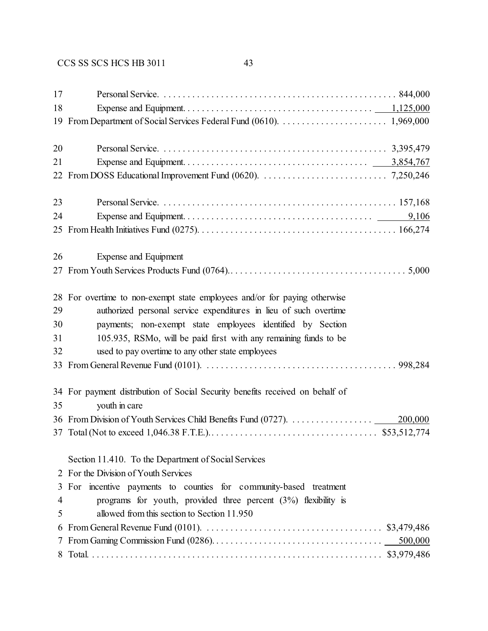| 17       |                                                                                                                                             |
|----------|---------------------------------------------------------------------------------------------------------------------------------------------|
| 18       |                                                                                                                                             |
| 19       |                                                                                                                                             |
| 20       |                                                                                                                                             |
| 21       |                                                                                                                                             |
|          |                                                                                                                                             |
| 23       |                                                                                                                                             |
| 24       |                                                                                                                                             |
|          |                                                                                                                                             |
| 26       | Expense and Equipment                                                                                                                       |
|          |                                                                                                                                             |
| 28<br>29 | For overtime to non-exempt state employees and/or for paying otherwise<br>authorized personal service expenditures in lieu of such overtime |
| 30       | payments; non-exempt state employees identified by Section                                                                                  |
| 31       | 105.935, RSMo, will be paid first with any remaining funds to be                                                                            |
| 32       | used to pay overtime to any other state employees                                                                                           |
| 33       |                                                                                                                                             |
| 35       | 34 For payment distribution of Social Security benefits received on behalf of<br>youth in care                                              |
|          | 200,000                                                                                                                                     |
|          |                                                                                                                                             |
|          | Section 11.410. To the Department of Social Services                                                                                        |
|          | 2 For the Division of Youth Services                                                                                                        |
| 3        | For incentive payments to counties for community-based treatment                                                                            |
| 4        | programs for youth, provided three percent $(3%)$ flexibility is                                                                            |
| 5        | allowed from this section to Section 11.950                                                                                                 |
| 6        | From General Revenue Fund (0101). $\ldots \ldots \ldots \ldots \ldots \ldots \ldots \ldots \ldots \ldots$ \$3,479,486                       |
| 7        | 500,000                                                                                                                                     |
|          |                                                                                                                                             |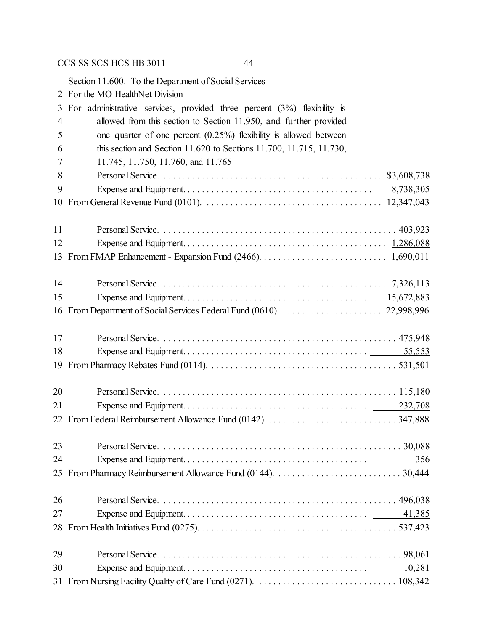Section 11.600. To the Department of Social Services

|                | 2 For the MO HealthNet Division                                           |
|----------------|---------------------------------------------------------------------------|
| 3              | For administrative services, provided three percent $(3%)$ flexibility is |
| $\overline{4}$ | allowed from this section to Section 11.950, and further provided         |
| 5              | one quarter of one percent $(0.25\%)$ flexibility is allowed between      |
| 6              | this section and Section 11.620 to Sections 11.700, 11.715, 11.730,       |
| 7              | 11.745, 11.750, 11.760, and 11.765                                        |
| 8              |                                                                           |
| 9              |                                                                           |
| 10             |                                                                           |
| 11             |                                                                           |
| 12             |                                                                           |
| 13             |                                                                           |
| 14             |                                                                           |
| 15             |                                                                           |
| 16             |                                                                           |
| 17             |                                                                           |
| 18             |                                                                           |
| 19             |                                                                           |
| 20             |                                                                           |
| 21             |                                                                           |
|                |                                                                           |
| 23             |                                                                           |
| 24             | <u>356</u>                                                                |
|                |                                                                           |
| 26             |                                                                           |
| 27             | 41,385                                                                    |
|                |                                                                           |
| 29             |                                                                           |
| 30             | 10,281                                                                    |
| 31             |                                                                           |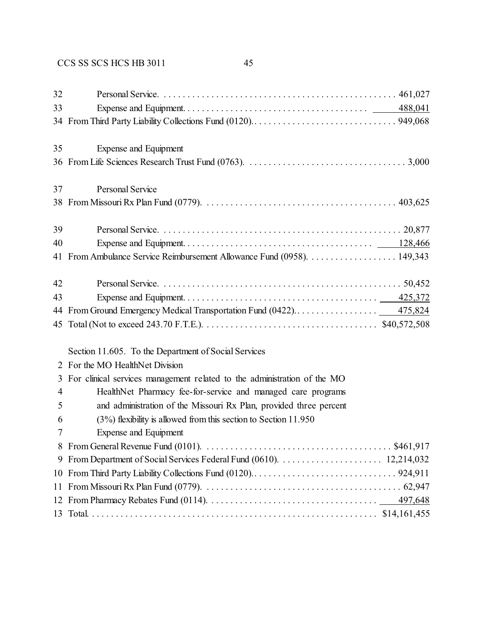| 32             |                                                                                                                               |
|----------------|-------------------------------------------------------------------------------------------------------------------------------|
| 33             |                                                                                                                               |
|                |                                                                                                                               |
| 35             | <b>Expense and Equipment</b>                                                                                                  |
|                |                                                                                                                               |
| 37             | <b>Personal Service</b>                                                                                                       |
|                |                                                                                                                               |
| 39             |                                                                                                                               |
| 40             |                                                                                                                               |
|                | 41 From Ambulance Service Reimbursement Allowance Fund (0958). 149,343                                                        |
| 42             |                                                                                                                               |
| 43             |                                                                                                                               |
| 44             |                                                                                                                               |
|                |                                                                                                                               |
|                | Section 11.605. To the Department of Social Services                                                                          |
| 2              | For the MO HealthNet Division                                                                                                 |
| 3              | For clinical services management related to the administration of the MO                                                      |
| $\overline{4}$ | HealthNet Pharmacy fee-for-service and managed care programs                                                                  |
| 5              | and administration of the Missouri Rx Plan, provided three percent                                                            |
| 6              | $(3%)$ flexibility is allowed from this section to Section 11.950                                                             |
| 7              | Expense and Equipment                                                                                                         |
| 8              | From General Revenue Fund (0101). $\dots \dots \dots \dots \dots \dots \dots \dots \dots \dots \dots \dots \dots \$ \$461,917 |
|                | 9 From Department of Social Services Federal Fund (0610).                                                                     |

 $\epsilon$  Pepartment of Social Services Federal Fund (0610).  $\ldots$  . . . . . . . . . . . . . . . . . 12,214,032 From Third Party Liability Collections Fund (0120).. . . . . . . . . . . . . . . . . . . . . . . . . . . . . . 924,911 From Missouri Rx Plan Fund (0779). . . . . . . . . . . . . . . . . . . . . . . . . . . . . . . . . . . . . . . . . . 62,947 From Pharmacy Rebates Fund (0114). . . . . . . . . . . . . . . . . . . . . . . . . . . . . . . . . . . . 497,648 Total. . . . . . . . . . . . . . . . . . . . . . . . . . . . . . . . . . . . . . . . . . . . . . . . . . . . . . . . . . . . . \$14,161,455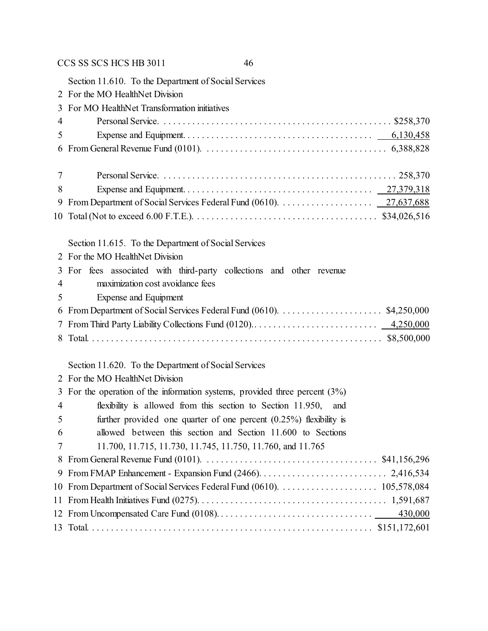Section 11.610. To the Department of Social Services For the MO HealthNet Division For MO HealthNet Transformation initiatives Personal Service. . . . . . . . . . . . . . . . . . . . . . . . . . . . . . . . . . . . . . . . . . . . . . . . . \$258,370 Expense and Equipment. . . . . . . . . . . . . . . . . . . . . . . . . . . . . . . . . . . . . . . . 6,130,458 From General Revenue Fund (0101). . . . . . . . . . . . . . . . . . . . . . . . . . . . . . . . . . . . . . . 6,388,828 Personal Service. . . . . . . . . . . . . . . . . . . . . . . . . . . . . . . . . . . . . . . . . . . . . . . . . . 258,370 Expense and Equipment. . . . . . . . . . . . . . . . . . . . . . . . . . . . . . . . . . . . . . . . 27,379,318 From Department of Social Services Federal Fund (0610). . . . . . . . . . . . . . . . . . . . 27,637,688 Total (Not to exceed 6.00 F.T.E.). . . . . . . . . . . . . . . . . . . . . . . . . . . . . . . . . . . . . . . \$34,026,516 Section 11.615. To the Department of Social Services For the MO HealthNet Division For fees associated with third-party collections and other revenue maximization cost avoidance fees Expense and Equipment From Department of Social Services Federal Fund (0610). . . . . . . . . . . . . . . . . . . . . . \$4,250,000 From Third Party Liability Collections Fund (0120).. . . . . . . . . . . . . . . . . . . . . . . . . . 4,250,000

Total. . . . . . . . . . . . . . . . . . . . . . . . . . . . . . . . . . . . . . . . . . . . . . . . . . . . . . . . . . . . . . \$8,500,000

### Section 11.620. To the Department of Social Services

|                | 2 For the MO HealthNet Division                                                |
|----------------|--------------------------------------------------------------------------------|
|                | 3 For the operation of the information systems, provided three percent $(3\%)$ |
| $\overline{4}$ | flexibility is allowed from this section to Section 11.950, and                |
| 5              | further provided one quarter of one percent $(0.25\%)$ flexibility is          |
| 6              | allowed between this section and Section 11.600 to Sections                    |
| 7              | 11.700, 11.715, 11.730, 11.745, 11.750, 11.760, and 11.765                     |
|                |                                                                                |
|                |                                                                                |
|                |                                                                                |
|                |                                                                                |
|                |                                                                                |
|                |                                                                                |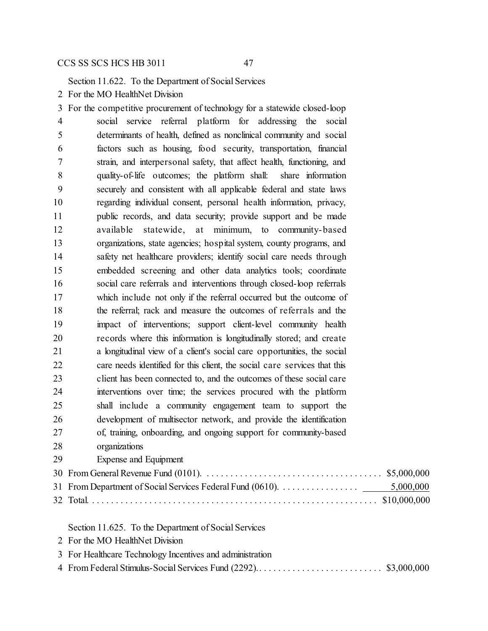Section 11.622. To the Department of Social Services

For the MO HealthNet Division

 For the competitive procurement of technology for a statewide closed-loop social service referral platform for addressing the social determinants of health, defined as nonclinical community and social factors such as housing, food security, transportation, financial strain, and interpersonal safety, that affect health, functioning, and quality-of-life outcomes; the platform shall: share information securely and consistent with all applicable federal and state laws regarding individual consent, personal health information, privacy, public records, and data security; provide support and be made available statewide, at minimum, to community-based organizations, state agencies; hospital system, county programs, and safety net healthcare providers; identify social care needs through embedded screening and other data analytics tools; coordinate social care referrals and interventions through closed-loop referrals which include not only if the referral occurred but the outcome of the referral; rack and measure the outcomes of referrals and the impact of interventions; support client-level community health records where this information is longitudinally stored; and create a longitudinal view of a client's social care opportunities, the social care needs identified for this client, the social care services that this client has been connected to, and the outcomes of these social care interventions over time; the services procured with the platform shall include a community engagement team to support the development of multisector network, and provide the identification of, training, onboarding, and ongoing support for community-based organizations Expense and Equipment

Section 11.625. To the Department of Social Services

- For the MO HealthNet Division
- For Healthcare Technology Incentives and administration
- From Federal Stimulus-Social Services Fund (2292).. . . . . . . . . . . . . . . . . . . . . . . . . . \$3,000,000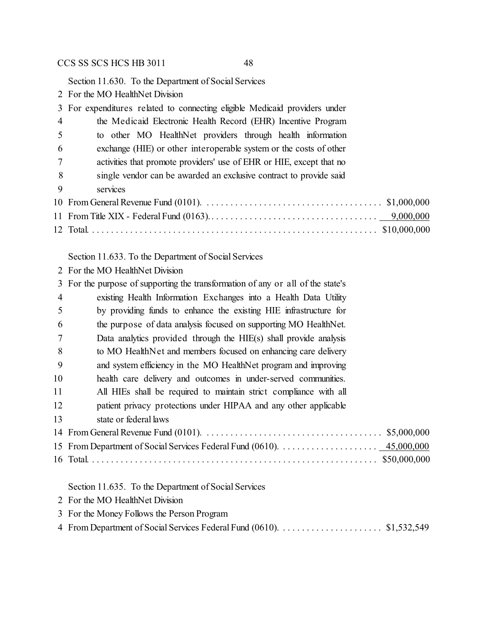Section 11.630. To the Department of Social Services

For the MO HealthNet Division

|                | 3 For expenditures related to connecting eligible Medicaid providers under |
|----------------|----------------------------------------------------------------------------|
| $\overline{4}$ | the Medicaid Electronic Health Record (EHR) Incentive Program              |
| 5              | to other MO HealthNet providers through health information                 |
| -6             | exchange (HIE) or other interoperable system or the costs of other         |
|                | activities that promote providers' use of EHR or HIE, except that no       |
| 8              | single vendor can be awarded an exclusive contract to provide said         |
| 9              | services                                                                   |
|                |                                                                            |
|                |                                                                            |
|                |                                                                            |

Section 11.633. To the Department of Social Services

For the MO HealthNet Division

|                | 3 For the purpose of supporting the transformation of any or all of the state's |
|----------------|---------------------------------------------------------------------------------|
| $\overline{4}$ | existing Health Information Exchanges into a Health Data Utility                |
| 5              | by providing funds to enhance the existing HIE infrastructure for               |
| 6              | the purpose of data analysis focused on supporting MO HealthNet.                |
| 7              | Data analytics provided through the HIE(s) shall provide analysis               |
| 8              | to MO HealthNet and members focused on enhancing care delivery                  |
| 9              | and system efficiency in the MO HealthNet program and improving                 |
| 10             | health care delivery and outcomes in under-served communities.                  |
| 11             | All HIEs shall be required to maintain strict compliance with all               |
| 12             | patient privacy protections under HIPAA and any other applicable                |
| 13             | state or federal laws                                                           |
|                |                                                                                 |
|                |                                                                                 |
|                |                                                                                 |
|                |                                                                                 |
|                |                                                                                 |

Section 11.635. To the Department of Social Services

- For the MO HealthNet Division
- For the Money Follows the Person Program
- From Department of Social Services Federal Fund (0610). . . . . . . . . . . . . . . . . . . . . . \$1,532,549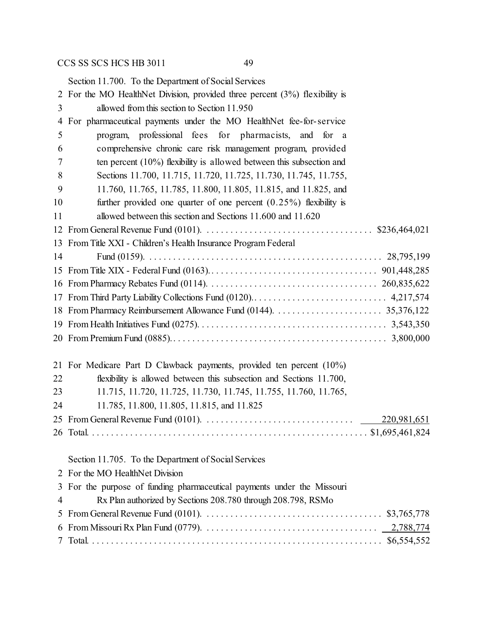Section 11.700. To the Department of Social Services For the MO HealthNet Division, provided three percent (3%) flexibility is allowed from this section to Section 11.950 For pharmaceutical payments under the MO HealthNet fee-for-service program, professional fees for pharmacists, and for a comprehensive chronic care risk management program, provided ten percent (10%) flexibility is allowed between this subsection and Sections 11.700, 11.715, 11.720, 11.725, 11.730, 11.745, 11.755, 11.760, 11.765, 11.785, 11.800, 11.805, 11.815, and 11.825, and 10 further provided one quarter of one percent (0.25%) flexibility is allowed between this section and Sections 11.600 and 11.620 From General Revenue Fund (0101). . . . . . . . . . . . . . . . . . . . . . . . . . . . . . . . . . . . \$236,464,021 From Title XXI - Children's Health Insurance Program Federal Fund (0159). . . . . . . . . . . . . . . . . . . . . . . . . . . . . . . . . . . . . . . . . . . . . . . . . . 28,795,199 From Title XIX - Federal Fund (0163).. . . . . . . . . . . . . . . . . . . . . . . . . . . . . . . . . . . 901,448,285 From Pharmacy Rebates Fund (0114). . . . . . . . . . . . . . . . . . . . . . . . . . . . . . . . . . . . 260,835,622 From Third Party Liability Collections Fund (0120).. . . . . . . . . . . . . . . . . . . . . . . . . . . . 4,217,574 From Pharmacy Reimbursement Allowance Fund (0144). . . . . . . . . . . . . . . . . . . . . . . 35,376,122 From Health Initiatives Fund (0275). . . . . . . . . . . . . . . . . . . . . . . . . . . . . . . . . . . . . . . . 3,543,350 From Premium Fund (0885).. . . . . . . . . . . . . . . . . . . . . . . . . . . . . . . . . . . . . . . . . . . . . 3,800,000 For Medicare Part D Clawback payments, provided ten percent (10%) flexibility is allowed between this subsection and Sections 11.700, 11.715, 11.720, 11.725, 11.730, 11.745, 11.755, 11.760, 11.765, 11.785, 11.800, 11.805, 11.815, and 11.825 From General Revenue Fund (0101). . . . . . . . . . . . . . . . . . . . . . . . . . . . . . . . 220,981,651 Total. . . . . . . . . . . . . . . . . . . . . . . . . . . . . . . . . . . . . . . . . . . . . . . . . . . . . . . . . . . \$1,695,461,824 Section 11.705. To the Department of Social Services For the MO HealthNet Division For the purpose of funding pharmaceutical payments under the Missouri Rx Plan authorized by Sections 208.780 through 208.798, RSMo From General Revenue Fund (0101). . . . . . . . . . . . . . . . . . . . . . . . . . . . . . . . . . . . . . \$3,765,778 From Missouri Rx Plan Fund (0779). . . . . . . . . . . . . . . . . . . . . . . . . . . . . . . . . . . . . 2,788,774 Total. . . . . . . . . . . . . . . . . . . . . . . . . . . . . . . . . . . . . . . . . . . . . . . . . . . . . . . . . . . . . . \$6,554,552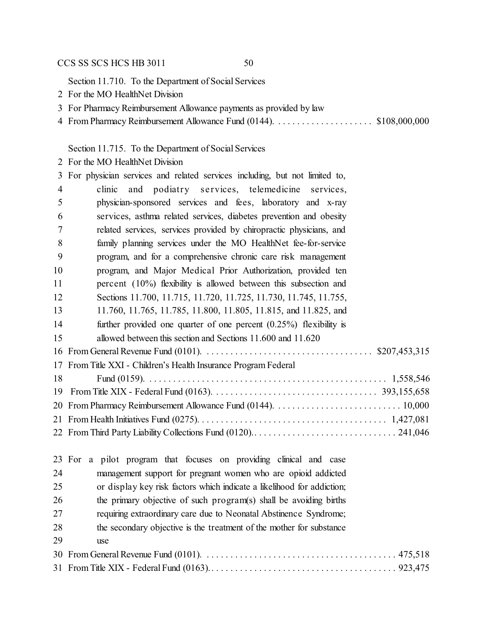Section 11.710. To the Department of Social Services

- For the MO HealthNet Division
- For Pharmacy Reimbursement Allowance payments as provided by law
- 4 From Pharmacy Reimbursement Allowance Fund (0144). . . . . . . . . . . . . . . . . . \$108,000,000

## Section 11.715. To the Department of Social Services

For the MO HealthNet Division

| 3              | For physician services and related services including, but not limited to, |
|----------------|----------------------------------------------------------------------------|
| $\overline{4}$ | and podiatry services, telemedicine services,<br>clinic                    |
| 5              | physician-sponsored services and fees, laboratory and x-ray                |
| 6              | services, asthma related services, diabetes prevention and obesity         |
| 7              | related services, services provided by chiropractic physicians, and        |
| 8              | family planning services under the MO HealthNet fee-for-service            |
| 9              | program, and for a comprehensive chronic care risk management              |
| 10             | program, and Major Medical Prior Authorization, provided ten               |
| 11             | percent $(10\%)$ flexibility is allowed between this subsection and        |
| 12             | Sections 11.700, 11.715, 11.720, 11.725, 11.730, 11.745, 11.755,           |
| 13             | 11.760, 11.765, 11.785, 11.800, 11.805, 11.815, and 11.825, and            |
| 14             | further provided one quarter of one percent $(0.25\%)$ flexibility is      |
| 15             | allowed between this section and Sections 11.600 and 11.620                |
|                |                                                                            |
|                | 17 From Title XXI - Children's Health Insurance Program Federal            |
| 18             |                                                                            |
| 19             |                                                                            |
|                |                                                                            |
|                |                                                                            |
|                |                                                                            |
|                |                                                                            |

|    | 23 For a pilot program that focuses on providing clinical and case     |
|----|------------------------------------------------------------------------|
| 24 | management support for pregnant women who are opioid addicted          |
| 25 | or display key risk factors which indicate a likelihood for addiction; |
| 26 | the primary objective of such program(s) shall be avoiding births      |
| 27 | requiring extraordinary care due to Neonatal Abstinence Syndrome;      |
| 28 | the secondary objective is the treatment of the mother for substance   |
| 29 | use                                                                    |
|    |                                                                        |
|    |                                                                        |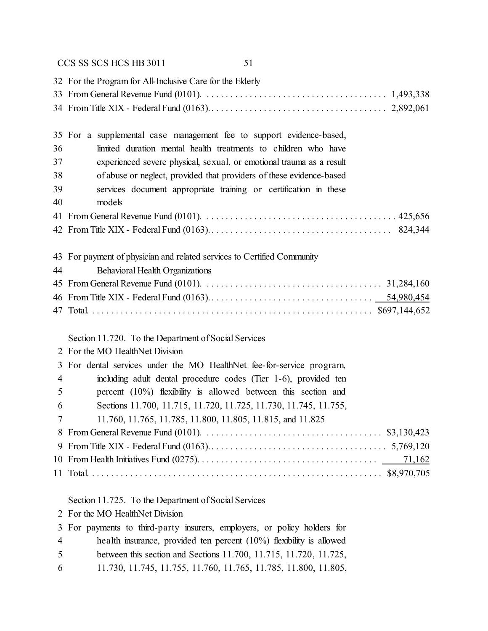|                       | 32 For the Program for All-Inclusive Care for the Elderly                                                                              |
|-----------------------|----------------------------------------------------------------------------------------------------------------------------------------|
|                       |                                                                                                                                        |
|                       |                                                                                                                                        |
|                       |                                                                                                                                        |
| 36                    | 35 For a supplemental case management fee to support evidence-based,<br>limited duration mental health treatments to children who have |
| 37                    |                                                                                                                                        |
| 38                    | experienced severe physical, sexual, or emotional trauma as a result                                                                   |
| 39                    | of abuse or neglect, provided that providers of these evidence-based                                                                   |
| 40                    | services document appropriate training or certification in these<br>models                                                             |
|                       |                                                                                                                                        |
|                       |                                                                                                                                        |
|                       |                                                                                                                                        |
|                       | 43 For payment of physician and related services to Certified Community                                                                |
| 44                    | Behavioral Health Organizations                                                                                                        |
|                       |                                                                                                                                        |
|                       |                                                                                                                                        |
|                       |                                                                                                                                        |
|                       |                                                                                                                                        |
|                       |                                                                                                                                        |
|                       | Section 11.720. To the Department of Social Services                                                                                   |
|                       | 2 For the MO HealthNet Division                                                                                                        |
| 3                     | For dental services under the MO HealthNet fee-for-service program,                                                                    |
| $\overline{4}$        | including adult dental procedure codes (Tier 1-6), provided ten                                                                        |
| 5                     | percent $(10\%)$ flexibility is allowed between this section and                                                                       |
| 6                     | Sections 11.700, 11.715, 11.720, 11.725, 11.730, 11.745, 11.755,                                                                       |
| 7                     | 11.760, 11.765, 11.785, 11.800, 11.805, 11.815, and 11.825                                                                             |
|                       |                                                                                                                                        |
| 9                     |                                                                                                                                        |
|                       | <u>71,162</u>                                                                                                                          |
|                       |                                                                                                                                        |
|                       | Section 11.725. To the Department of Social Services                                                                                   |
| $\mathbf{2}^{\prime}$ | For the MO HealthNet Division                                                                                                          |
| 3                     | For payments to third-party insurers, employers, or policy holders for                                                                 |
| $\overline{4}$        | health insurance, provided ten percent $(10\%)$ flexibility is allowed                                                                 |
| 5                     | between this section and Sections 11.700, 11.715, 11.720, 11.725,                                                                      |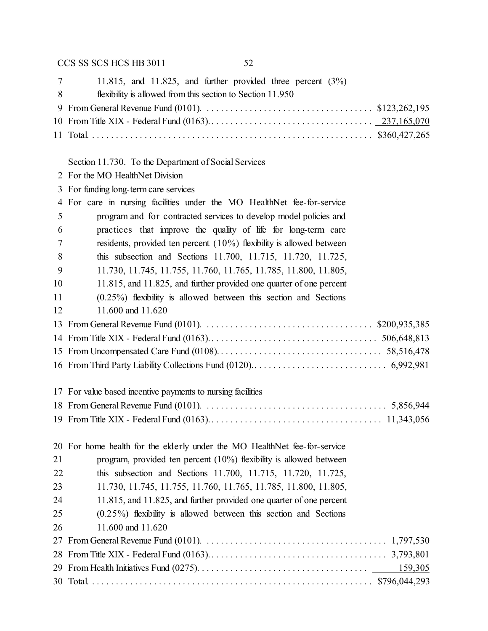| 11.815, and 11.825, and further provided three percent $(3\%)$ |                      |
|----------------------------------------------------------------|----------------------|
| flexibility is allowed from this section to Section 11.950     |                      |
|                                                                |                      |
|                                                                |                      |
|                                                                |                      |
|                                                                |                      |
|                                                                | $7\overline{ }$<br>8 |

Section 11.730. To the Department of Social Services

- For the MO HealthNet Division
- For funding long-term care services

|    | 4 For care in nursing facilities under the MO HealthNet fee-for-service   |
|----|---------------------------------------------------------------------------|
| 5  | program and for contracted services to develop model policies and         |
| 6  | practices that improve the quality of life for long-term care             |
| 7  | residents, provided ten percent $(10\%)$ flexibility is allowed between   |
| 8  | this subsection and Sections 11.700, 11.715, 11.720, 11.725,              |
| 9  | 11.730, 11.745, 11.755, 11.760, 11.765, 11.785, 11.800, 11.805,           |
| 10 | 11.815, and 11.825, and further provided one quarter of one percent       |
| 11 | $(0.25\%)$ flexibility is allowed between this section and Sections       |
| 12 | 11.600 and 11.620                                                         |
|    |                                                                           |
|    |                                                                           |
|    |                                                                           |
|    |                                                                           |
|    | 17 For value based incentive payments to nursing facilities               |
|    |                                                                           |
|    |                                                                           |
|    | 20 For home health for the elderly under the MO HealthNet fee-for-service |
| 21 | program, provided ten percent $(10\%)$ flexibility is allowed between     |
| 22 | this subsection and Sections 11.700, 11.715, 11.720, 11.725,              |
| 23 | 11.730, 11.745, 11.755, 11.760, 11.765, 11.785, 11.800, 11.805,           |
| 24 | 11.815, and 11.825, and further provided one quarter of one percent       |
| 25 | $(0.25\%)$ flexibility is allowed between this section and Sections       |
| 26 | 11.600 and 11.620                                                         |
|    |                                                                           |
|    |                                                                           |

 From Health Initiatives Fund (0275). . . . . . . . . . . . . . . . . . . . . . . . . . . . . . . . . . . . 159,305 Total. . . . . . . . . . . . . . . . . . . . . . . . . . . . . . . . . . . . . . . . . . . . . . . . . . . . . . . . . . . . \$796,044,293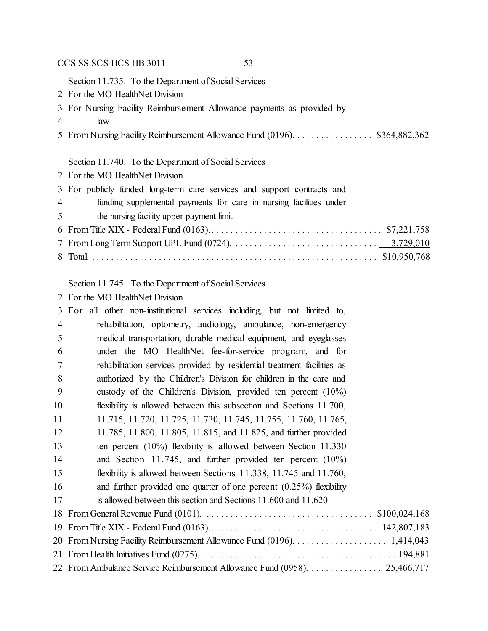Section 11.735. To the Department of Social Services

- For the MO HealthNet Division
- For Nursing Facility Reimbursement Allowance payments as provided by
- law
- From Nursing Facility Reimbursement Allowance Fund (0196). . . . . . . . . . . . . . . . . \$364,882,362

## Section 11.740. To the Department of Social Services

For the MO HealthNet Division

| 3 For publicly funded long-term care services and support contracts and              |
|--------------------------------------------------------------------------------------|
| $\overline{4}$<br>funding supplemental payments for care in nursing facilities under |
| 5 <sup>5</sup><br>the nursing facility upper payment limit                           |
|                                                                                      |
|                                                                                      |
|                                                                                      |

Section 11.745. To the Department of Social Services

For the MO HealthNet Division

|    | 3 For all other non-institutional services including, but not limited to, |
|----|---------------------------------------------------------------------------|
| 4  | rehabilitation, optometry, audiology, ambulance, non-emergency            |
| 5  | medical transportation, durable medical equipment, and eyeglasses         |
| 6  | under the MO HealthNet fee-for-service program, and for                   |
| 7  | rehabilitation services provided by residential treatment facilities as   |
| 8  | authorized by the Children's Division for children in the care and        |
| 9  | custody of the Children's Division, provided ten percent $(10\%)$         |
| 10 | flexibility is allowed between this subsection and Sections 11.700,       |
| 11 | 11.715, 11.720, 11.725, 11.730, 11.745, 11.755, 11.760, 11.765,           |
| 12 | 11.785, 11.800, 11.805, 11.815, and 11.825, and further provided          |
| 13 | ten percent $(10\%)$ flexibility is allowed between Section 11.330        |
| 14 | and Section 11.745, and further provided ten percent $(10\%)$             |
| 15 | flexibility is allowed between Sections 11.338, 11.745 and 11.760,        |
| 16 | and further provided one quarter of one percent $(0.25\%)$ flexibility    |
| 17 | is allowed between this section and Sections 11.600 and 11.620            |
|    |                                                                           |
|    |                                                                           |
|    |                                                                           |
|    |                                                                           |
|    | 22 From Ambulance Service Reimbursement Allowance Fund (0958). 25,466,717 |
|    |                                                                           |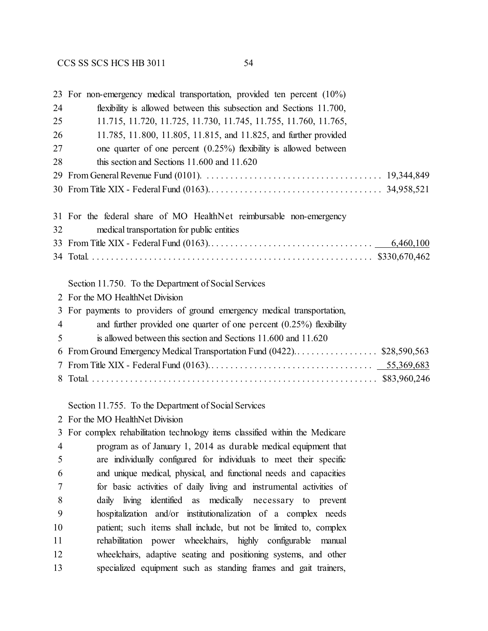|                | 23 For non-emergency medical transportation, provided ten percent (10%) |
|----------------|-------------------------------------------------------------------------|
| 24             | flexibility is allowed between this subsection and Sections 11.700,     |
| 25             | 11.715, 11.720, 11.725, 11.730, 11.745, 11.755, 11.760, 11.765,         |
| 26             | 11.785, 11.800, 11.805, 11.815, and 11.825, and further provided        |
| 27             | one quarter of one percent $(0.25\%)$ flexibility is allowed between    |
| 28             | this section and Sections 11.600 and 11.620                             |
| 29             |                                                                         |
|                |                                                                         |
|                |                                                                         |
|                | 31 For the federal share of MO HealthNet reimbursable non-emergency     |
| 32             | medical transportation for public entities                              |
|                |                                                                         |
|                |                                                                         |
|                |                                                                         |
|                | Section 11.750. To the Department of Social Services                    |
| $\mathbf{2}$   | For the MO HealthNet Division                                           |
| 3              | For payments to providers of ground emergency medical transportation,   |
| $\overline{4}$ | and further provided one quarter of one percent $(0.25\%)$ flexibility  |
| 5              | is allowed between this section and Sections 11.600 and 11.620          |
| 6              |                                                                         |
|                |                                                                         |
| 8              |                                                                         |
|                |                                                                         |
|                | Section 11.755. To the Department of Social Services                    |
|                | 2 For the MO HealthNet Division                                         |

 For complex rehabilitation technology items classified within the Medicare program as of January 1, 2014 as durable medical equipment that are individually configured for individuals to meet their specific and unique medical, physical, and functional needs and capacities for basic activities of daily living and instrumental activities of daily living identified as medically necessary to prevent hospitalization and/or institutionalization of a complex needs patient; such items shall include, but not be limited to, complex rehabilitation power wheelchairs, highly configurable manual wheelchairs, adaptive seating and positioning systems, and other specialized equipment such as standing frames and gait trainers,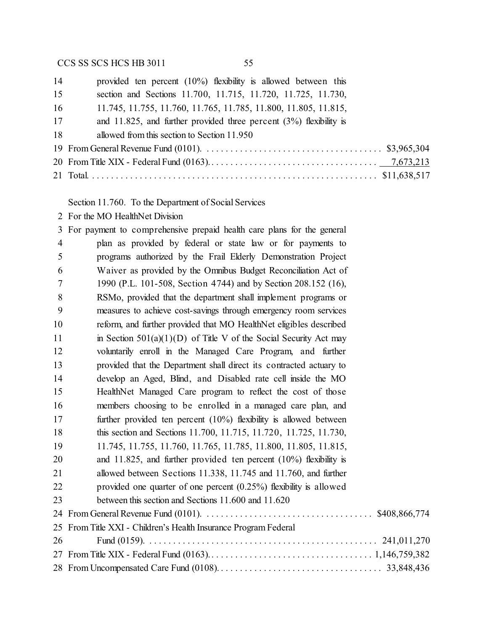| 14 | provided ten percent $(10\%)$ flexibility is allowed between this    |
|----|----------------------------------------------------------------------|
| 15 | section and Sections 11.700, 11.715, 11.720, 11.725, 11.730,         |
| 16 | 11.745, 11.755, 11.760, 11.765, 11.785, 11.800, 11.805, 11.815,      |
| 17 | and 11.825, and further provided three percent $(3%)$ flexibility is |
| 18 | allowed from this section to Section 11.950                          |
|    |                                                                      |
|    |                                                                      |
|    |                                                                      |
|    |                                                                      |

Section 11.760. To the Department of Social Services

For the MO HealthNet Division

| $\mathfrak{Z}$ | For payment to comprehensive prepaid health care plans for the general |
|----------------|------------------------------------------------------------------------|
| $\overline{4}$ | plan as provided by federal or state law or for payments to            |
| 5              | programs authorized by the Frail Elderly Demonstration Project         |
| 6              | Waiver as provided by the Omnibus Budget Reconciliation Act of         |
| 7              | 1990 (P.L. 101-508, Section 4744) and by Section 208.152 (16),         |
| 8              | RSMo, provided that the department shall implement programs or         |
| 9              | measures to achieve cost-savings through emergency room services       |
| 10             | reform, and further provided that MO HealthNet eligibles described     |
| 11             | in Section $501(a)(1)(D)$ of Title V of the Social Security Act may    |
| 12             | voluntarily enroll in the Managed Care Program, and further            |
| 13             | provided that the Department shall direct its contracted actuary to    |
| 14             | develop an Aged, Blind, and Disabled rate cell inside the MO           |
| 15             | HealthNet Managed Care program to reflect the cost of those            |
| 16             | members choosing to be enrolled in a managed care plan, and            |
| 17             | further provided ten percent $(10\%)$ flexibility is allowed between   |
| 18             | this section and Sections 11.700, 11.715, 11.720, 11.725, 11.730,      |
| 19             | 11.745, 11.755, 11.760, 11.765, 11.785, 11.800, 11.805, 11.815,        |
| 20             | and 11.825, and further provided ten percent $(10\%)$ flexibility is   |
| 21             | allowed between Sections 11.338, 11.745 and 11.760, and further        |
| 22             | provided one quarter of one percent $(0.25\%)$ flexibility is allowed  |
| 23             | between this section and Sections 11.600 and 11.620                    |
|                |                                                                        |
|                | 25 From Title XXI - Children's Health Insurance Program Federal        |
| 26             |                                                                        |
|                |                                                                        |
|                |                                                                        |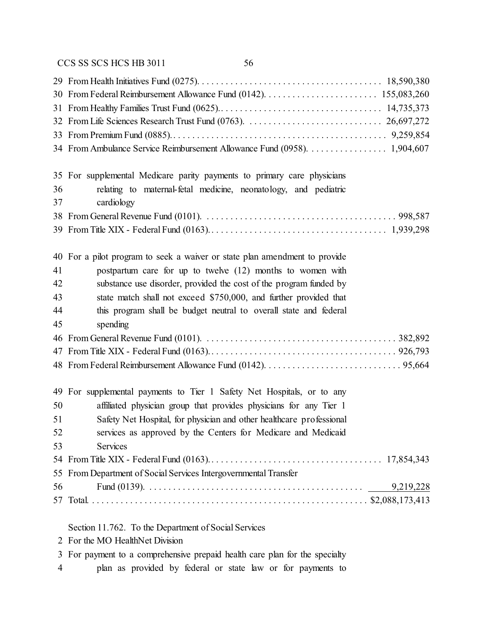|          | 34 From Ambulance Service Reimbursement Allowance Fund (0958). 1,904,607      |
|----------|-------------------------------------------------------------------------------|
|          |                                                                               |
|          | 35 For supplemental Medicare parity payments to primary care physicians       |
| 36<br>37 | relating to maternal-fetal medicine, neonatology, and pediatric<br>cardiology |
|          |                                                                               |
|          |                                                                               |
|          |                                                                               |
|          | 40 For a pilot program to seek a waiver or state plan amendment to provide    |
| 41       | postpartum care for up to twelve (12) months to women with                    |
| 42       | substance use disorder, provided the cost of the program funded by            |
| 43       | state match shall not exceed \$750,000, and further provided that             |
| 44       | this program shall be budget neutral to overall state and federal             |
| 45       | spending                                                                      |
| 46       |                                                                               |
|          |                                                                               |
|          |                                                                               |
|          | 49 For supplemental payments to Tier 1 Safety Net Hospitals, or to any        |
| 50       | affiliated physician group that provides physicians for any Tier 1            |
| 51       | Safety Net Hospital, for physician and other healthcare professional          |
| 52       | services as approved by the Centers for Medicare and Medicaid                 |
| 53       | Services                                                                      |
|          |                                                                               |
| 55       | From Department of Social Services Intergovernmental Transfer                 |
| 56       |                                                                               |
| 57       |                                                                               |
|          | Section 11.762. To the Department of Social Services                          |

- For the MO HealthNet Division
- For payment to a comprehensive prepaid health care plan for the specialty
- plan as provided by federal or state law or for payments to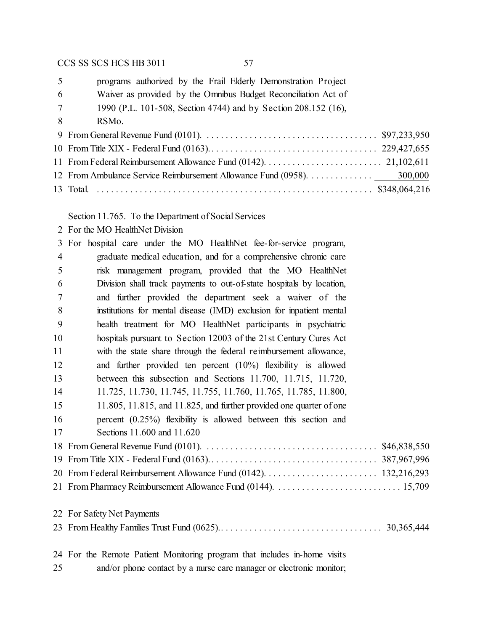programs authorized by the Frail Elderly Demonstration Project

Waiver as provided by the Omnibus Budget Reconciliation Act of

| 1990 (P.L. 101-508, Section 4744) and by Section 208.152 (16), |  |  |  |  |
|----------------------------------------------------------------|--|--|--|--|
|                                                                |  |  |  |  |

RSMo.

Section 11.765. To the Department of Social Services

For the MO HealthNet Division

|                | 3 For hospital care under the MO HealthNet fee-for-service program,          |
|----------------|------------------------------------------------------------------------------|
| $\overline{4}$ | graduate medical education, and for a comprehensive chronic care             |
| 5              | risk management program, provided that the MO HealthNet                      |
| 6              | Division shall track payments to out-of-state hospitals by location,         |
| $\overline{7}$ | and further provided the department seek a waiver of the                     |
| 8              | institutions for mental disease (IMD) exclusion for inpatient mental         |
| 9              | health treatment for MO HealthNet participants in psychiatric                |
| 10             | hospitals pursuant to Section 12003 of the 21st Century Cures Act            |
| 11             | with the state share through the federal reimbursement allowance,            |
| 12             | and further provided ten percent $(10\%)$ flexibility is allowed             |
| 13             | between this subsection and Sections 11.700, 11.715, 11.720,                 |
| 14             | 11.725, 11.730, 11.745, 11.755, 11.760, 11.765, 11.785, 11.800,              |
| 15             | $11.805$ , $11.815$ , and $11.825$ , and further provided one quarter of one |
| 16             | percent $(0.25\%)$ flexibility is allowed between this section and           |
| 17             | Sections 11.600 and 11.620                                                   |
|                |                                                                              |
|                |                                                                              |
|                |                                                                              |
|                |                                                                              |
|                | 22 For Safety Net Payments                                                   |
|                |                                                                              |
|                | 24 For the Remote Patient Monitoring program that includes in-home visits    |

and/or phone contact by a nurse care manager or electronic monitor;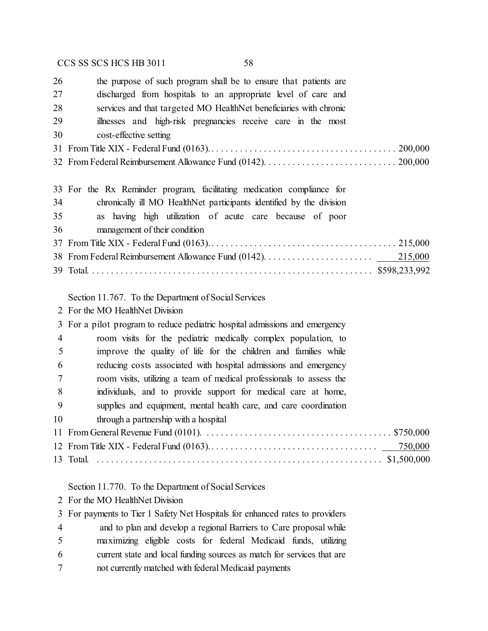| 26             | the purpose of such program shall be to ensure that patients are          |
|----------------|---------------------------------------------------------------------------|
| 27             | discharged from hospitals to an appropriate level of care and             |
| 28             | services and that targeted MO HealthNet beneficiaries with chronic        |
| 29             | illnesses and high-risk pregnancies receive care in the most              |
| 30             | cost-effective setting                                                    |
|                |                                                                           |
|                |                                                                           |
|                | 33 For the Rx Reminder program, facilitating medication compliance for    |
| 34             | chronically ill MO HealthNet participants identified by the division      |
| 35             | as having high utilization of acute care because of poor                  |
| 36             | management of their condition                                             |
|                |                                                                           |
|                | 215,000                                                                   |
|                |                                                                           |
|                | Section 11.767. To the Department of Social Services                      |
|                | 2 For the MO HealthNet Division                                           |
| 3              | For a pilot program to reduce pediatric hospital admissions and emergency |
| $\overline{4}$ | room visits for the pediatric medically complex population, to            |
| 5              | improve the quality of life for the children and families while           |
| 6              | reducing costs associated with hospital admissions and emergency          |
| 7              | room visits, utilizing a team of medical professionals to assess the      |
| 8              | individuals, and to provide support for medical care at home,             |
| 9              | supplies and equipment, mental health care, and care coordination         |
| 10             | through a partnership with a hospital                                     |
|                |                                                                           |
|                | 750,000                                                                   |

Total. . . . . . . . . . . . . . . . . . . . . . . . . . . . . . . . . . . . . . . . . . . . . . . . . . . . . . . . . . . . . \$1,500,000

Section 11.770. To the Department of Social Services

For the MO HealthNet Division

For payments to Tier 1 Safety Net Hospitals for enhanced rates to providers

- and to plan and develop a regional Barriers to Care proposal while
- maximizing eligible costs for federal Medicaid funds, utilizing
- current state and local funding sources as match for services that are
- not currently matched with federal Medicaid payments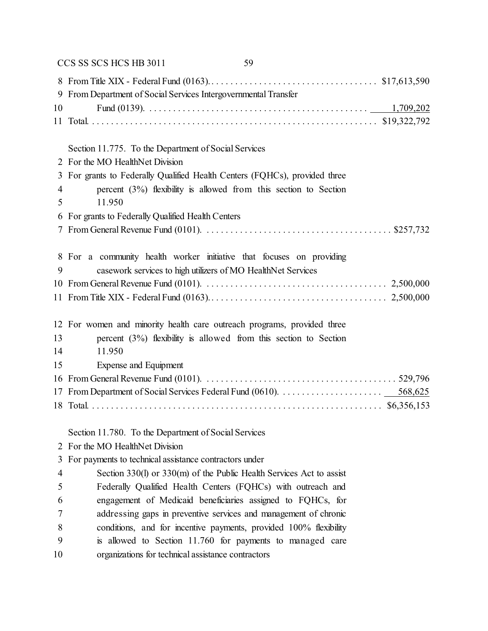|    | CCS SS SCS HCS HB 3011<br>59                                             |
|----|--------------------------------------------------------------------------|
|    |                                                                          |
| 9  | From Department of Social Services Intergovernmental Transfer            |
| 10 |                                                                          |
|    |                                                                          |
|    |                                                                          |
|    | Section 11.775. To the Department of Social Services                     |
|    | 2 For the MO HealthNet Division                                          |
| 3  | For grants to Federally Qualified Health Centers (FQHCs), provided three |
| 4  | percent $(3%)$ flexibility is allowed from this section to Section       |
| 5  | 11.950                                                                   |
| 6  | For grants to Federally Qualified Health Centers                         |
|    |                                                                          |
|    | 8 For a community health worker initiative that focuses on providing     |
| 9  | casework services to high utilizers of MO HealthNet Services             |
|    |                                                                          |
|    |                                                                          |
|    | 12 For women and minority health care outreach programs, provided three  |
| 13 | percent $(3%)$ flexibility is allowed from this section to Section       |
| 14 | 11.950                                                                   |
| 15 | Expense and Equipment                                                    |
|    |                                                                          |
|    |                                                                          |
|    |                                                                          |
|    | Section 11.780. To the Department of Social Services                     |
|    | 2 For the MO HealthNet Division                                          |
| 3  | For payments to technical assistance contractors under                   |
| 4  | Section 330(1) or 330(m) of the Public Health Services Act to assist     |
| 5  | Federally Qualified Health Centers (FQHCs) with outreach and             |
| 6  | engagement of Medicaid beneficiaries assigned to FQHCs, for              |
| 7  | addressing gaps in preventive services and management of chronic         |
| 8  | conditions, and for incentive payments, provided 100% flexibility        |
|    |                                                                          |

is allowed to Section 11.760 for payments to managed care

organizations for technical assistance contractors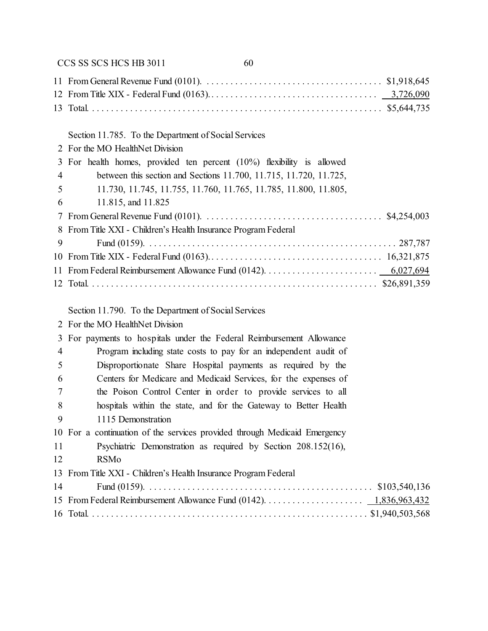|     | CCS SS SCS HCS HB 3011<br>60                                              |
|-----|---------------------------------------------------------------------------|
|     |                                                                           |
|     |                                                                           |
|     |                                                                           |
|     | Section 11.785. To the Department of Social Services                      |
|     | 2 For the MO HealthNet Division                                           |
| 3   | For health homes, provided ten percent $(10\%)$ flexibility is allowed    |
| 4   | between this section and Sections 11.700, 11.715, 11.720, 11.725,         |
| 5   | 11.730, 11.745, 11.755, 11.760, 11.765, 11.785, 11.800, 11.805,           |
| 6   | 11.815, and 11.825                                                        |
| 7   |                                                                           |
|     | 8 From Title XXI - Children's Health Insurance Program Federal            |
| 9   |                                                                           |
|     |                                                                           |
|     |                                                                           |
|     |                                                                           |
|     | Section 11.790. To the Department of Social Services                      |
|     | 2 For the MO HealthNet Division                                           |
| 3   | For payments to hospitals under the Federal Reimbursement Allowance       |
| 4   | Program including state costs to pay for an independent audit of          |
| 5   | Disproportionate Share Hospital payments as required by the               |
| 6   | Centers for Medicare and Medicaid Services, for the expenses of           |
| 7   | the Poison Control Center in order to provide services to all             |
| 8   | hospitals within the state, and for the Gateway to Better Health          |
| - 9 | 1115 Demonstration                                                        |
|     | 10 For a continuation of the services provided through Medicaid Emergency |
| 11  | Psychiatric Demonstration as required by Section 208.152(16),             |
| 12  | <b>RSMo</b>                                                               |
|     | 13 From Title XXI - Children's Health Insurance Program Federal           |
| 14  |                                                                           |
|     |                                                                           |
|     |                                                                           |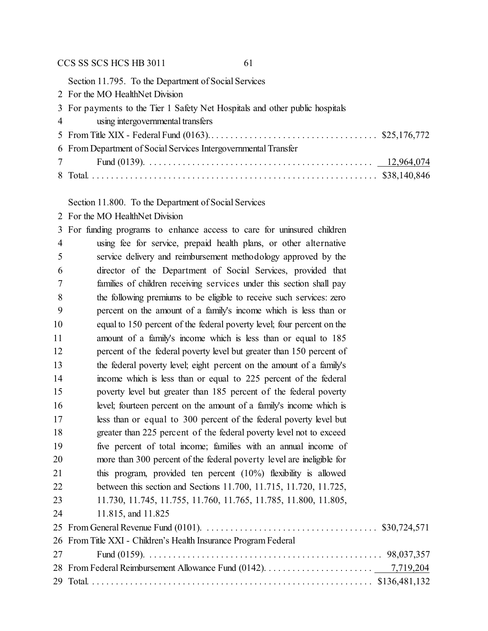Section 11.795. To the Department of Social Services

For the MO HealthNet Division

|                | 3 For payments to the Tier 1 Safety Net Hospitals and other public hospitals |
|----------------|------------------------------------------------------------------------------|
| $\overline{4}$ | using intergovernmental transfers                                            |

 From Title XIX - Federal Fund (0163).. . . . . . . . . . . . . . . . . . . . . . . . . . . . . . . . . . . \$25,176,772 From Department of Social Services Intergovernmental Transfer Fund (0139). . . . . . . . . . . . . . . . . . . . . . . . . . . . . . . . . . . . . . . . . . . . . . . . 12,964,074

Total. . . . . . . . . . . . . . . . . . . . . . . . . . . . . . . . . . . . . . . . . . . . . . . . . . . . . . . . . . . . . \$38,140,846

Section 11.800. To the Department of Social Services

For the MO HealthNet Division

| 3              | For funding programs to enhance access to care for uninsured children  |  |
|----------------|------------------------------------------------------------------------|--|
| $\overline{4}$ | using fee for service, prepaid health plans, or other alternative      |  |
| 5              | service delivery and reimbursement methodology approved by the         |  |
| 6              | director of the Department of Social Services, provided that           |  |
| 7              | families of children receiving services under this section shall pay   |  |
| 8              | the following premiums to be eligible to receive such services: zero   |  |
| 9              | percent on the amount of a family's income which is less than or       |  |
| 10             | equal to 150 percent of the federal poverty level; four percent on the |  |
| 11             | amount of a family's income which is less than or equal to 185         |  |
| 12             | percent of the federal poverty level but greater than 150 percent of   |  |
| 13             | the federal poverty level; eight percent on the amount of a family's   |  |
| 14             | income which is less than or equal to 225 percent of the federal       |  |
| 15             | poverty level but greater than 185 percent of the federal poverty      |  |
| 16             | level; fourteen percent on the amount of a family's income which is    |  |
| 17             | less than or equal to 300 percent of the federal poverty level but     |  |
| 18             | greater than 225 percent of the federal poverty level not to exceed    |  |
| 19             | five percent of total income; families with an annual income of        |  |
| 20             | more than 300 percent of the federal poverty level are ineligible for  |  |
| 21             | this program, provided ten percent $(10\%)$ flexibility is allowed     |  |
| 22             | between this section and Sections 11.700, 11.715, 11.720, 11.725,      |  |
| 23             | 11.730, 11.745, 11.755, 11.760, 11.765, 11.785, 11.800, 11.805,        |  |
| 24             | 11.815, and 11.825                                                     |  |
|                |                                                                        |  |
|                | 26 From Title XXI - Children's Health Insurance Program Federal        |  |
| 27             |                                                                        |  |
|                |                                                                        |  |
|                |                                                                        |  |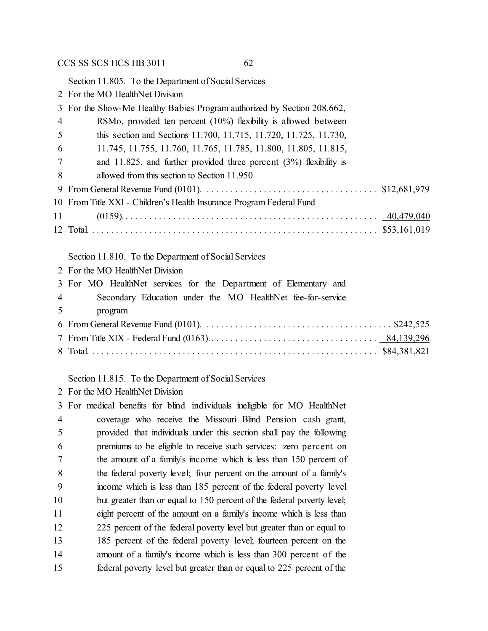Section 11.805. To the Department of Social Services

For the MO HealthNet Division

|                | 3 For the Show-Me Healthy Babies Program authorized by Section 208.662, |
|----------------|-------------------------------------------------------------------------|
| $\overline{4}$ | RSMo, provided ten percent $(10\%)$ flexibility is allowed between      |
| 5              | this section and Sections 11.700, 11.715, 11.720, 11.725, 11.730,       |
| - 6            | 11.745, 11.755, 11.760, 11.765, 11.785, 11.800, 11.805, 11.815,         |
|                | and 11.825, and further provided three percent $(3%)$ flexibility is    |
| 8              | allowed from this section to Section 11.950                             |
|                |                                                                         |
|                | 10 From Title XXI - Children's Health Insurance Program Federal Fund    |
|                | 11 —                                                                    |
|                |                                                                         |

### Section 11.810. To the Department of Social Services

| 2 For the MO HealthNet Division                                  |
|------------------------------------------------------------------|
| 3 For MO HealthNet services for the Department of Elementary and |
| 4 Secondary Education under the MO HealthNet fee-for-service     |
| 5 program                                                        |
|                                                                  |
|                                                                  |
|                                                                  |

Section 11.815. To the Department of Social Services

For the MO HealthNet Division

 For medical benefits for blind individuals ineligible for MO HealthNet coverage who receive the Missouri Blind Pension cash grant, provided that individuals under this section shall pay the following premiums to be eligible to receive such services: zero percent on the amount of a family's income which is less than 150 percent of the federal poverty level; four percent on the amount of a family's income which is less than 185 percent of the federal poverty level 10 but greater than or equal to 150 percent of the federal poverty level; eight percent of the amount on a family's income which is less than 12 225 percent of the federal poverty level but greater than or equal to 185 percent of the federal poverty level; fourteen percent on the amount of a family's income which is less than 300 percent of the federal poverty level but greater than or equal to 225 percent of the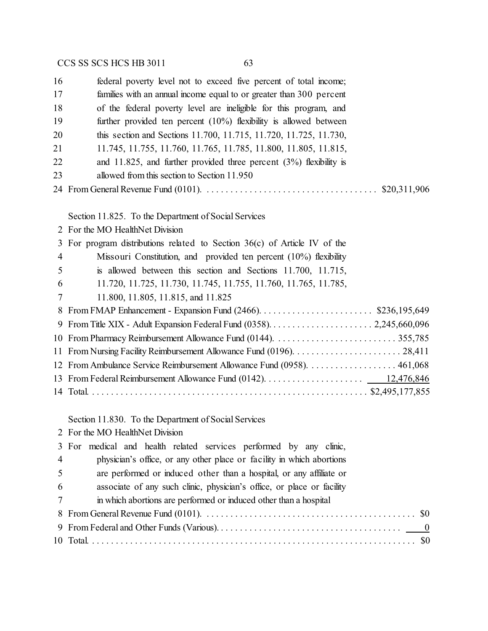| 16             | federal poverty level not to exceed five percent of total income;         |
|----------------|---------------------------------------------------------------------------|
| 17             | families with an annual income equal to or greater than 300 percent       |
| 18             | of the federal poverty level are ineligible for this program, and         |
| 19             | further provided ten percent $(10\%)$ flexibility is allowed between      |
| 20             | this section and Sections 11.700, 11.715, 11.720, 11.725, 11.730,         |
| 21             | 11.745, 11.755, 11.760, 11.765, 11.785, 11.800, 11.805, 11.815,           |
| 22             | and 11.825, and further provided three percent $(3%)$ flexibility is      |
| 23             | allowed from this section to Section 11.950                               |
|                |                                                                           |
|                | Section 11.825. To the Department of Social Services                      |
| 2              | For the MO HealthNet Division                                             |
| 3              | For program distributions related to Section $36(c)$ of Article IV of the |
| $\overline{4}$ | Missouri Constitution, and provided ten percent (10%) flexibility         |
| 5              | is allowed between this section and Sections 11.700, 11.715,              |
| 6              | 11.720, 11.725, 11.730, 11.745, 11.755, 11.760, 11.765, 11.785,           |
| 7              | 11.800, 11.805, 11.815, and 11.825                                        |
| 8              |                                                                           |
| 9              |                                                                           |
| 10             |                                                                           |
| 11             |                                                                           |
|                | 12 From Ambulance Service Reimbursement Allowance Fund (0958). 461,068    |
|                |                                                                           |
|                |                                                                           |
|                |                                                                           |
|                |                                                                           |

Section 11.830. To the Department of Social Services

|  | 2 For the MO HealthNet Division |
|--|---------------------------------|
|  |                                 |

|                | 3 For medical and health related services performed by any clinic,     |
|----------------|------------------------------------------------------------------------|
| $\overline{4}$ | physician's office, or any other place or facility in which abortions  |
| $\overline{5}$ | are performed or induced other than a hospital, or any affiliate or    |
| 6              | associate of any such clinic, physician's office, or place or facility |
|                | in which abortions are performed or induced other than a hospital      |
|                |                                                                        |
|                |                                                                        |
|                |                                                                        |
|                |                                                                        |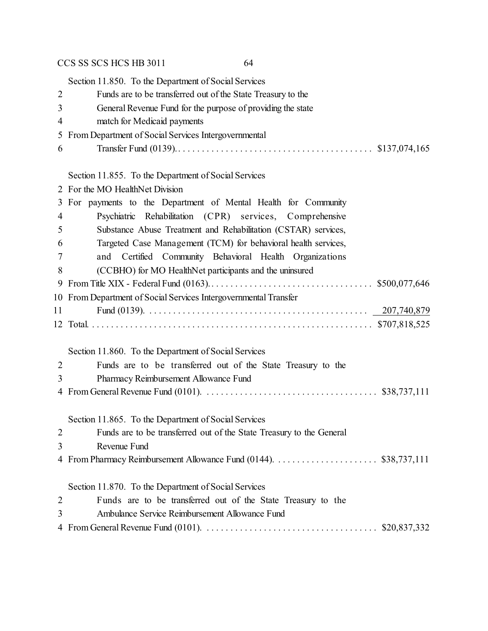Section 11.850. To the Department of Social Services Funds are to be transferred out of the State Treasury to the General Revenue Fund for the purpose of providing the state match for Medicaid payments From Department of Social Services Intergovernmental Transfer Fund (0139).. . . . . . . . . . . . . . . . . . . . . . . . . . . . . . . . . . . . . . . . . \$137,074,165

# Section 11.955. To the Department of Social Service

|                | Section 11.855. To the Department of Social Services                 |
|----------------|----------------------------------------------------------------------|
|                | 2 For the MO HealthNet Division                                      |
| 3 <sup>1</sup> | For payments to the Department of Mental Health for Community        |
| $\overline{4}$ | Psychiatric Rehabilitation (CPR) services, Comprehensive             |
| 5              | Substance Abuse Treatment and Rehabilitation (CSTAR) services,       |
| 6              | Targeted Case Management (TCM) for behavioral health services,       |
| 7              | and Certified Community Behavioral Health Organizations              |
| 8              | (CCBHO) for MO HealthNet participants and the uninsured              |
| 9              |                                                                      |
|                | 10 From Department of Social Services Intergovernmental Transfer     |
| 11             |                                                                      |
|                |                                                                      |
|                |                                                                      |
|                | Section 11.860. To the Department of Social Services                 |
| $\overline{2}$ | Funds are to be transferred out of the State Treasury to the         |
| 3              | Pharmacy Reimbursement Allowance Fund                                |
|                |                                                                      |
|                |                                                                      |
|                | Section 11.865. To the Department of Social Services                 |
| $\overline{2}$ | Funds are to be transferred out of the State Treasury to the General |
| 3              | Revenue Fund                                                         |
|                |                                                                      |
|                |                                                                      |

Section 11.870. To the Department of Social Services

| $\overline{2}$ |  |  |  |  | Funds are to be transferred out of the State Treasury to the |  |  |  |  |  |  |  |
|----------------|--|--|--|--|--------------------------------------------------------------|--|--|--|--|--|--|--|
|----------------|--|--|--|--|--------------------------------------------------------------|--|--|--|--|--|--|--|

- Ambulance Service Reimbursement Allowance Fund
- From General Revenue Fund (0101). . . . . . . . . . . . . . . . . . . . . . . . . . . . . . . . . . . . . \$20,837,332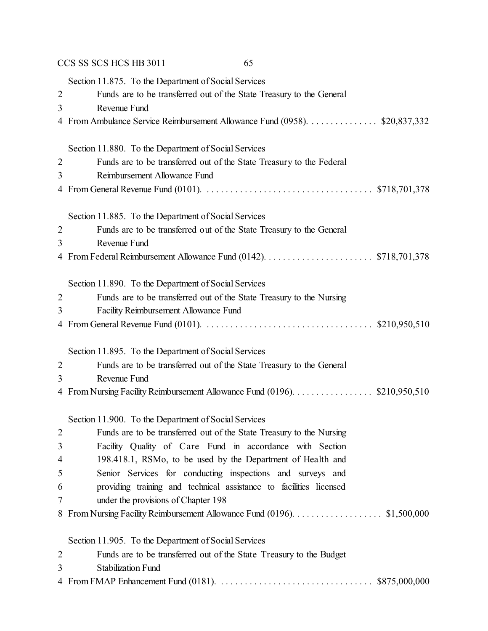|                | CCS SS SCS HCS HB 3011<br>65                                               |
|----------------|----------------------------------------------------------------------------|
|                | Section 11.875. To the Department of Social Services                       |
| $\mathbf{2}$   | Funds are to be transferred out of the State Treasury to the General       |
| 3              | Revenue Fund                                                               |
|                | 4 From Ambulance Service Reimbursement Allowance Fund (0958). \$20,837,332 |
|                | Section 11.880. To the Department of Social Services                       |
| $\overline{2}$ | Funds are to be transferred out of the State Treasury to the Federal       |
| 3              | Reimbursement Allowance Fund                                               |
|                |                                                                            |
|                | Section 11.885. To the Department of Social Services                       |
| $\overline{2}$ | Funds are to be transferred out of the State Treasury to the General       |
| 3              | Revenue Fund                                                               |
|                |                                                                            |
|                | Section 11.890. To the Department of Social Services                       |
| $\overline{2}$ | Funds are to be transferred out of the State Treasury to the Nursing       |
| 3              | Facility Reimbursement Allowance Fund                                      |
|                |                                                                            |
|                | Section 11.895. To the Department of Social Services                       |
| $\overline{2}$ | Funds are to be transferred out of the State Treasury to the General       |
| 3              | Revenue Fund                                                               |
|                | 4 From Nursing Facility Reimbursement Allowance Fund (0196). \$210,950,510 |
|                | Section 11.900. To the Department of Social Services                       |
| $\overline{2}$ | Funds are to be transferred out of the State Treasury to the Nursing       |
| 3              | Facility Quality of Care Fund in accordance with Section                   |
| $\overline{4}$ | 198.418.1, RSMo, to be used by the Department of Health and                |
| 5              | Senior Services for conducting inspections and surveys and                 |
| 6              | providing training and technical assistance to facilities licensed         |
| 7              | under the provisions of Chapter 198                                        |
|                | 8 From Nursing Facility Reimbursement Allowance Fund (0196). \$1,500,000   |
|                | Section 11.905. To the Department of Social Services                       |
| $\overline{2}$ | Funds are to be transferred out of the State Treasury to the Budget        |
| 3              | <b>Stabilization Fund</b>                                                  |
|                |                                                                            |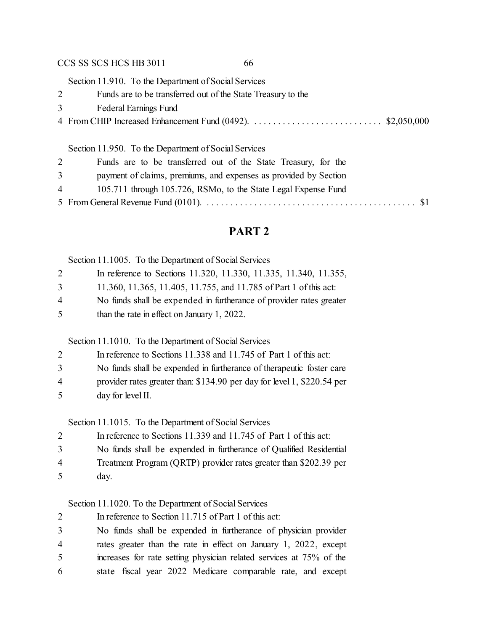Section 11.910. To the Department of Social Services

| Funds are to be transferred out of the State Treasury to the |  |
|--------------------------------------------------------------|--|
| 3 Federal Earnings Fund                                      |  |
|                                                              |  |

### Section 11.950. To the Department of Social Services

| 2              | Funds are to be transferred out of the State Treasury, for the                   |
|----------------|----------------------------------------------------------------------------------|
| 3 <sup>7</sup> | payment of claims, premiums, and expenses as provided by Section                 |
|                | 105.711 through 105.726, RSMo, to the State Legal Expense Fund<br>$\overline{4}$ |
|                |                                                                                  |

## **PART 2**

Section 11.1005. To the Department of Social Services

| In reference to Sections 11.320, 11.330, 11.335, 11.340, 11.355, |  |  |  |
|------------------------------------------------------------------|--|--|--|
|                                                                  |  |  |  |

|  |  |  |  | 11.360, 11.365, 11.405, 11.755, and 11.785 of Part 1 of this act: |  |
|--|--|--|--|-------------------------------------------------------------------|--|
|--|--|--|--|-------------------------------------------------------------------|--|

- No funds shall be expended in furtherance of provider rates greater
- than the rate in effect on January 1, 2022.

Section 11.1010. To the Department of Social Services

- No funds shall be expended in furtherance of therapeutic foster care
- provider rates greater than: \$134.90 per day for level 1, \$220.54 per day for level II.

Section 11.1015. To the Department of Social Services

|   | In reference to Sections 11.339 and 11.745 of Part 1 of this act:  |
|---|--------------------------------------------------------------------|
| 3 | No funds shall be expended in furtherance of Qualified Residential |
| 4 | Treatment Program (QRTP) provider rates greater than \$202.39 per  |
| 5 | day.                                                               |

### Section 11.1020. To the Department of Social Services

 In reference to Section 11.715 of Part 1 of this act: No funds shall be expended in furtherance of physician provider

 rates greater than the rate in effect on January 1, 2022, except increases for rate setting physician related services at 75% of the state fiscal year 2022 Medicare comparable rate, and except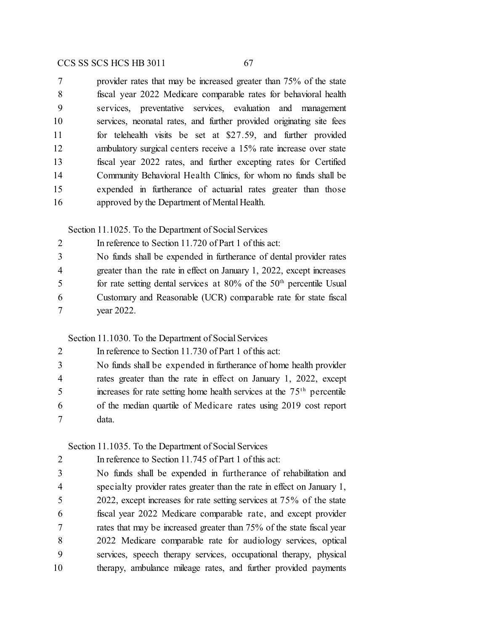provider rates that may be increased greater than 75% of the state fiscal year 2022 Medicare comparable rates for behavioral health services, preventative services, evaluation and management services, neonatal rates, and further provided originating site fees for telehealth visits be set at \$27.59, and further provided ambulatory surgical centers receive a 15% rate increase over state fiscal year 2022 rates, and further excepting rates for Certified Community Behavioral Health Clinics, for whom no funds shall be expended in furtherance of actuarial rates greater than those approved by the Department of Mental Health.

Section 11.1025. To the Department of Social Services

| 2              | In reference to Section 11.720 of Part 1 of this act:                     |
|----------------|---------------------------------------------------------------------------|
| 3              | No funds shall be expended in furtherance of dental provider rates        |
| $\overline{4}$ | greater than the rate in effect on January 1, 2022, except increases      |
| -5             | for rate setting dental services at $80\%$ of the $50th$ percentile Usual |
| -6             | Customary and Reasonable (UCR) comparable rate for state fiscal           |
|                | year 2022.                                                                |

Section 11.1030. To the Department of Social Services

| 2              | In reference to Section 11.730 of Part 1 of this act:                              |
|----------------|------------------------------------------------------------------------------------|
| 3              | No funds shall be expended in furtherance of home health provider                  |
| $\overline{4}$ | rates greater than the rate in effect on January 1, 2022, except                   |
| 5              | increases for rate setting home health services at the 75 <sup>th</sup> percentile |
| 6              | of the median quartile of Medicare rates using 2019 cost report                    |
|                | data.                                                                              |

### Section 11.1035. To the Department of Social Services

| $\mathcal{D}$ | In reference to Section 11.745 of Part 1 of this act:                   |
|---------------|-------------------------------------------------------------------------|
| 3             | No funds shall be expended in furtherance of rehabilitation and         |
| 4             | specialty provider rates greater than the rate in effect on January 1,  |
| 5             | 2022, except increases for rate setting services at $75\%$ of the state |
| 6             | fiscal year 2022 Medicare comparable rate, and except provider          |
|               | rates that may be increased greater than 75% of the state fiscal year   |
| 8             | 2022 Medicare comparable rate for audiology services, optical           |
| 9             | services, speech therapy services, occupational therapy, physical       |
| 10            | therapy, ambulance mileage rates, and further provided payments         |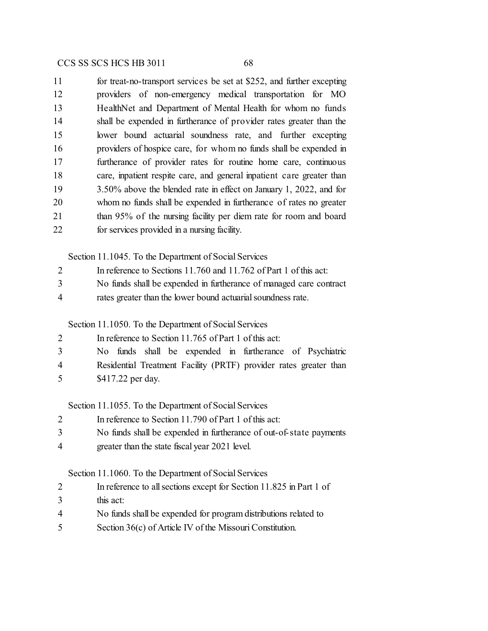| 11 | for treat-no-transport services be set at \$252, and further excepting |
|----|------------------------------------------------------------------------|
| 12 | providers of non-emergency medical transportation for MO               |
| 13 | HealthNet and Department of Mental Health for whom no funds            |
| 14 | shall be expended in furtherance of provider rates greater than the    |
| 15 | lower bound actuarial soundness rate, and further excepting            |
| 16 | providers of hospice care, for whom no funds shall be expended in      |
| 17 | furtherance of provider rates for routine home care, continuous        |
| 18 | care, inpatient respite care, and general inpatient care greater than  |
| 19 | $3.50\%$ above the blended rate in effect on January 1, 2022, and for  |
| 20 | whom no funds shall be expended in furtherance of rates no greater     |
| 21 | than 95% of the nursing facility per diem rate for room and board      |
| 22 | for services provided in a nursing facility.                           |

Section 11.1045. To the Department of Social Services

| No funds shall be expended in furtherance of managed care contract<br>ຼ |  |
|-------------------------------------------------------------------------|--|
|-------------------------------------------------------------------------|--|

rates greater than the lower bound actuarialsoundness rate.

Section 11.1050. To the Department of Social Services

| 2              | In reference to Section 11.765 of Part 1 of this act:             |
|----------------|-------------------------------------------------------------------|
| 3              | No funds shall be expended in furtherance of Psychiatric          |
| $\overline{4}$ | Residential Treatment Facility (PRTF) provider rates greater than |
| 5              | \$417.22 per day.                                                 |

Section 11.1055. To the Department of Social Services

- In reference to Section 11.790 of Part 1 of this act:
- No funds shall be expended in furtherance of out-of-state payments
- greater than the state fiscal year 2021 level.

Section 11.1060. To the Department of Social Services

- In reference to all sections except for Section 11.825 in Part 1 of
- this act:
- No funds shall be expended for program distributions related to
- 5 Section 36(c) of Article IV of the Missouri Constitution.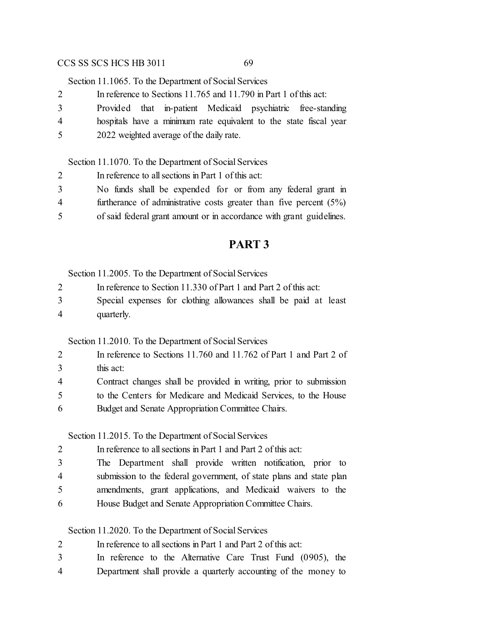Section 11.1065. To the Department of Social Services

|   | In reference to Sections 11.765 and 11.790 in Part 1 of this act: |
|---|-------------------------------------------------------------------|
| 3 | Provided that in-patient Medicaid psychiatric free-standing       |
| 4 | hospitals have a minimum rate equivalent to the state fiscal year |
| 5 | 2022 weighted average of the daily rate.                          |

Section 11.1070. To the Department of Social Services

| 2              | In reference to all sections in Part 1 of this act:                   |
|----------------|-----------------------------------------------------------------------|
| 3              | No funds shall be expended for or from any federal grant in           |
| $\overline{4}$ | furtherance of administrative costs greater than five percent $(5\%)$ |
| 5              | of said federal grant amount or in accordance with grant guidelines.  |

## **PART 3**

Section 11.2005. To the Department of Social Services

- In reference to Section 11.330 of Part 1 and Part 2 of this act:
- Special expenses for clothing allowances shall be paid at least quarterly.

Section 11.2010. To the Department of Social Services

- In reference to Sections 11.760 and 11.762 of Part 1 and Part 2 of this act: Contract changes shall be provided in writing, prior to submission to the Centers for Medicare and Medicaid Services, to the House
- Budget and Senate Appropriation Committee Chairs.

Section 11.2015. To the Department of Social Services

 In reference to all sections in Part 1 and Part 2 of this act: The Department shall provide written notification, prior to submission to the federal government, of state plans and state plan amendments, grant applications, and Medicaid waivers to the House Budget and Senate Appropriation Committee Chairs.

Section 11.2020. To the Department of Social Services

- In reference to all sections in Part 1 and Part 2 of this act:
- In reference to the Alternative Care Trust Fund (0905), the
- Department shall provide a quarterly accounting of the money to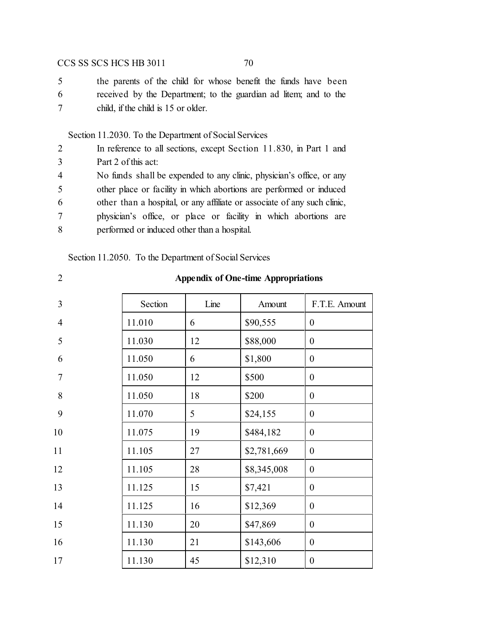the parents of the child for whose benefit the funds have been received by the Department; to the guardian ad litem; and to the child, if the child is 15 or older.

## Section 11.2030. To the Department of Social Services

| 2              | In reference to all sections, except Section 11.830, in Part 1 and       |  |  |  |  |  |
|----------------|--------------------------------------------------------------------------|--|--|--|--|--|
| 3              | Part 2 of this act:                                                      |  |  |  |  |  |
| $\overline{4}$ | No funds shall be expended to any clinic, physician's office, or any     |  |  |  |  |  |
| 5              | other place or facility in which abortions are performed or induced      |  |  |  |  |  |
| 6              | other than a hospital, or any affiliate or associate of any such clinic, |  |  |  |  |  |
| 7              | physician's office, or place or facility in which abortions are          |  |  |  |  |  |
| 8              | performed or induced other than a hospital.                              |  |  |  |  |  |
|                |                                                                          |  |  |  |  |  |

Section 11.2050. To the Department of Social Services

| v      |  |
|--------|--|
| I<br>٦ |  |
| ٠      |  |
|        |  |

## **Appendix of One-time Appropriations**

| 3              | Section | Line | Amount      | F.T.E. Amount    |
|----------------|---------|------|-------------|------------------|
| $\overline{4}$ | 11.010  | 6    | \$90,555    | $\overline{0}$   |
| 5              | 11.030  | 12   | \$88,000    | $\boldsymbol{0}$ |
| 6              | 11.050  | 6    | \$1,800     | $\overline{0}$   |
| $\overline{7}$ | 11.050  | 12   | \$500       | $\boldsymbol{0}$ |
| 8              | 11.050  | 18   | \$200       | $\overline{0}$   |
| 9              | 11.070  | 5    | \$24,155    | $\overline{0}$   |
| 10             | 11.075  | 19   | \$484,182   | $\mathbf{0}$     |
| 11             | 11.105  | 27   | \$2,781,669 | $\mathbf{0}$     |
| 12             | 11.105  | 28   | \$8,345,008 | $\boldsymbol{0}$ |
| 13             | 11.125  | 15   | \$7,421     | $\boldsymbol{0}$ |
| 14             | 11.125  | 16   | \$12,369    | $\boldsymbol{0}$ |
| 15             | 11.130  | 20   | \$47,869    | $\boldsymbol{0}$ |
| 16             | 11.130  | 21   | \$143,606   | $\boldsymbol{0}$ |
| 17             | 11.130  | 45   | \$12,310    | $\boldsymbol{0}$ |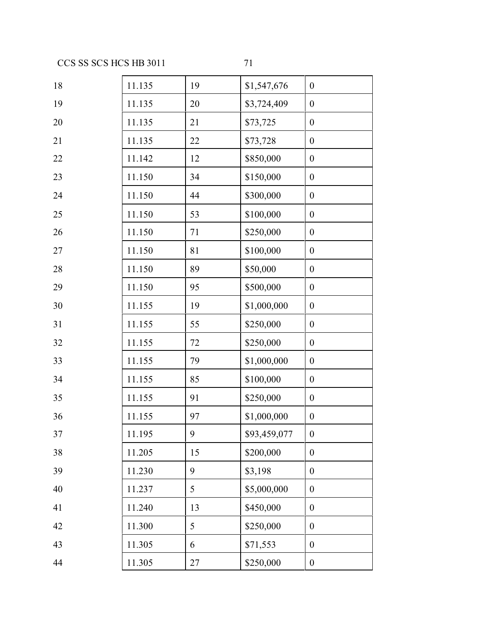| 18 | 11.135 | 19 | \$1,547,676  | $\boldsymbol{0}$ |
|----|--------|----|--------------|------------------|
| 19 | 11.135 | 20 | \$3,724,409  | $\boldsymbol{0}$ |
| 20 | 11.135 | 21 | \$73,725     | $\boldsymbol{0}$ |
| 21 | 11.135 | 22 | \$73,728     | $\boldsymbol{0}$ |
| 22 | 11.142 | 12 | \$850,000    | $\boldsymbol{0}$ |
| 23 | 11.150 | 34 | \$150,000    | $\boldsymbol{0}$ |
| 24 | 11.150 | 44 | \$300,000    | $\boldsymbol{0}$ |
| 25 | 11.150 | 53 | \$100,000    | $\boldsymbol{0}$ |
| 26 | 11.150 | 71 | \$250,000    | $\boldsymbol{0}$ |
| 27 | 11.150 | 81 | \$100,000    | $\boldsymbol{0}$ |
| 28 | 11.150 | 89 | \$50,000     | $\boldsymbol{0}$ |
| 29 | 11.150 | 95 | \$500,000    | $\boldsymbol{0}$ |
| 30 | 11.155 | 19 | \$1,000,000  | $\boldsymbol{0}$ |
| 31 | 11.155 | 55 | \$250,000    | $\boldsymbol{0}$ |
| 32 | 11.155 | 72 | \$250,000    | $\boldsymbol{0}$ |
| 33 | 11.155 | 79 | \$1,000,000  | $\boldsymbol{0}$ |
| 34 | 11.155 | 85 | \$100,000    | $\boldsymbol{0}$ |
| 35 | 11.155 | 91 | \$250,000    | $\boldsymbol{0}$ |
| 36 | 11.155 | 97 | \$1,000,000  | $\boldsymbol{0}$ |
| 37 | 11.195 | 9  | \$93,459,077 | $\boldsymbol{0}$ |
| 38 | 11.205 | 15 | \$200,000    | $\boldsymbol{0}$ |
| 39 | 11.230 | 9  | \$3,198      | $\boldsymbol{0}$ |
| 40 | 11.237 | 5  | \$5,000,000  | $\boldsymbol{0}$ |
| 41 | 11.240 | 13 | \$450,000    | $\boldsymbol{0}$ |
| 42 | 11.300 | 5  | \$250,000    | $\boldsymbol{0}$ |
| 43 | 11.305 | 6  | \$71,553     | $\boldsymbol{0}$ |
| 44 | 11.305 | 27 | \$250,000    | $\boldsymbol{0}$ |